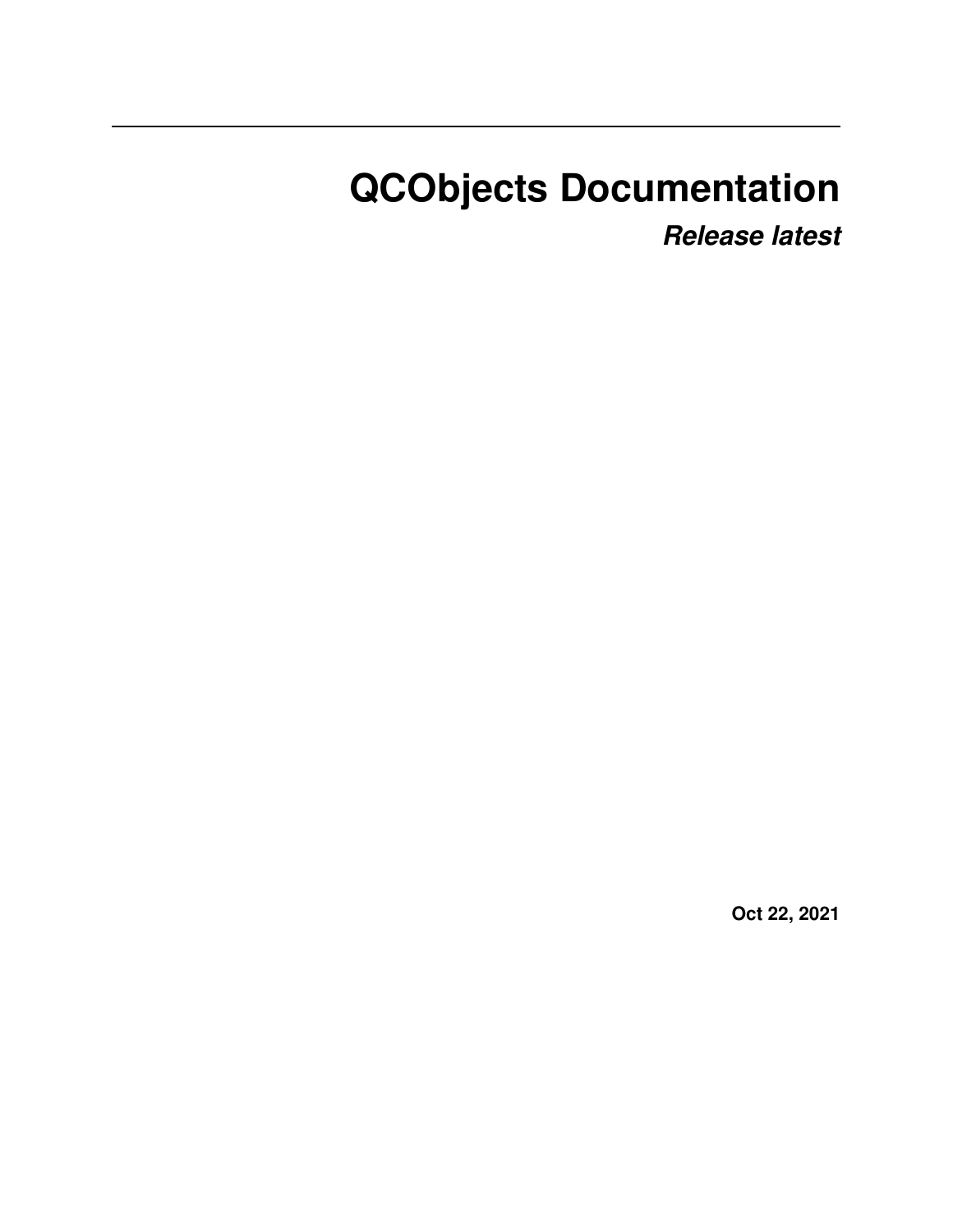# **QCObjects Documentation**

*Release latest*

**Oct 22, 2021**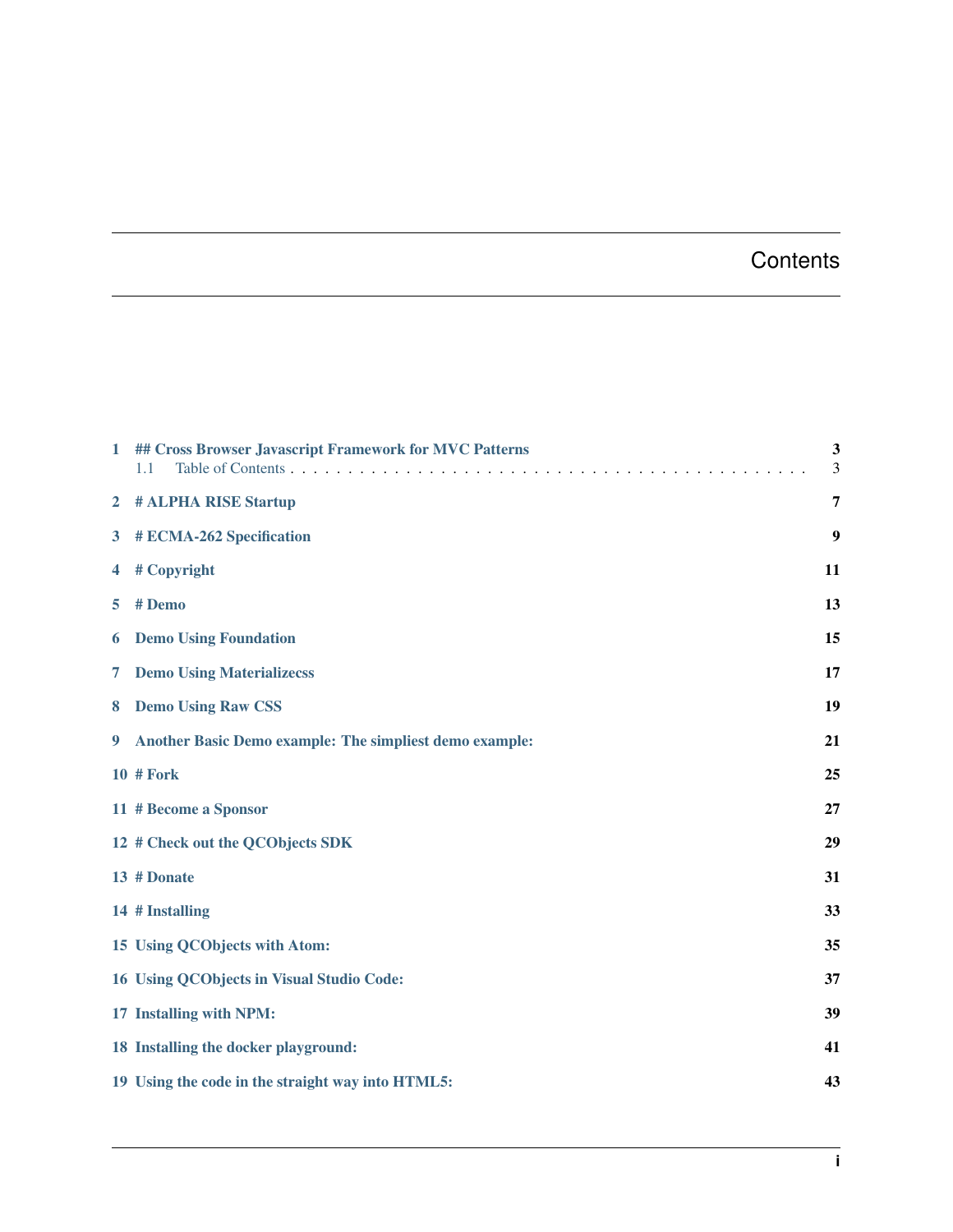#### **Contents**

| $\mathbf{1}$   | ## Cross Browser Javascript Framework for MVC Patterns<br>Table of Contents<br>1.1 | 3<br>3 |
|----------------|------------------------------------------------------------------------------------|--------|
| $\overline{2}$ | # ALPHA RISE Startup                                                               | 7      |
| $3^{\circ}$    | # ECMA-262 Specification                                                           | 9      |
| 4              | # Copyright                                                                        | 11     |
| 5              | # Demo                                                                             | 13     |
| 6              | <b>Demo Using Foundation</b>                                                       | 15     |
| 7              | <b>Demo Using Materializecss</b>                                                   | 17     |
| 8              | <b>Demo Using Raw CSS</b>                                                          | 19     |
| 9              | Another Basic Demo example: The simpliest demo example:                            | 21     |
|                | <b>10 # Fork</b>                                                                   | 25     |
|                | 11 # Become a Sponsor                                                              | 27     |
|                | 12 # Check out the QCObjects SDK                                                   | 29     |
|                | 13 # Donate                                                                        | 31     |
|                | 14 # Installing                                                                    | 33     |
|                | 15 Using QCObjects with Atom:                                                      | 35     |
|                | 16 Using QCObjects in Visual Studio Code:                                          | 37     |
|                | 17 Installing with NPM:                                                            | 39     |
|                | 18 Installing the docker playground:                                               | 41     |
|                | 19 Using the code in the straight way into HTML5:                                  | 43     |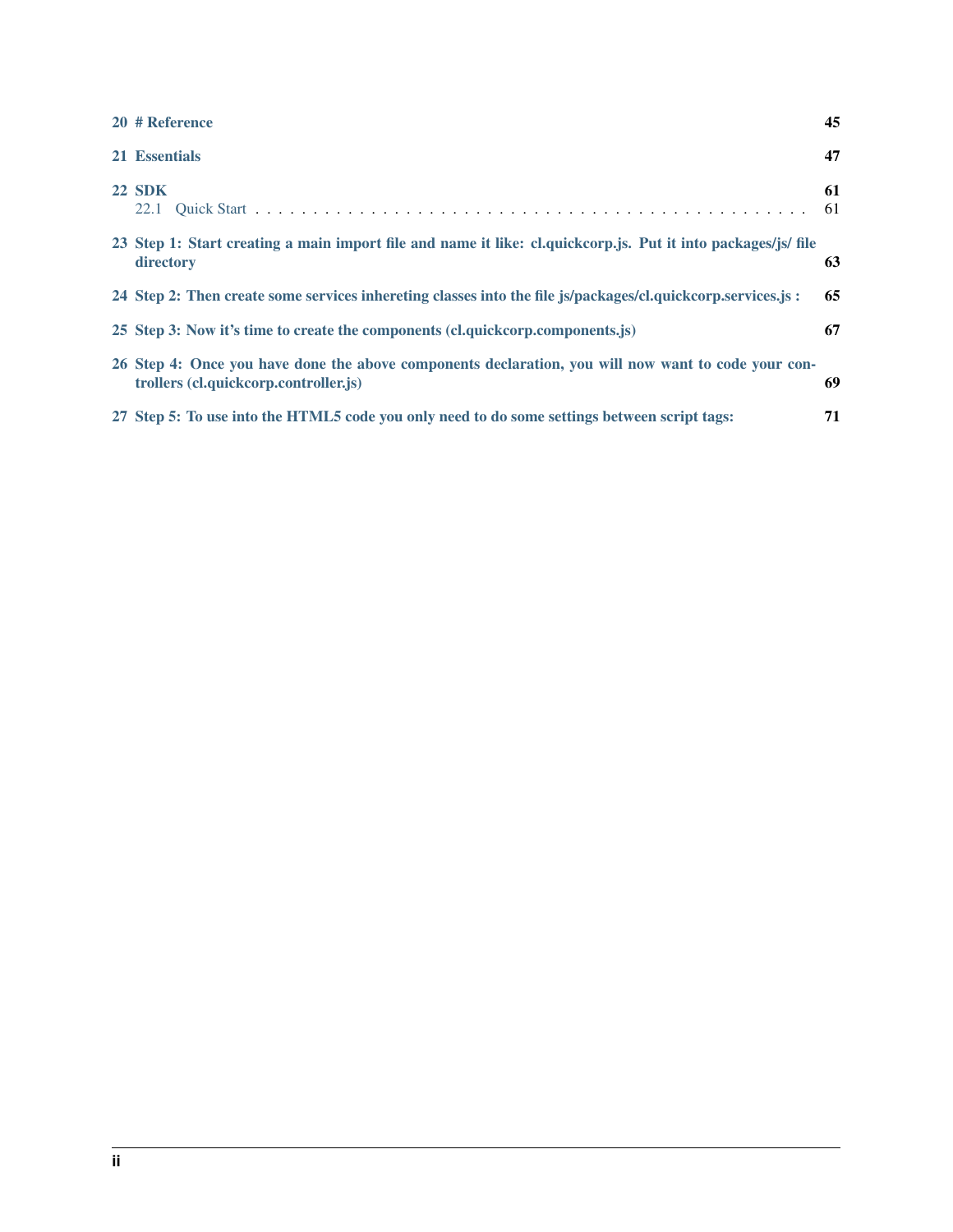| 20 # Reference                                                                                                                               | 45       |
|----------------------------------------------------------------------------------------------------------------------------------------------|----------|
| 21 Essentials                                                                                                                                | 47       |
| <b>22 SDK</b>                                                                                                                                | 61<br>61 |
| 23 Step 1: Start creating a main import file and name it like: cl.quickcorp.js. Put it into packages/js/ file<br>directory                   | 63       |
| 24 Step 2: Then create some services inhereting classes into the file js/packages/cl.quickcorp.services.js:                                  | 65       |
| 25 Step 3: Now it's time to create the components (cl.quickcorp.components.js)                                                               | 67       |
| 26 Step 4: Once you have done the above components declaration, you will now want to code your con-<br>trollers (cl.quickcorp.controller.js) | 69       |
| 27 Step 5: To use into the HTML5 code you only need to do some settings between script tags:                                                 | 71       |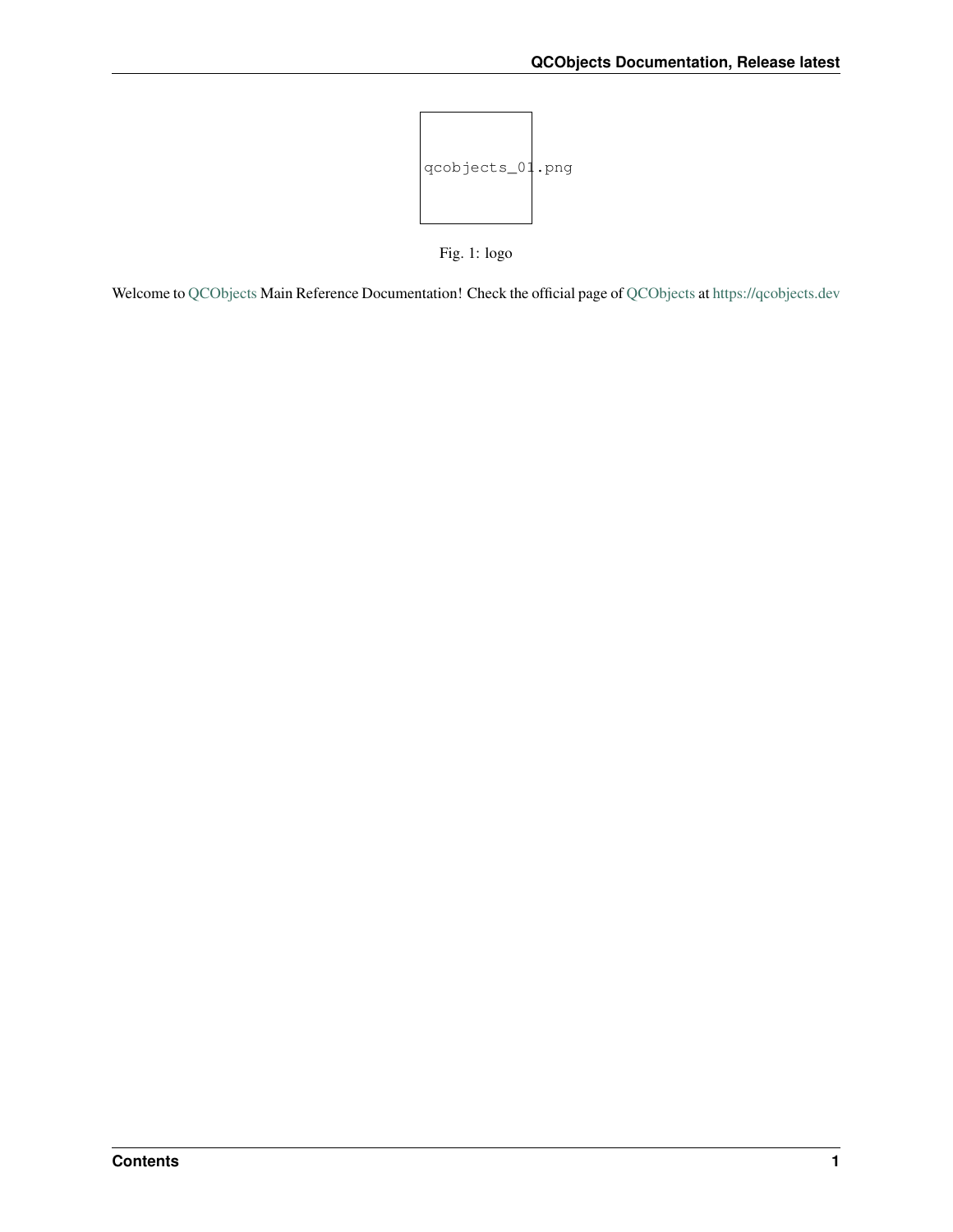

Fig. 1: logo

Welcome to [QCObjects](https://qcobjects.dev) Main Reference Documentation! Check the official page of [QCObjects](https://qcobjects.dev) at <https://qcobjects.dev>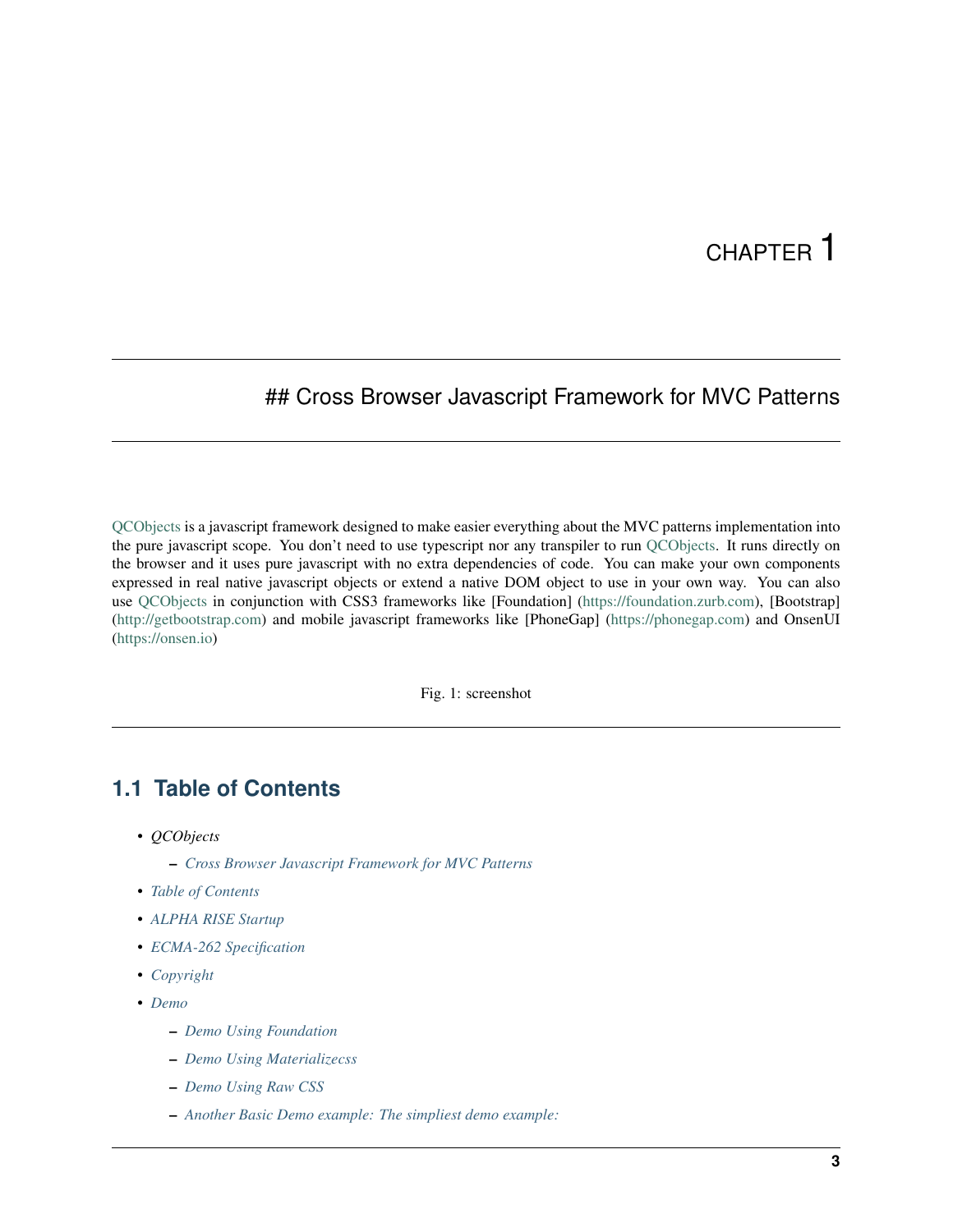#### <span id="page-6-0"></span>## Cross Browser Javascript Framework for MVC Patterns

[QCObjects](https://qcobjects.dev) is a javascript framework designed to make easier everything about the MVC patterns implementation into the pure javascript scope. You don't need to use typescript nor any transpiler to run [QCObjects.](https://qcobjects.dev) It runs directly on the browser and it uses pure javascript with no extra dependencies of code. You can make your own components expressed in real native javascript objects or extend a native DOM object to use in your own way. You can also use [QCObjects](https://qcobjects.dev) in conjunction with CSS3 frameworks like [Foundation] [\(https://foundation.zurb.com\)](https://foundation.zurb.com), [Bootstrap] [\(http://getbootstrap.com\)](http://getbootstrap.com) and mobile javascript frameworks like [PhoneGap] [\(https://phonegap.com\)](https://phonegap.com) and OnsenUI [\(https://onsen.io\)](https://onsen.io)

Fig. 1: screenshot

#### <span id="page-6-1"></span>**1.1 Table of Contents**

- *QCObjects*
	- *[Cross Browser Javascript Framework for MVC Patterns](#page-6-0)*
- *[Table of Contents](#page-6-1)*
- *[ALPHA RISE Startup](#page-10-0)*
- *[ECMA-262 Specification](#page-12-0)*
- *[Copyright](#page-14-0)*
- *[Demo](#page-16-0)*
	- *[Demo Using Foundation](#page-18-0)*
	- *[Demo Using Materializecss](#page-20-0)*
	- *[Demo Using Raw CSS](#page-22-0)*
	- *[Another Basic Demo example: The simpliest demo example:](#page-24-0)*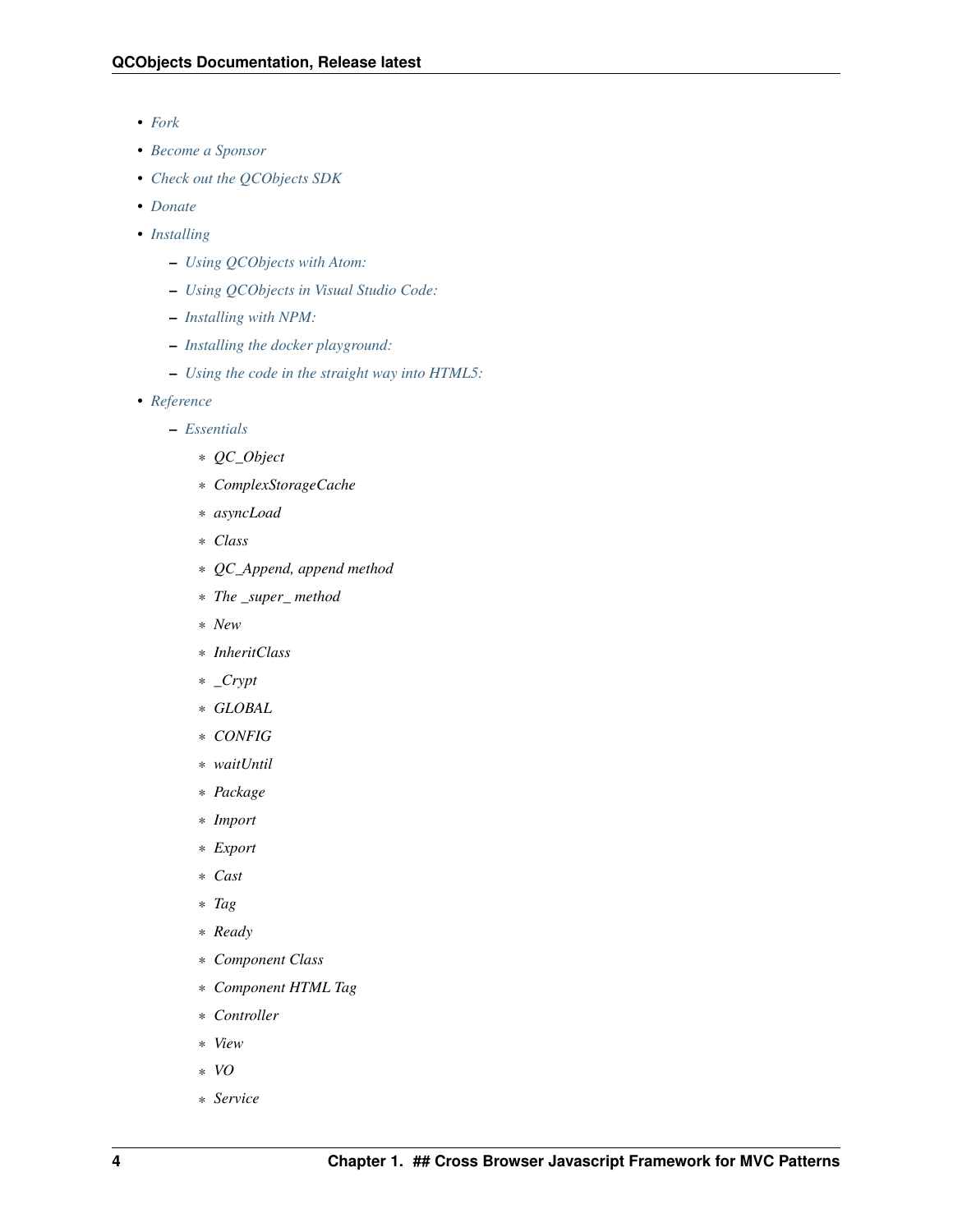- *[Fork](#page-28-0)*
- *[Become a Sponsor](#page-30-0)*
- *[Check out the QCObjects SDK](#page-32-0)*
- *[Donate](#page-34-0)*
- *[Installing](#page-36-0)*
	- *[Using QCObjects with Atom:](#page-38-0)*
	- *[Using QCObjects in Visual Studio Code:](#page-40-0)*
	- *[Installing with NPM:](#page-42-0)*
	- *[Installing the docker playground:](#page-44-0)*
	- *[Using the code in the straight way into HTML5:](#page-46-0)*
- *[Reference](#page-48-0)*
	- *[Essentials](#page-50-0)*
		- \* *QC\_Object*
		- \* *ComplexStorageCache*
		- \* *asyncLoad*
		- \* *Class*
		- \* *QC\_Append, append method*
		- \* *The \_super\_ method*
		- \* *New*
		- \* *InheritClass*
		- \* *\_Crypt*
		- \* *GLOBAL*
		- \* *CONFIG*
		- \* *waitUntil*
		- \* *Package*
		- \* *Import*
		- \* *Export*
		- \* *Cast*
		- \* *Tag*
		- \* *Ready*
		- \* *Component Class*
		- \* *Component HTML Tag*
		- \* *Controller*
		- \* *View*
		- \* *VO*
		- \* *Service*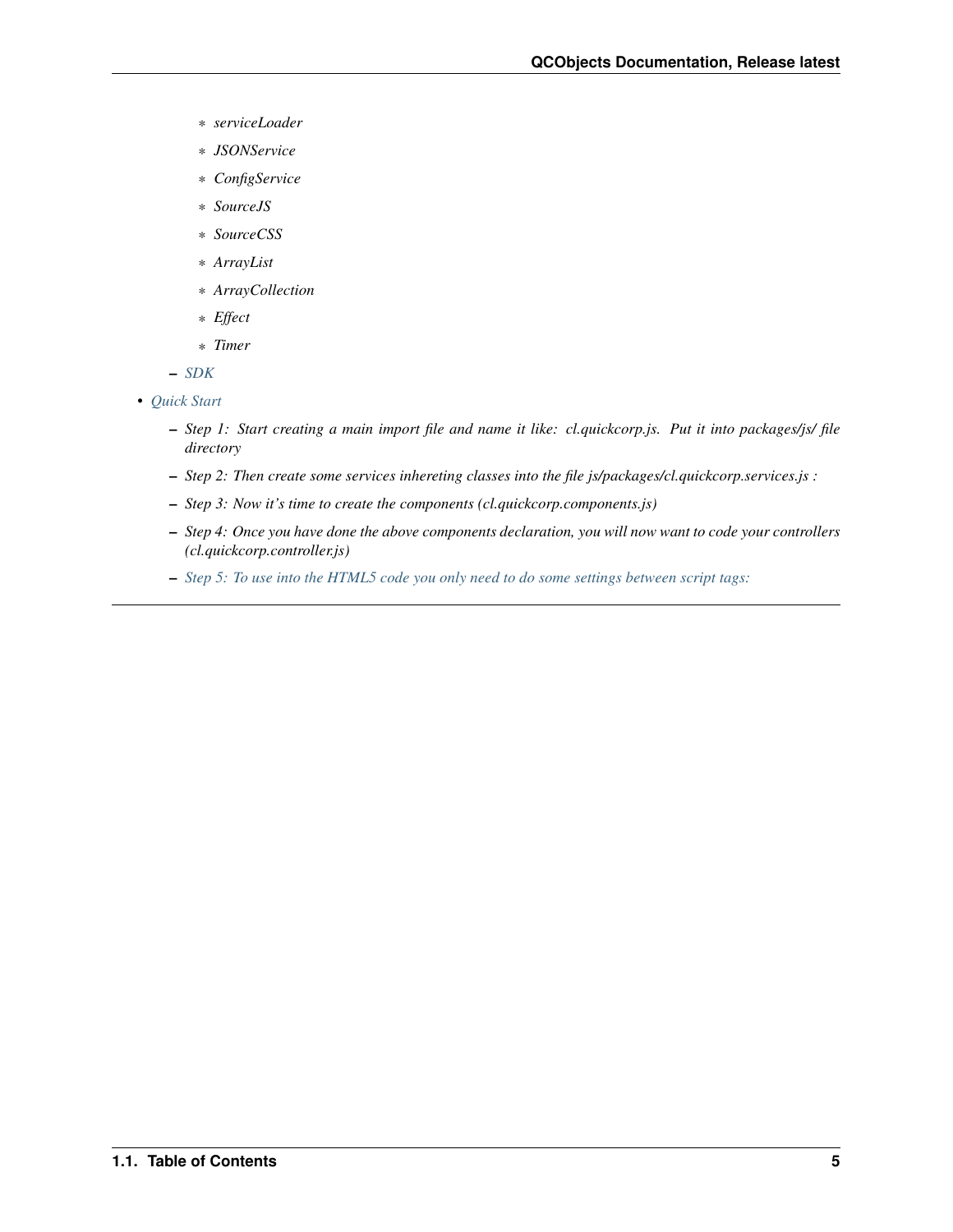- \* *serviceLoader*
- \* *JSONService*
- \* *ConfigService*
- \* *SourceJS*
- \* *SourceCSS*
- \* *ArrayList*
- \* *ArrayCollection*
- \* *Effect*
- \* *Timer*
- *[SDK](#page-64-0)*
- *[Quick Start](#page-64-1)*
	- *Step 1: Start creating a main import file and name it like: cl.quickcorp.js. Put it into packages/js/ file directory*
	- *Step 2: Then create some services inhereting classes into the file js/packages/cl.quickcorp.services.js :*
	- *Step 3: Now it's time to create the components (cl.quickcorp.components.js)*
	- *Step 4: Once you have done the above components declaration, you will now want to code your controllers (cl.quickcorp.controller.js)*
	- *[Step 5: To use into the HTML5 code you only need to do some settings between script tags:](#page-74-0)*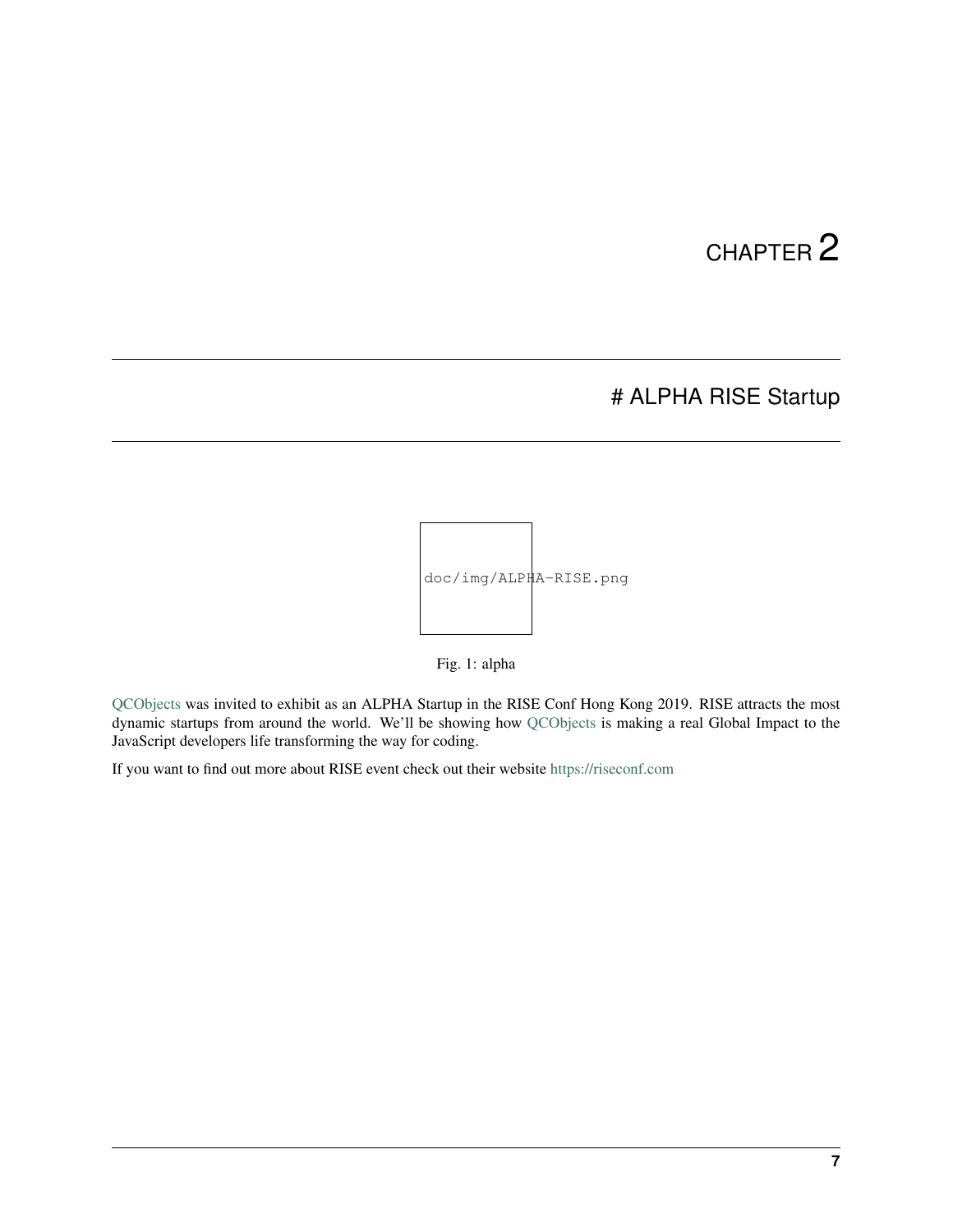#### # ALPHA RISE Startup

<span id="page-10-0"></span>

Fig. 1: alpha

[QCObjects](https://qcobjects.dev) was invited to exhibit as an ALPHA Startup in the RISE Conf Hong Kong 2019. RISE attracts the most dynamic startups from around the world. We'll be showing how [QCObjects](https://qcobjects.dev) is making a real Global Impact to the JavaScript developers life transforming the way for coding.

If you want to find out more about RISE event check out their website <https://riseconf.com>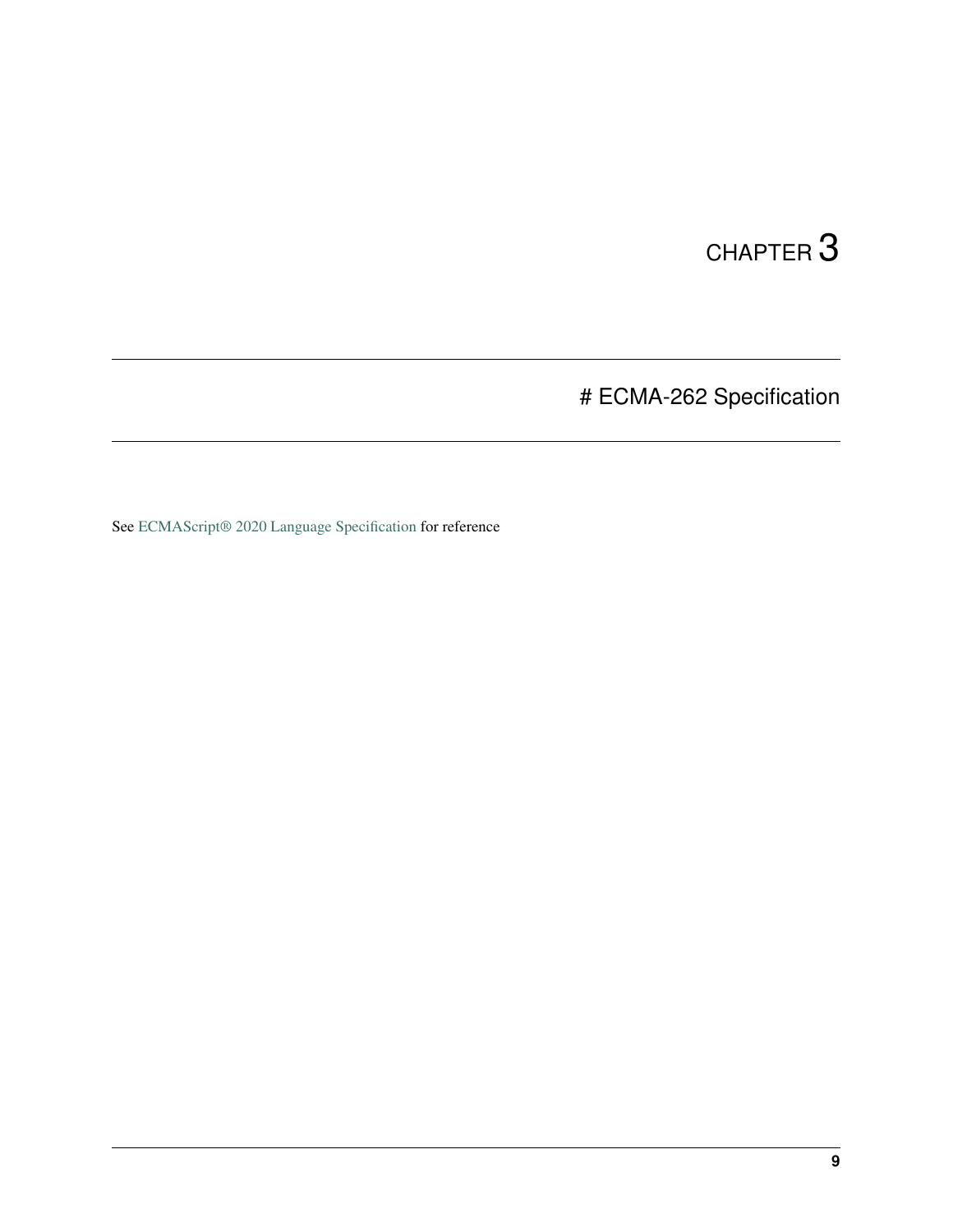# ECMA-262 Specification

<span id="page-12-0"></span>See [ECMAScript® 2020 Language Specification](https://tc39.github.io/ecma262/#sec-intro) for reference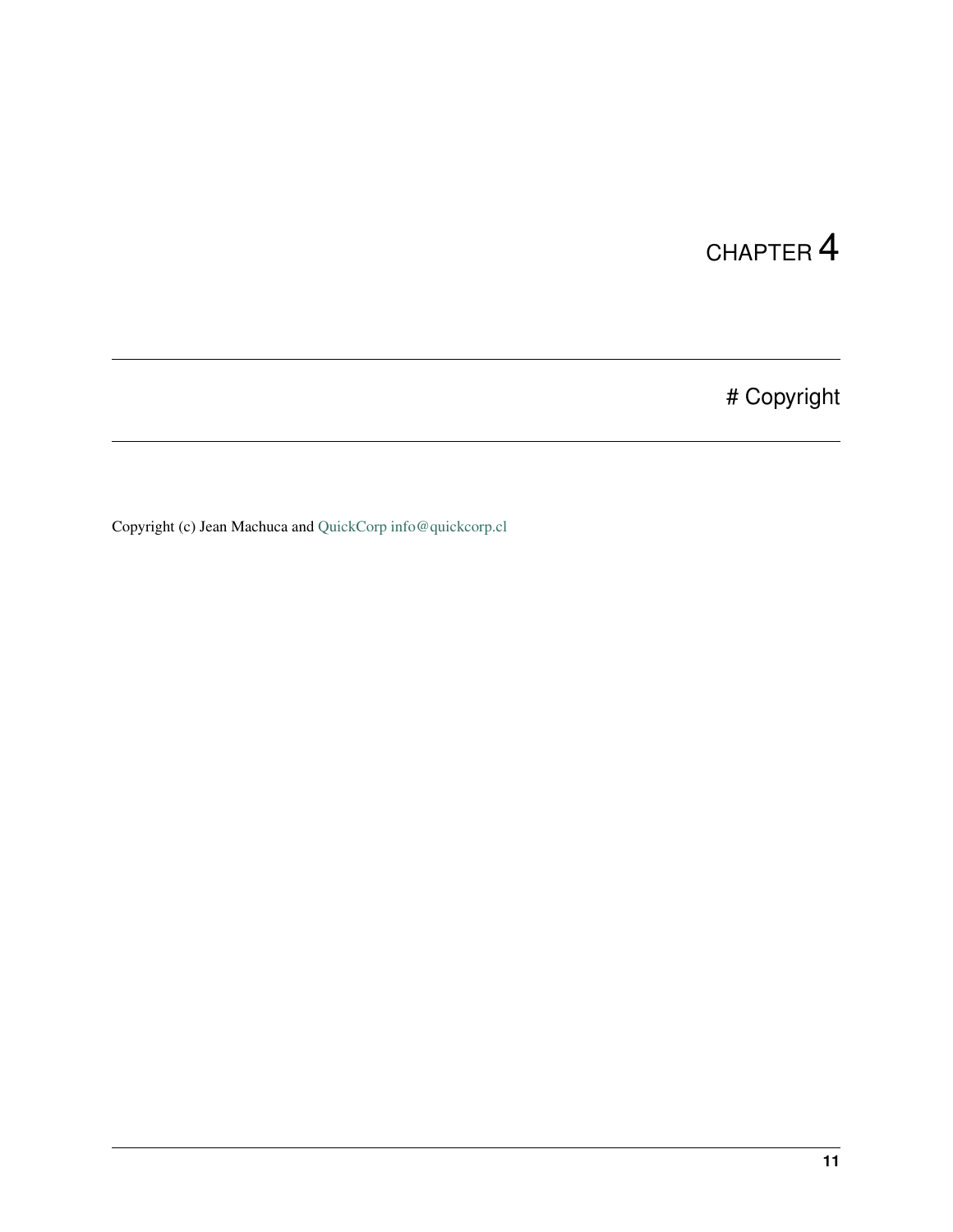# Copyright

<span id="page-14-0"></span>Copyright (c) Jean Machuca and [QuickCorp](https://quickcorp.org) [info@quickcorp.cl](mailto:info@quickcorp.cl)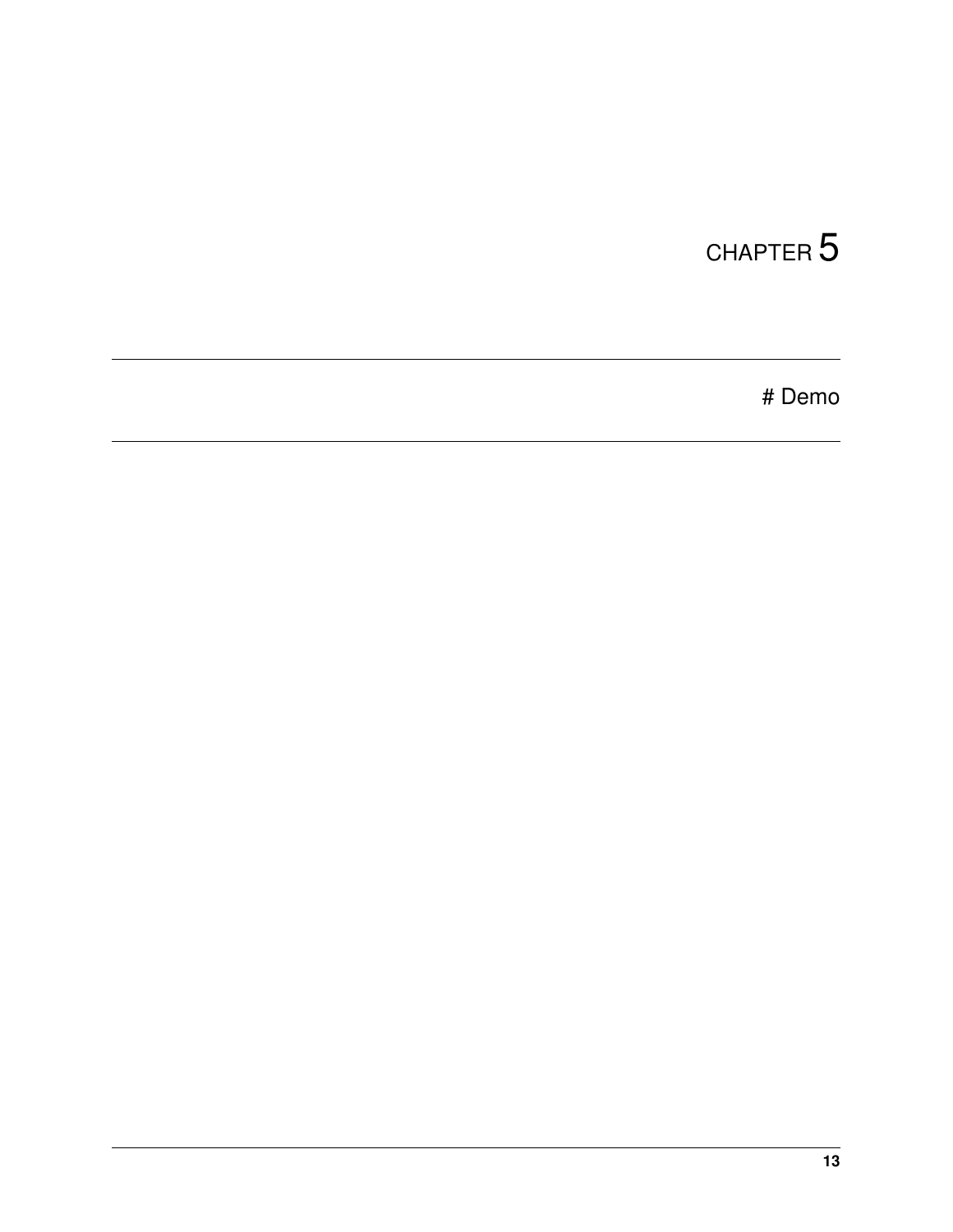<span id="page-16-0"></span># Demo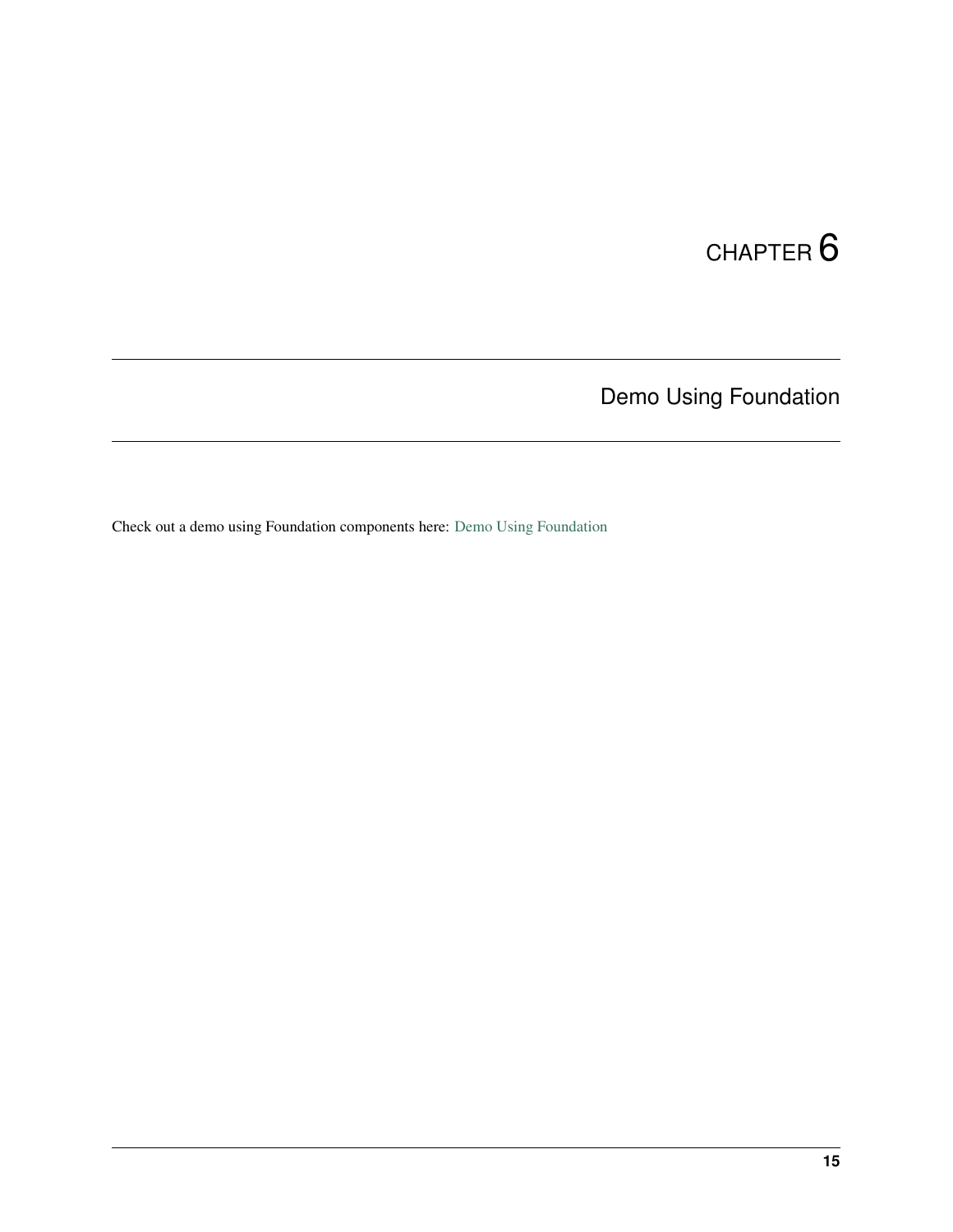Demo Using Foundation

<span id="page-18-0"></span>Check out a demo using Foundation components here: [Demo Using Foundation](https://github.com/QuickCorp/quickobjects_sample1foundation)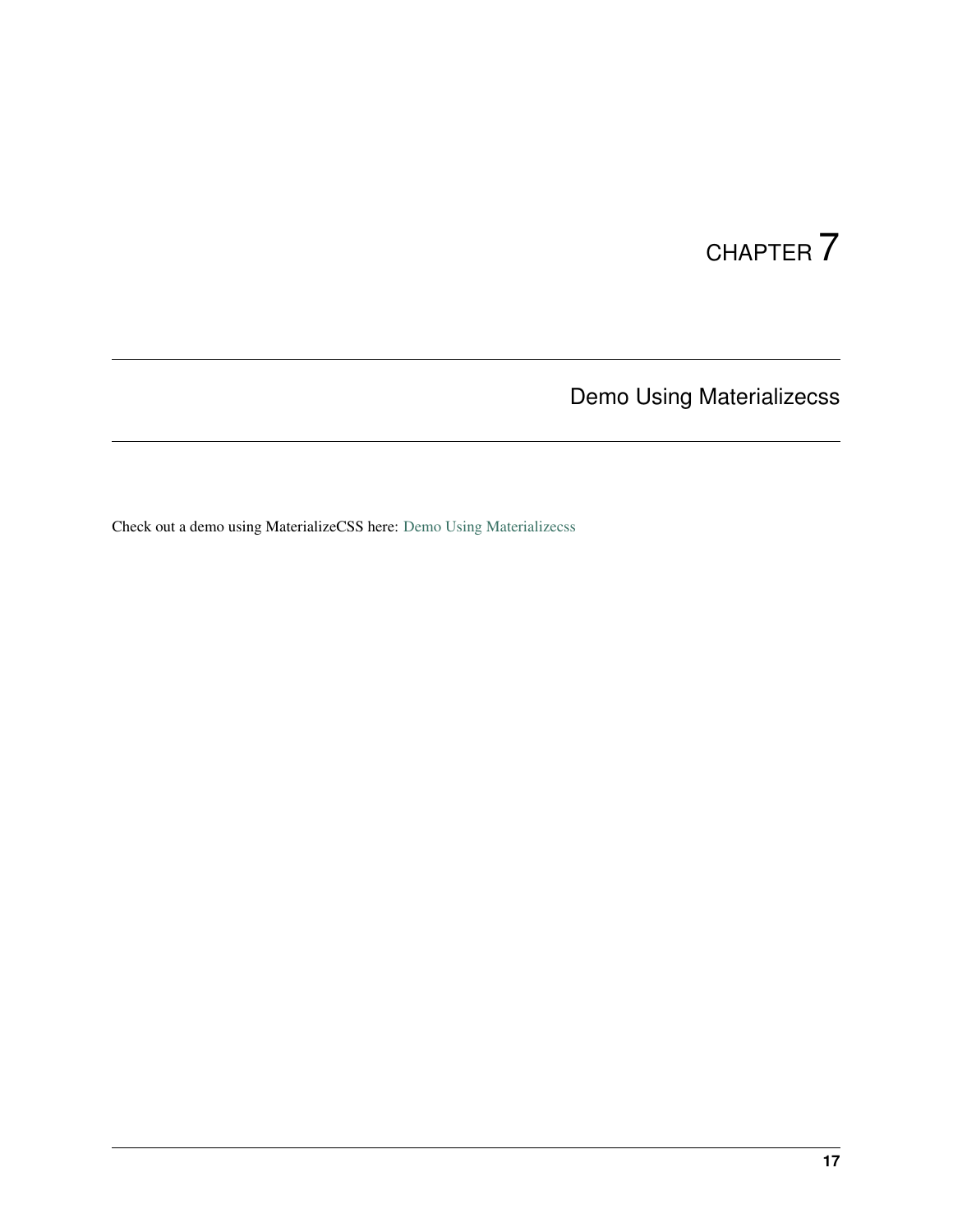Demo Using Materializecss

<span id="page-20-0"></span>Check out a demo using MaterializeCSS here: [Demo Using Materializecss](https://qln.link)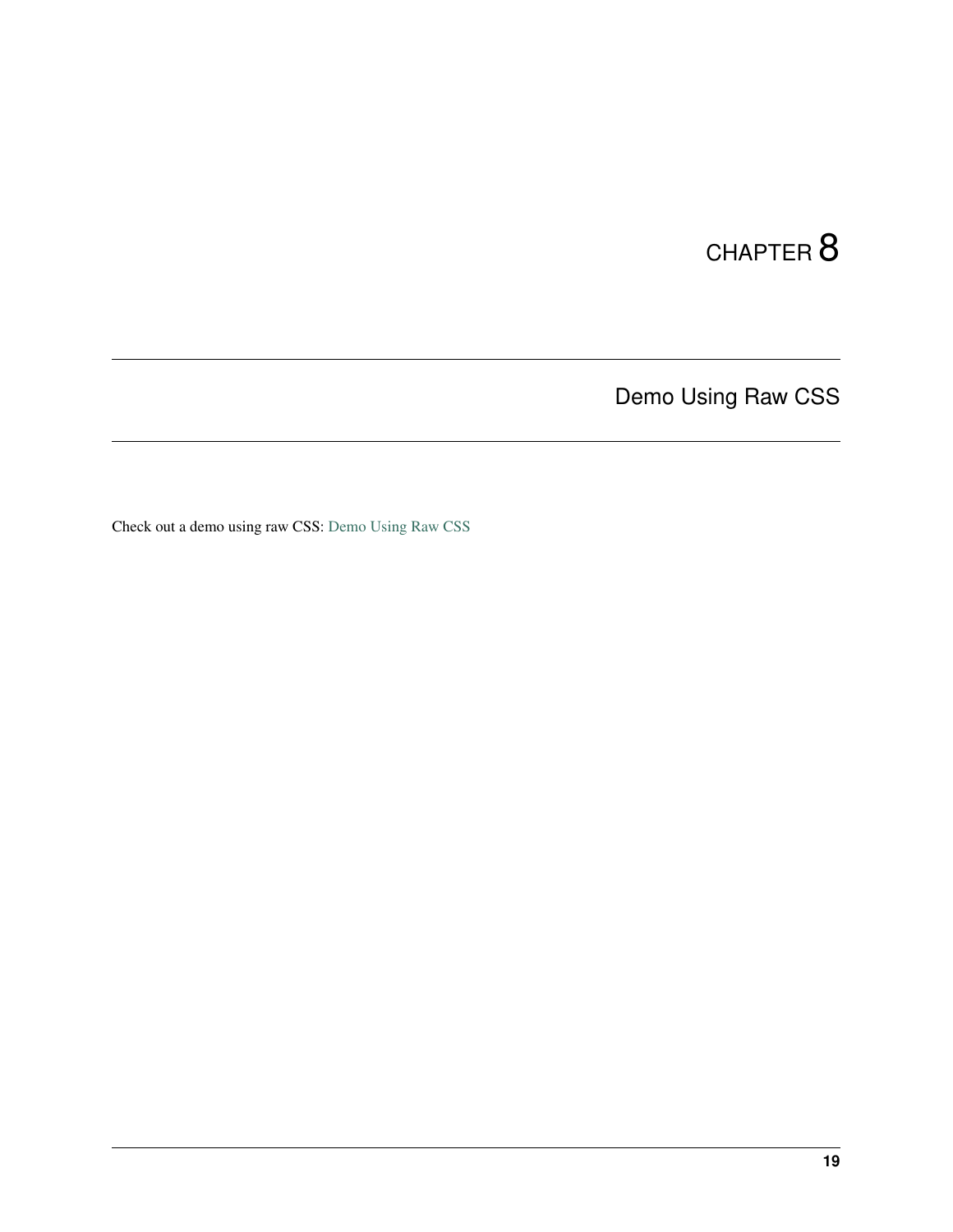Demo Using Raw CSS

<span id="page-22-0"></span>Check out a demo using raw CSS: [Demo Using Raw CSS](https://github.com/QuickCorp/qcobjects_profile_browser)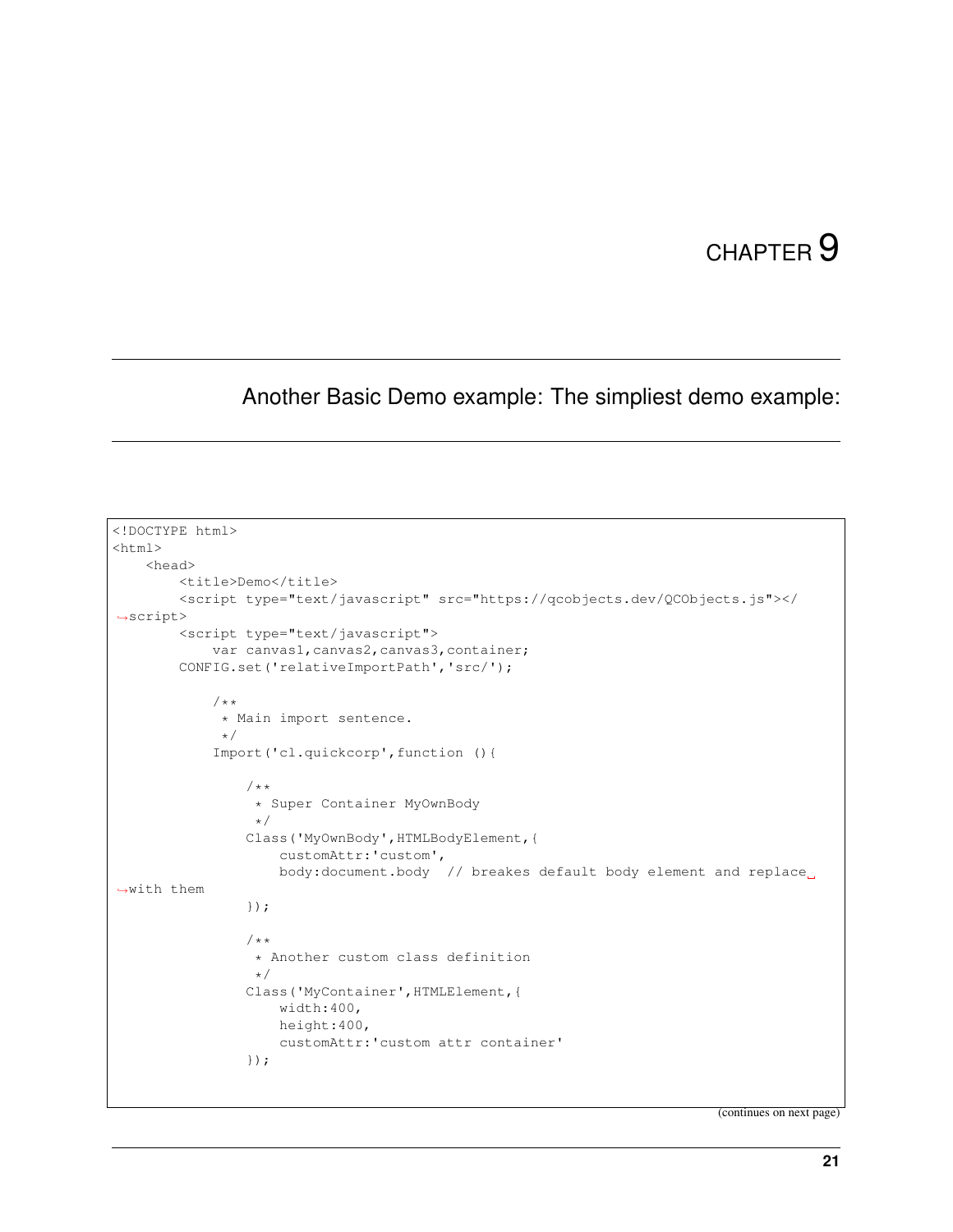#### <span id="page-24-0"></span>Another Basic Demo example: The simpliest demo example:

```
<!DOCTYPE html>
<html><head>
        <title>Demo</title>
        <script type="text/javascript" src="https://qcobjects.dev/QCObjects.js"></
˓→script>
        <script type="text/javascript">
            var canvas1, canvas2, canvas3, container;
        CONFIG.set('relativeImportPath','src/');
            /**
             * Main import sentence.
             */
            Import('cl.quickcorp',function (){
                /**
                 * Super Container MyOwnBody
                 \star/Class('MyOwnBody',HTMLBodyElement,{
                    customAttr:'custom',
                    body:document.body // breakes default body element and replace
˓→with them
                });
                /**
                 * Another custom class definition
                 \star/Class('MyContainer',HTMLElement,{
                    width:400,
                    height:400,
                    customAttr:'custom attr container'
                });
```
(continues on next page)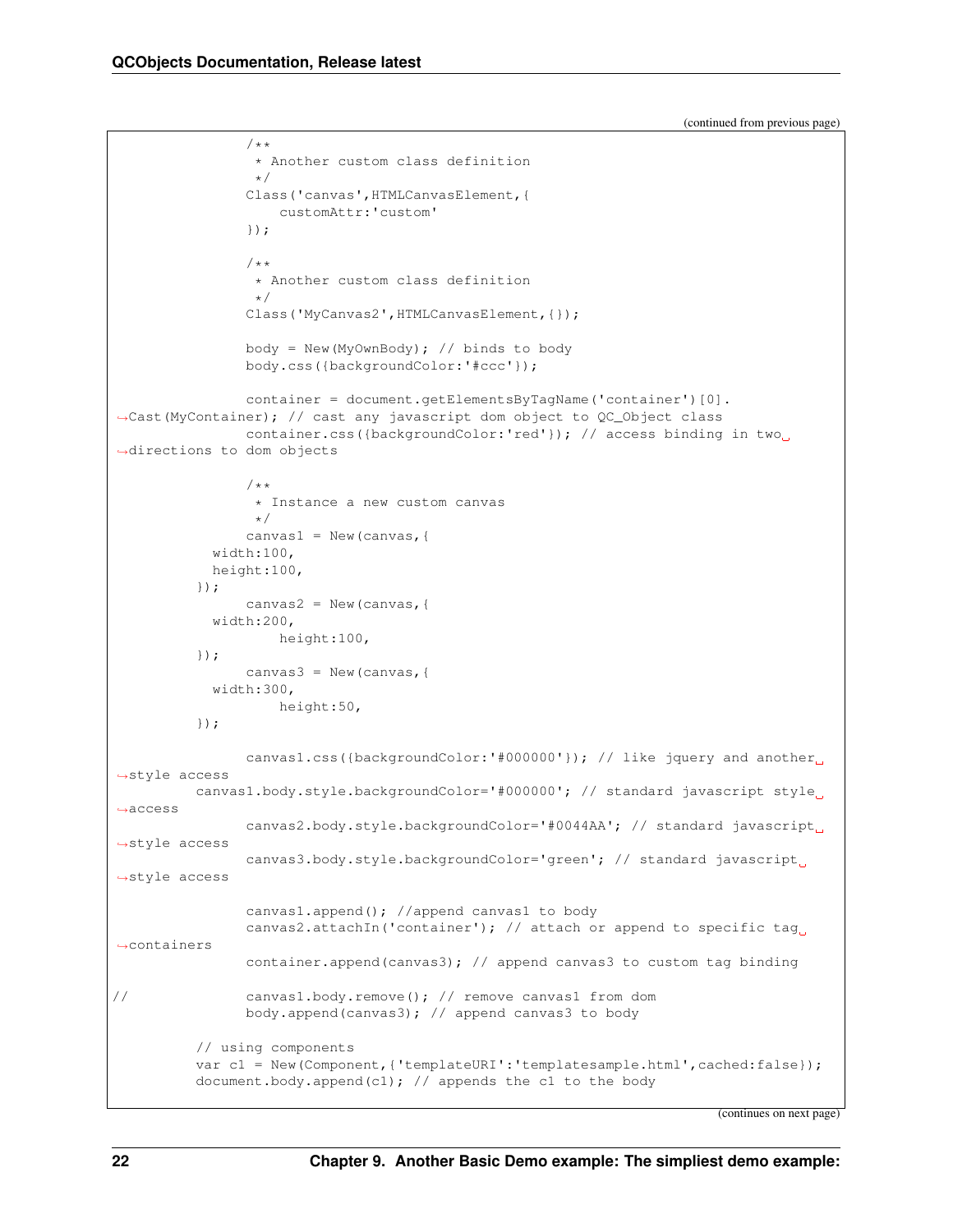/\*\*

(continued from previous page)

```
* Another custom class definition
                 */
               Class('canvas',HTMLCanvasElement,{
                   customAttr:'custom'
                });
                /** Another custom class definition
                \star/Class('MyCanvas2',HTMLCanvasElement,{});
               body = New(MyOwnBody); // binds to body
               body.css({backgroundColor:'#ccc'});
               container = document.getElementsByTagName('container')[0].
˓→Cast(MyContainer); // cast any javascript dom object to QC_Object class
               container.css({backgroundColor:'red'}); // access binding in two.
˓→directions to dom objects
                /*** Instance a new custom canvas
                 */
               canvas1 = New (canvas, {
           width:100,
           height:100,
          });
               canvas2 = New (canvas, {
           width:200,
                   height:100,
          });
               canvas3 = New (canvas, {
           width:300,
                   height:50,
          });
               canvas1.css({backgroundColor:'#000000'}); // like jquery and another
˓→style access
         canvas1.body.style.backgroundColor='#000000'; // standard javascript style
˓→access
               canvas2.body.style.backgroundColor='#0044AA'; // standard javascript
˓→style access
               canvas3.body.style.backgroundColor='green'; // standard javascript
˓→style access
               canvas1.append(); //append canvas1 to body
               canvas2.attachIn('container'); // attach or append to specific tag.
˓→containers
               container.append(canvas3); // append canvas3 to custom tag binding
// canvas1.body.remove(); // remove canvas1 from dom
               body.append(canvas3); // append canvas3 to body
         // using components
         var c1 = New(Component,{'templateURI':'templatesample.html',cached:false});
         document.body.append(c1); // appends the c1 to the body
```
(continues on next page)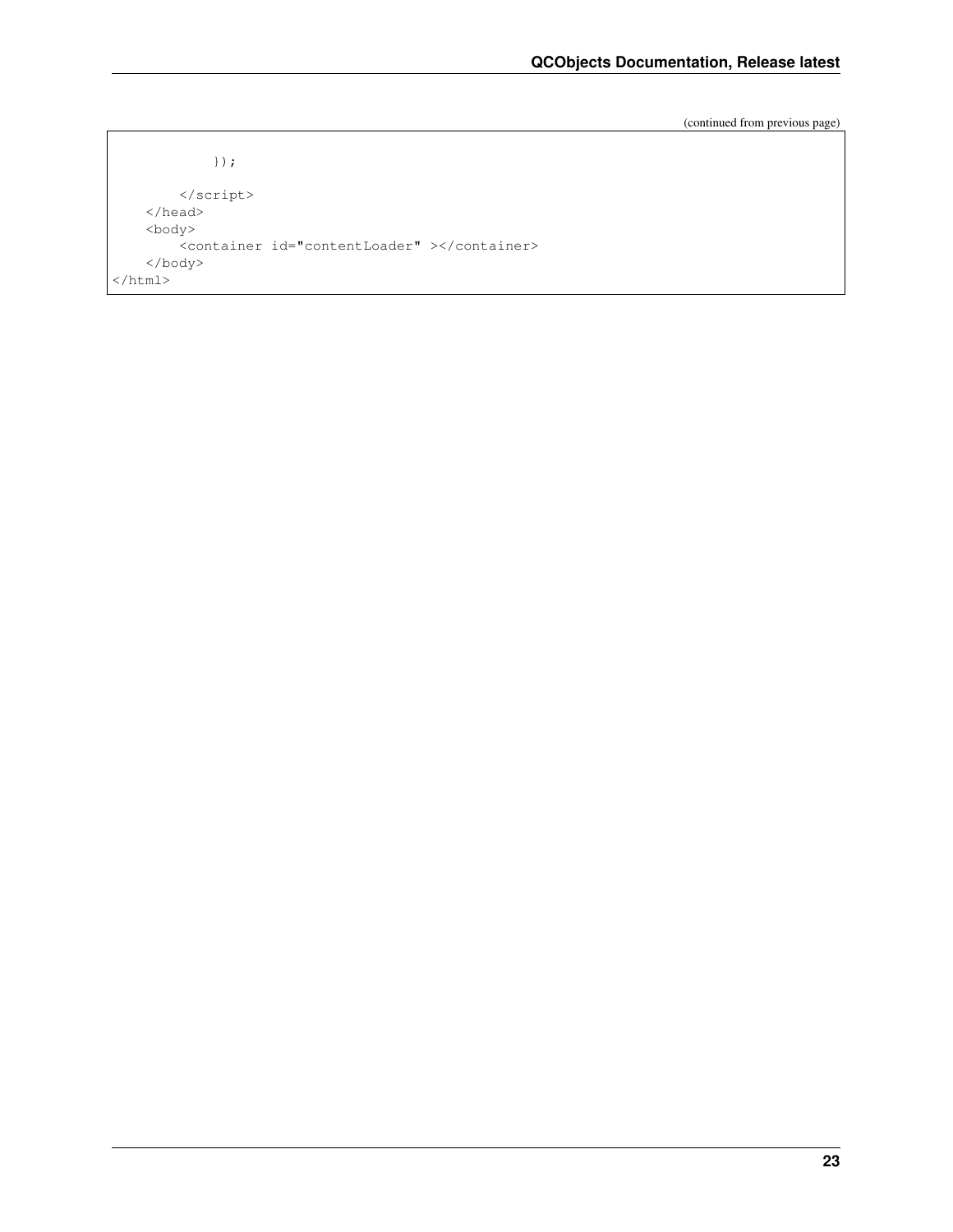(continued from previous page)

```
});
        </script>
    </head>
    <body>
        <container id="contentLoader" ></container>
    </body>
\langle/html>
```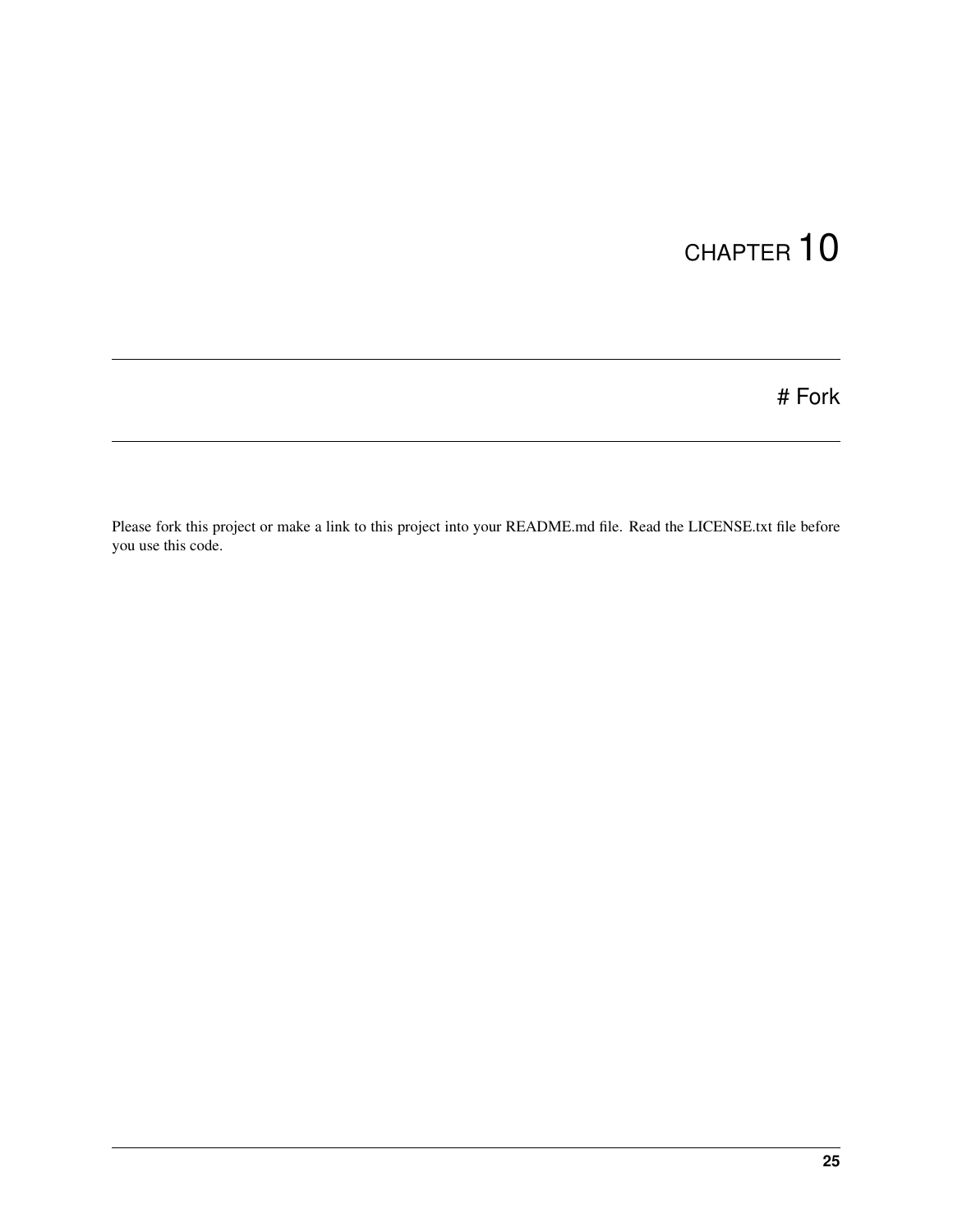# Fork

<span id="page-28-0"></span>Please fork this project or make a link to this project into your README.md file. Read the LICENSE.txt file before you use this code.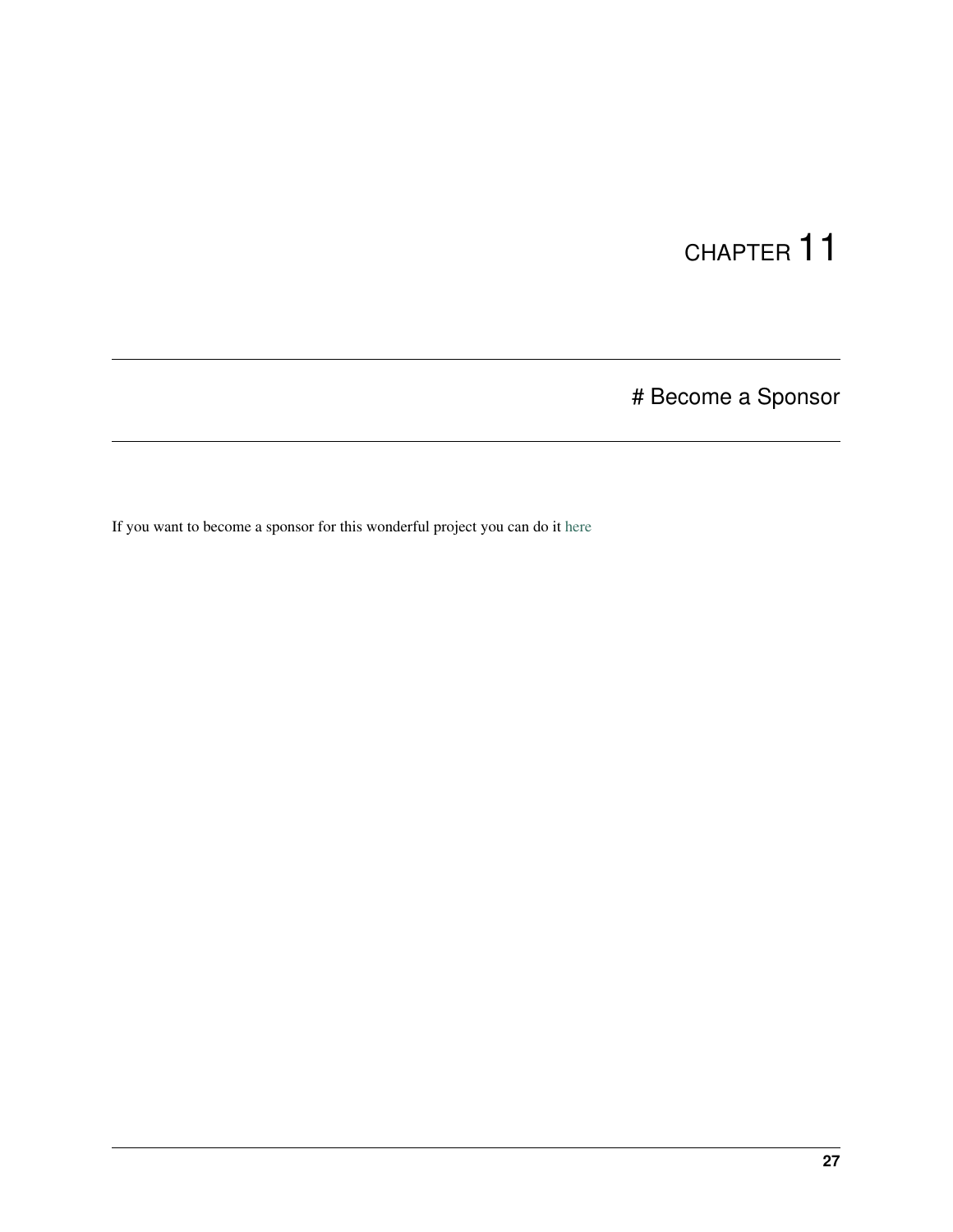# Become a Sponsor

<span id="page-30-0"></span>If you want to become a sponsor for this wonderful project you can do it [here](https://sponsorsignup.qcobjects.dev/)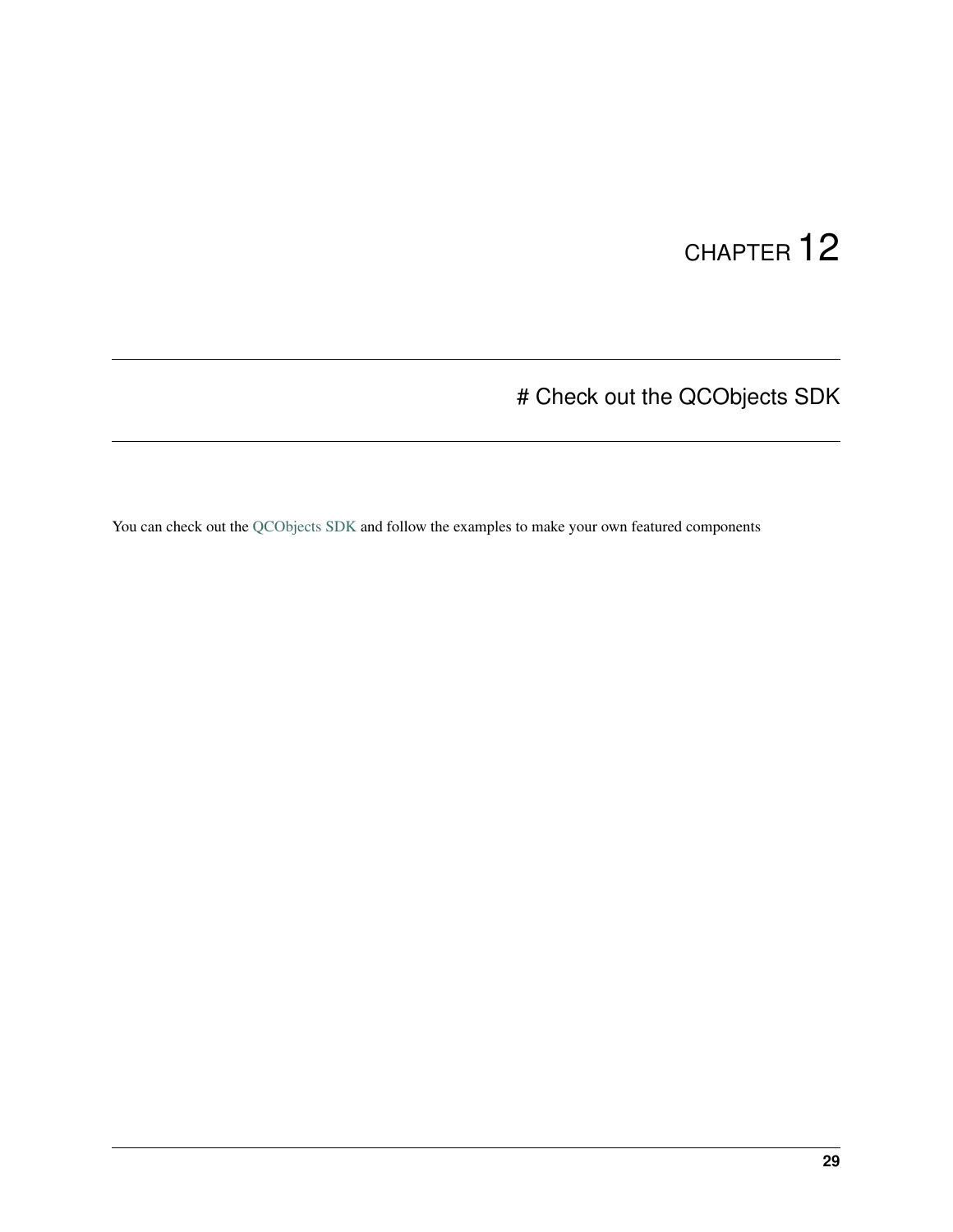# Check out the QCObjects SDK

<span id="page-32-0"></span>You can check out the [QCObjects SDK](https://sdk.qcobjects.dev/) and follow the examples to make your own featured components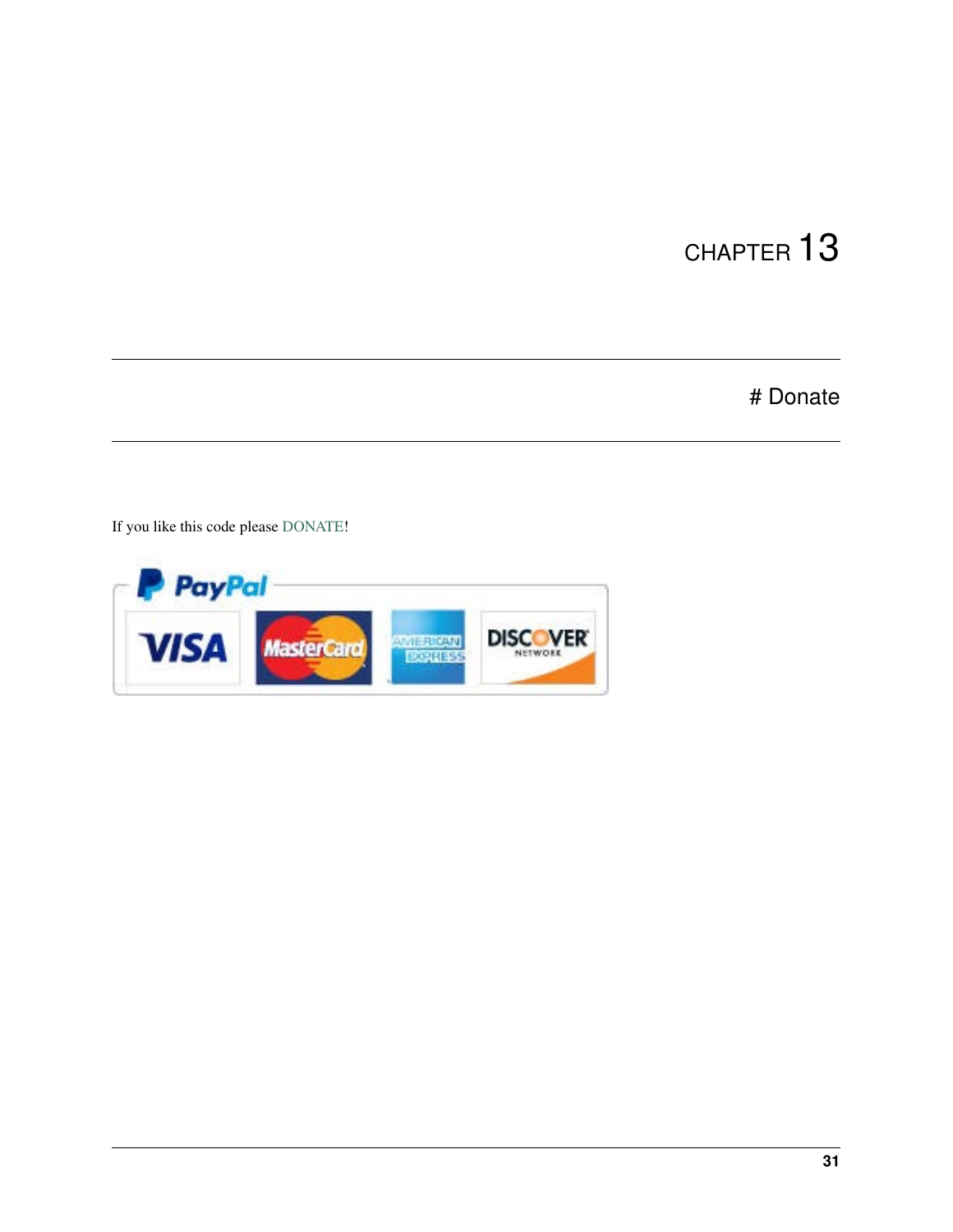# Donate

<span id="page-34-0"></span>If you like this code please [DONATE!](https://www.paypal.com/cgi-bin/webscr?cmd=_s-xclick&hosted_button_id=UUTDBUQHCS4PU&source=url)

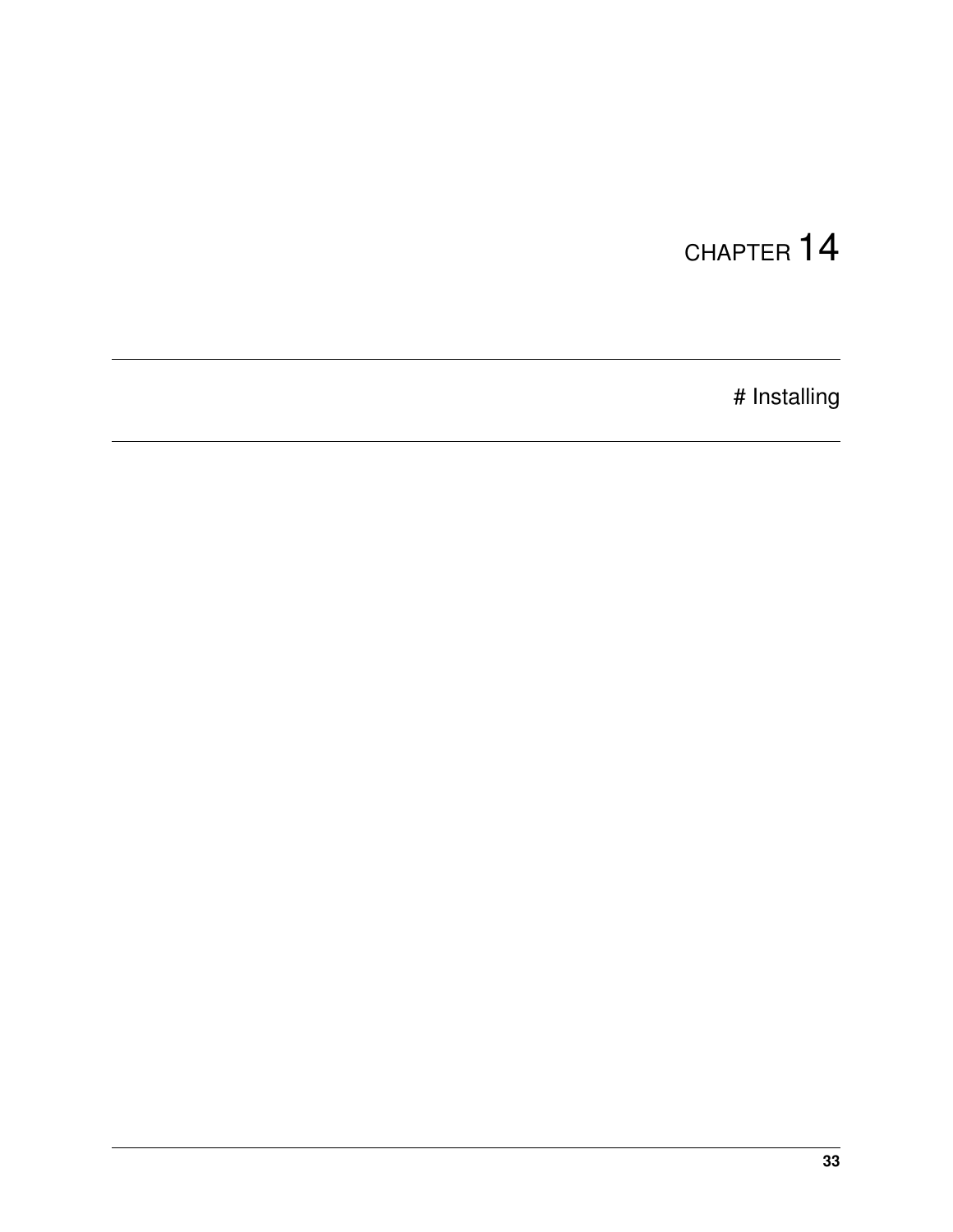# Installing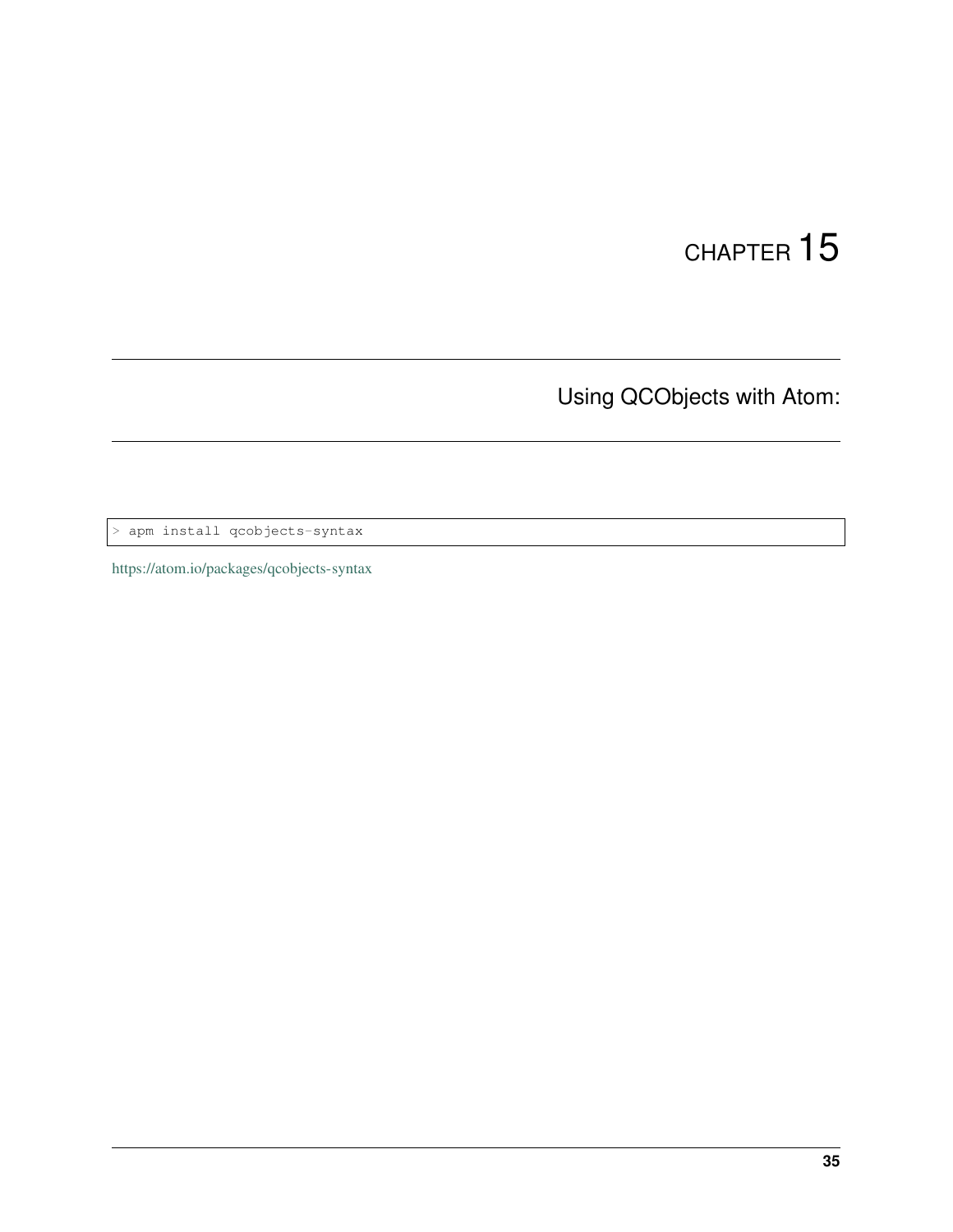Using QCObjects with Atom:

> apm install qcobjects-syntax

<https://atom.io/packages/qcobjects-syntax>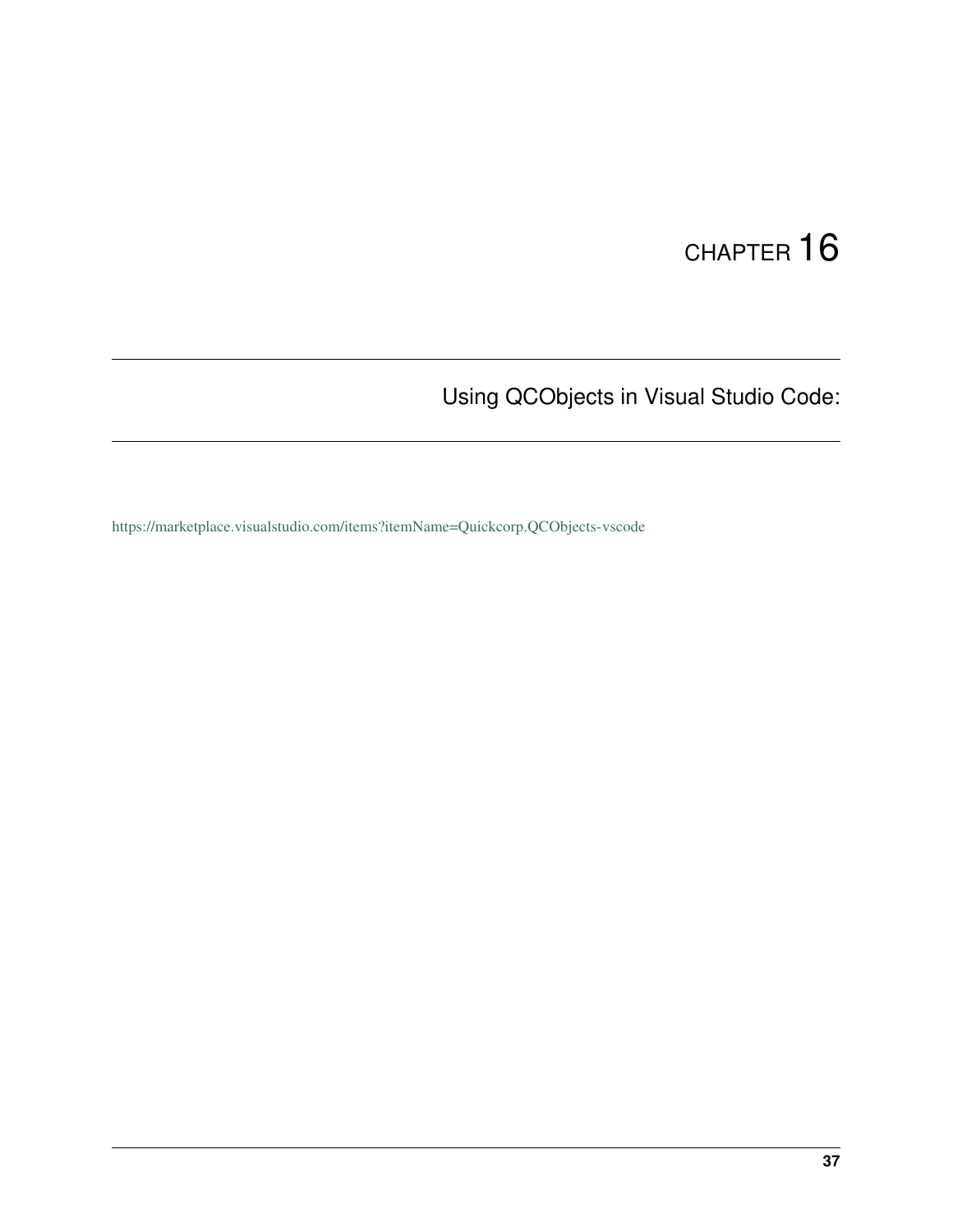Using QCObjects in Visual Studio Code:

<https://marketplace.visualstudio.com/items?itemName=Quickcorp.QCObjects-vscode>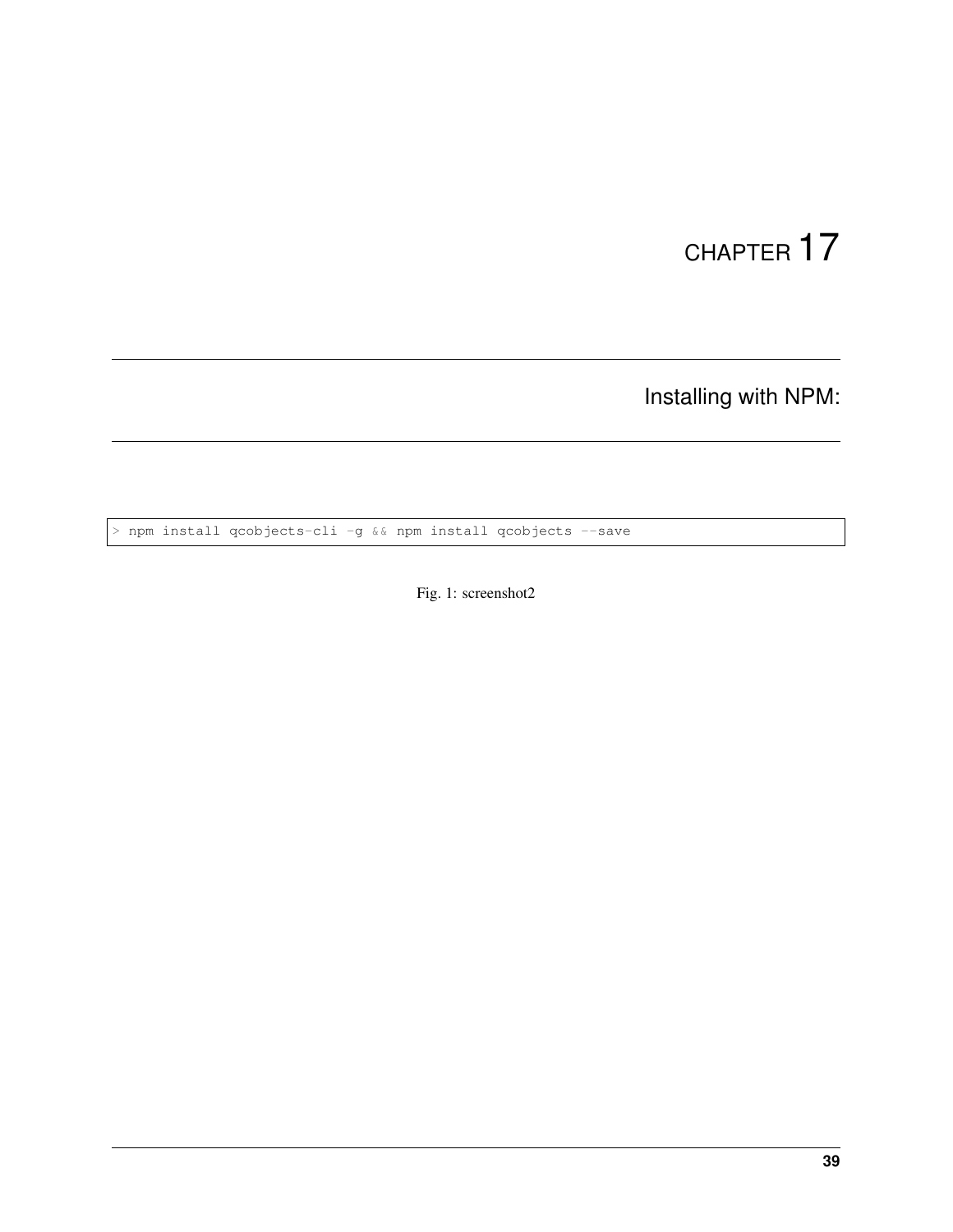Installing with NPM:

> npm install qcobjects-cli -g && npm install qcobjects --save

Fig. 1: screenshot2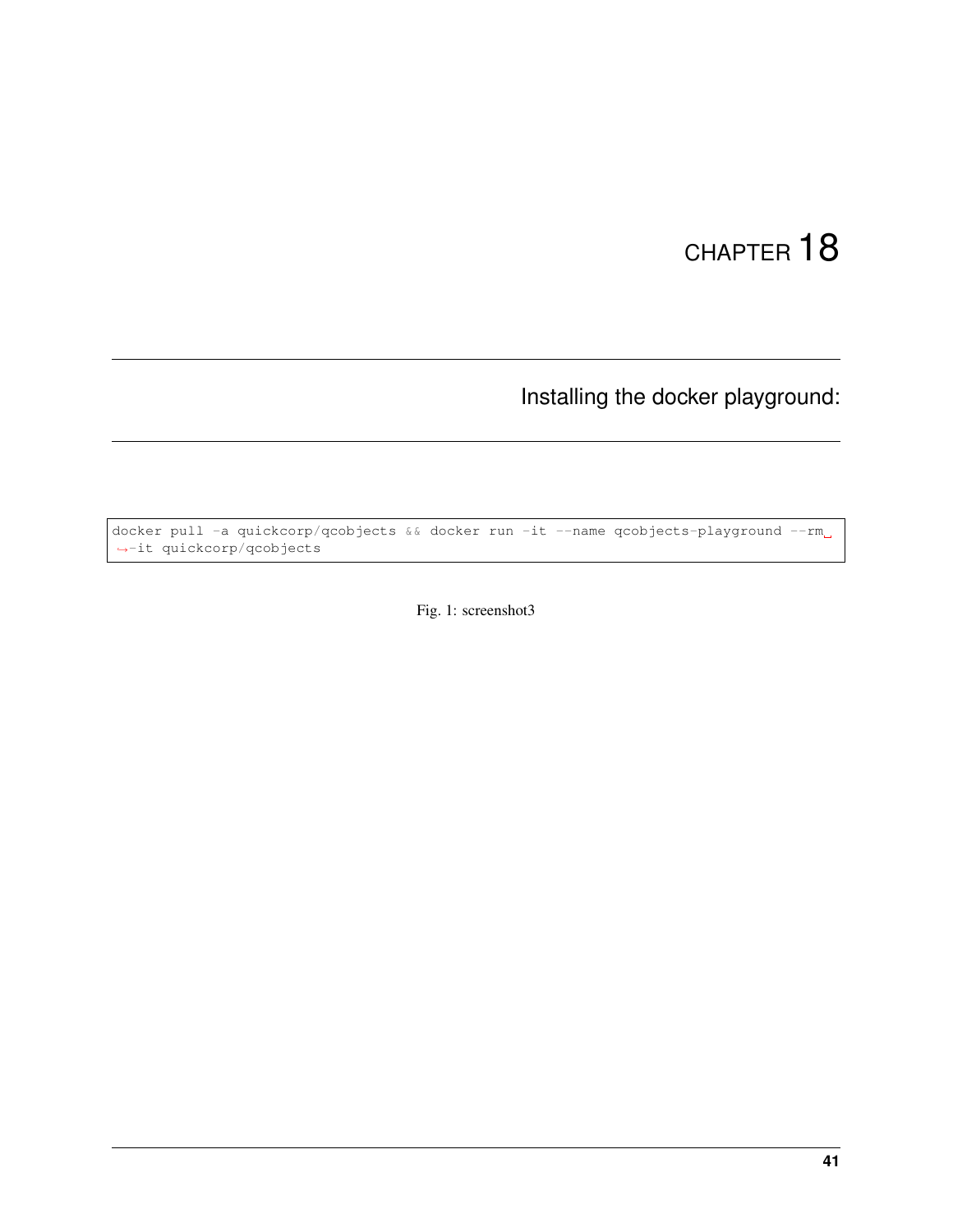### Installing the docker playground:

docker pull -a quickcorp/qcobjects && docker run -it --name qcobjects-playground --rm ˓<sup>→</sup>-it quickcorp/qcobjects

Fig. 1: screenshot3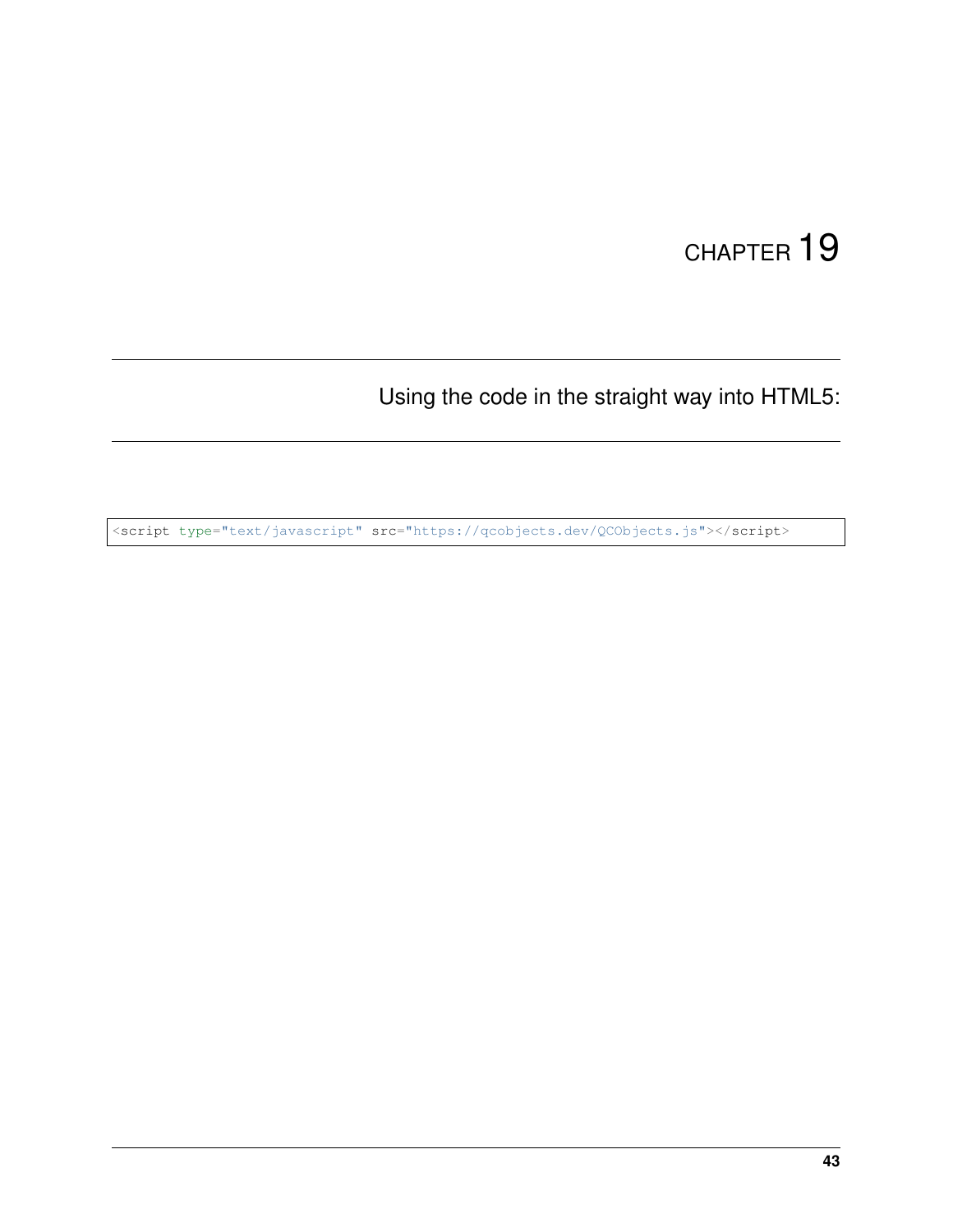Using the code in the straight way into HTML5:

<script type="text/javascript" src="https://qcobjects.dev/QCObjects.js"></script>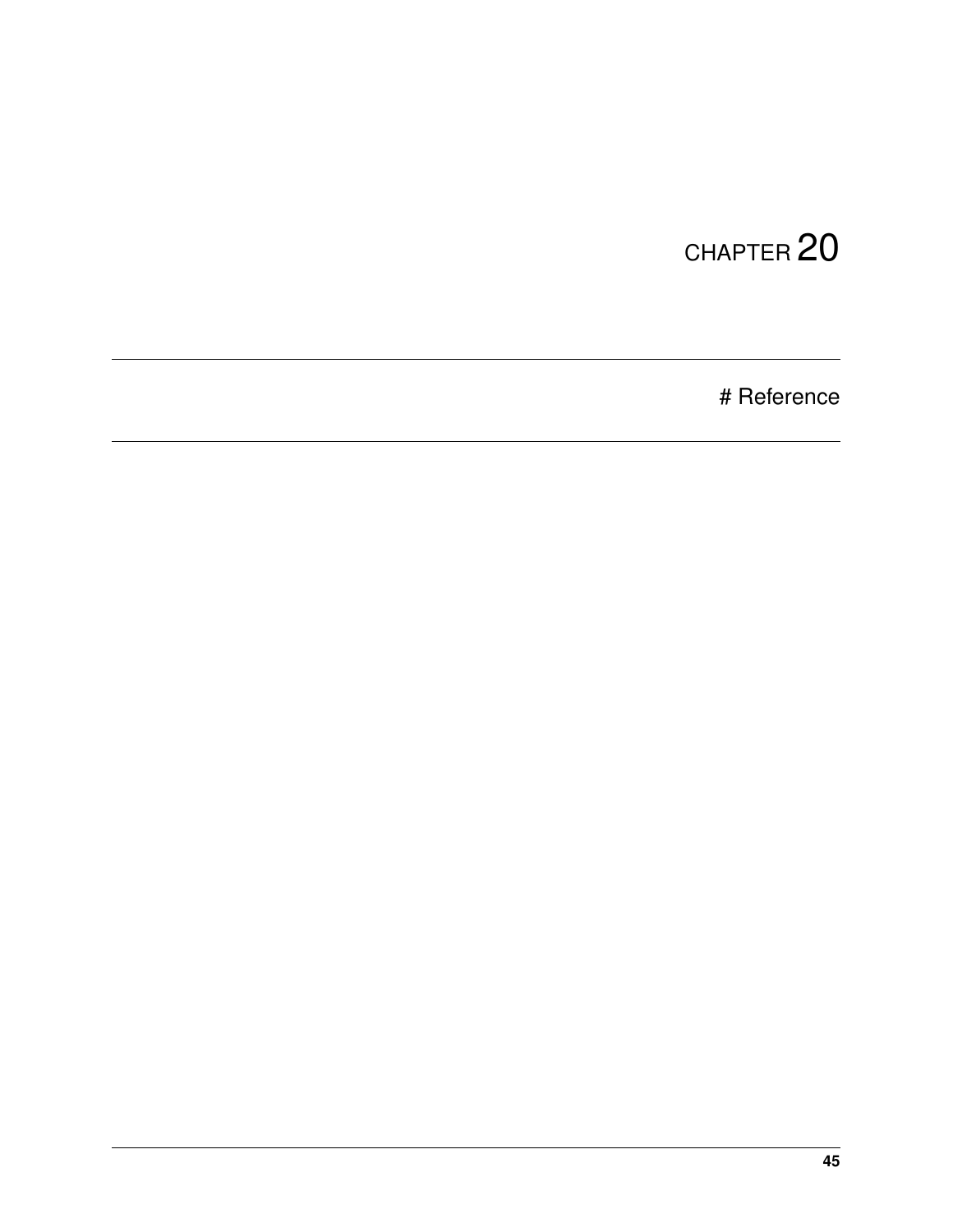# Reference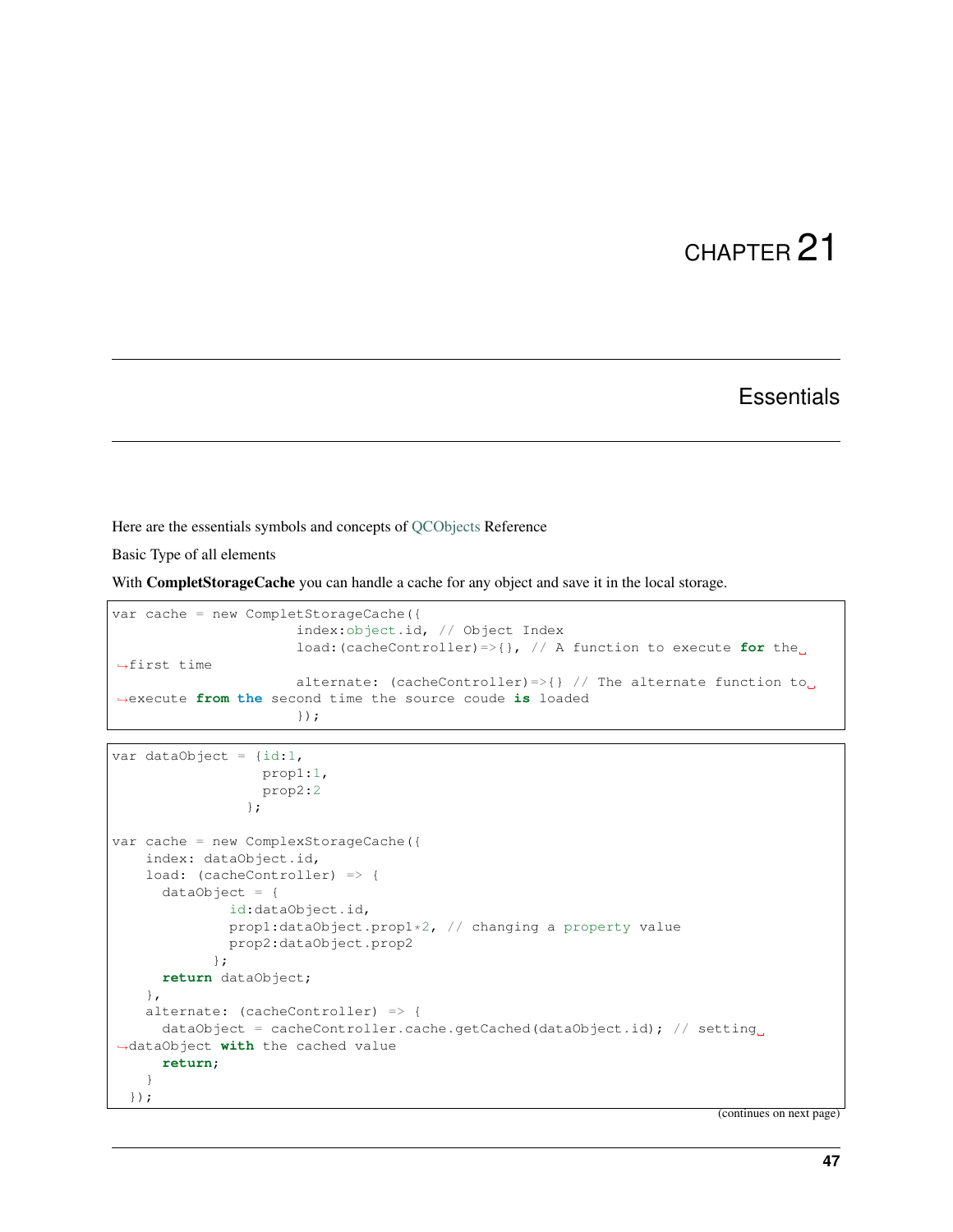#### **Essentials**

Here are the essentials symbols and concepts of [QCObjects](https://qcobjects.dev) Reference

Basic Type of all elements

With CompletStorageCache you can handle a cache for any object and save it in the local storage.

```
var cache = new CompletStorageCache({
                      index:object.id, // Object Index
                      load:(cacheController)=>{}, // A function to execute for the
˓→first time
                      alternate: (cacheController)=>{} // The alternate function to
˓→execute from the second time the source coude is loaded
                      });
```

```
var dataObject = {id:1,
                  prop1:1,
                  prop2:2
                };
var cache = new ComplexStorageCache({
   index: dataObject.id,
   load: (cacheController) => {
      dataObject = {
              id:dataObject.id,
              prop1:dataObject.prop1*2, // changing a property value
              prop2:dataObject.prop2
            };
     return dataObject;
    },
    alternate: (cacheController) => {
      dataObject = cacheController.cache.getCached(dataObject.id); // setting.
˓→dataObject with the cached value
      return;
    }
  });
```
(continues on next page)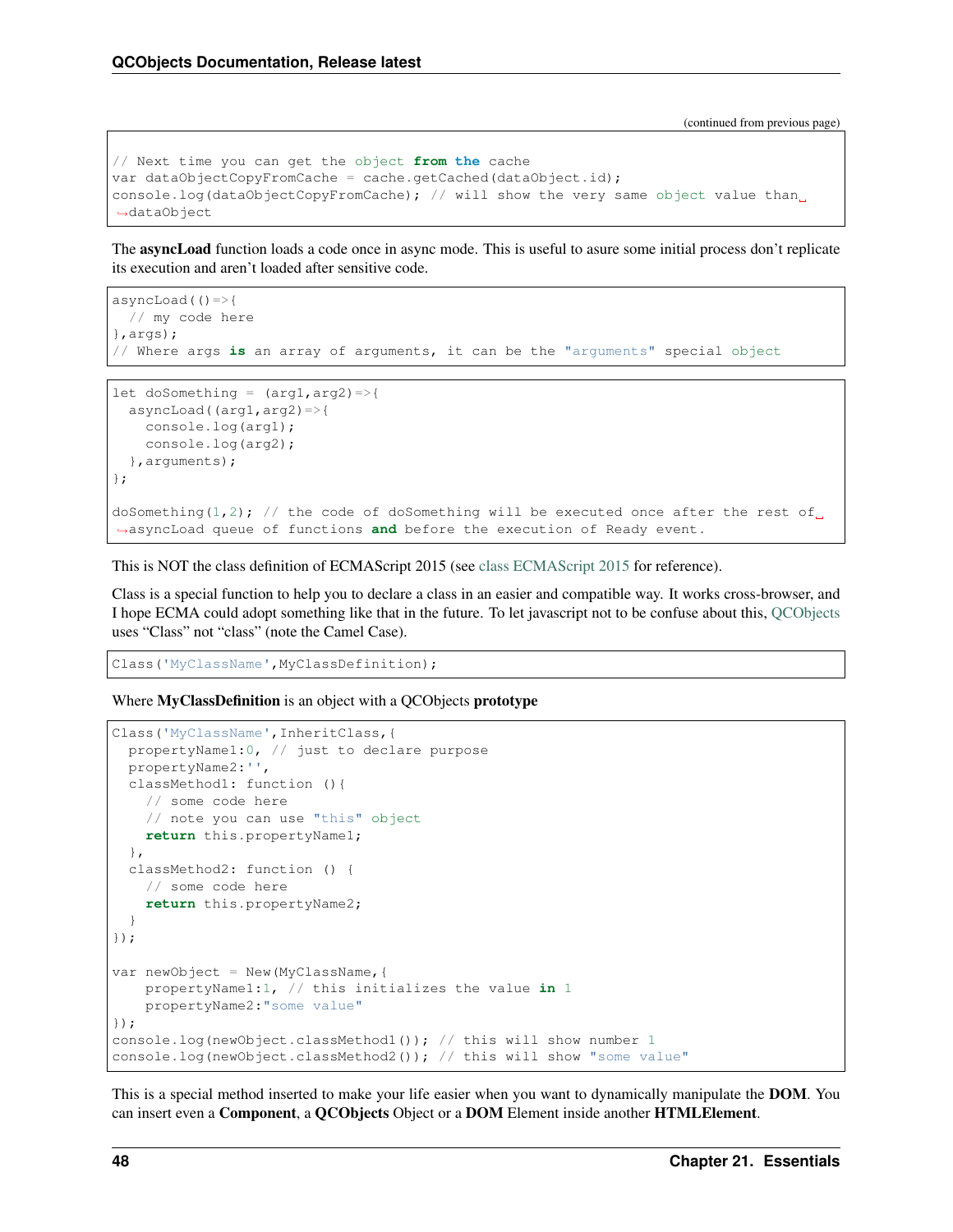(continued from previous page)

```
// Next time you can get the object from the cache
var dataObjectCopyFromCache = cache.getCached(dataObject.id);
console.log(dataObjectCopyFromCache); // will show the very same object value than
˓→dataObject
```
The asyncLoad function loads a code once in async mode. This is useful to asure some initial process don't replicate its execution and aren't loaded after sensitive code.

```
asyncLoad(()=>{
  // my code here
},args);
// Where args is an array of arguments, it can be the "arguments" special object
let doSomething = (\text{arg1}, \text{arg2}) =>{
```

```
asyncLoad((arg1,arg2)=>{
   console.log(arg1);
   console.log(arg2);
  },arguments);
};
doSomething(1,2); // the code of doSomething will be executed once after the rest of
˓→asyncLoad queue of functions and before the execution of Ready event.
```
This is NOT the class definition of ECMAScript 2015 (see [class ECMAScript 2015](https://developer.mozilla.org/en-US/docs/Web/JavaScript/Reference/Classes) for reference).

Class is a special function to help you to declare a class in an easier and compatible way. It works cross-browser, and I hope ECMA could adopt something like that in the future. To let javascript not to be confuse about this, [QCObjects](https://qcobjects.dev) uses "Class" not "class" (note the Camel Case).

Class('MyClassName',MyClassDefinition);

Where MyClassDefinition is an object with a QCObjects prototype

```
Class('MyClassName',InheritClass,{
  propertyName1:0, // just to declare purpose
  propertyName2:'',
  classMethod1: function (){
    // some code here
   // note you can use "this" object
   return this.propertyName1;
  },
  classMethod2: function () {
    // some code here
   return this.propertyName2;
  }
});
var newObject = New (MyClassName, {
   propertyName1:1, // this initializes the value in 1
   propertyName2:"some value"
});
console.log(newObject.classMethod1()); // this will show number 1
console.log(newObject.classMethod2()); // this will show "some value"
```
This is a special method inserted to make your life easier when you want to dynamically manipulate the **DOM**. You can insert even a Component, a QCObjects Object or a DOM Element inside another HTMLElement.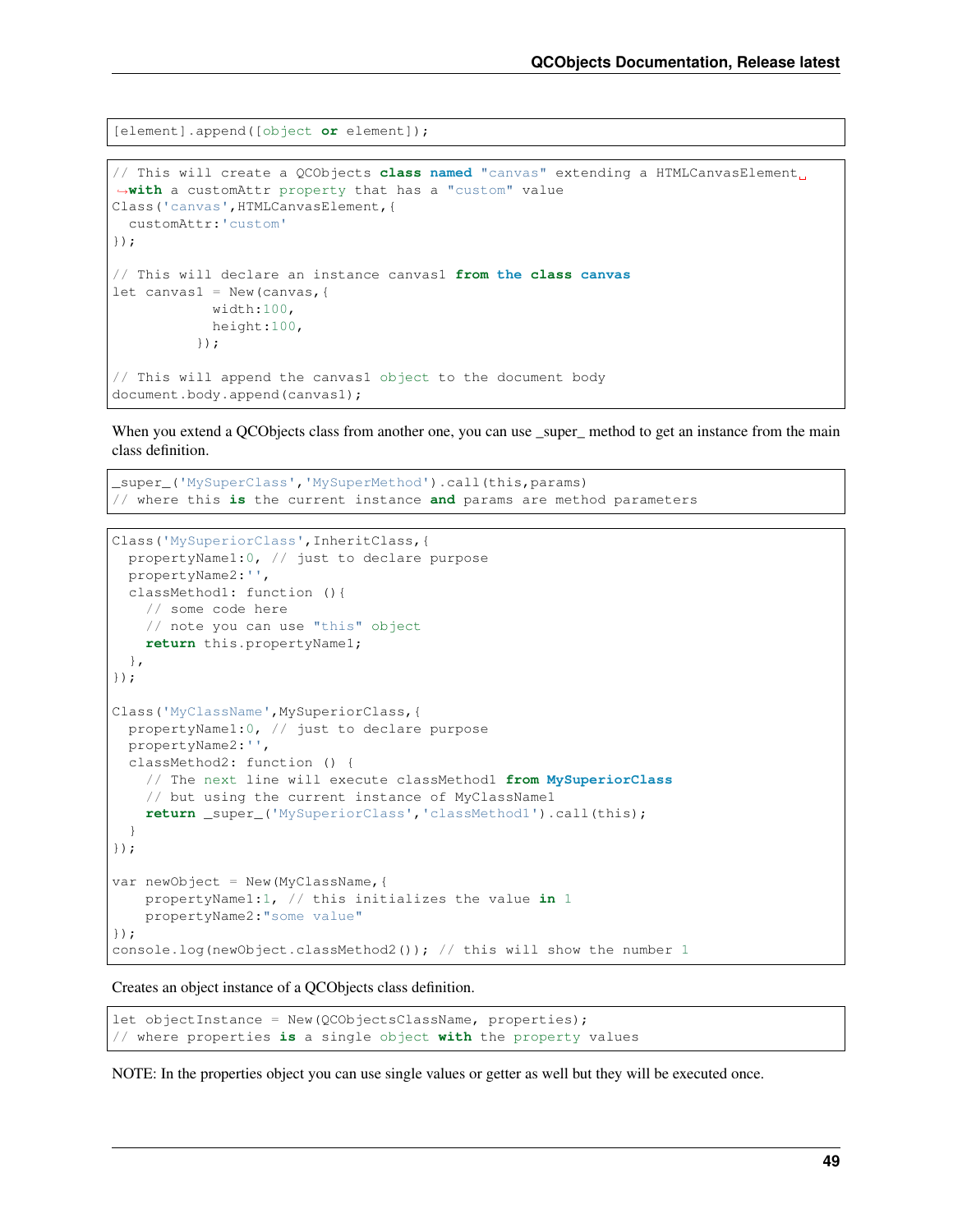[element].append([object **or** element]);

```
// This will create a QCObjects class named "canvas" extending a HTMLCanvasElement
˓→with a customAttr property that has a "custom" value
Class('canvas', HTMLCanvasElement, {
 customAttr:'custom'
});
// This will declare an instance canvas1 from the class canvas
let canvas1 = New (canvas, {
            width:100,
            height:100,
          });
// This will append the canvas1 object to the document body
document.body.append(canvas1);
```
When you extend a OCObjects class from another one, you can use super method to get an instance from the main class definition.

```
_super_('MySuperClass','MySuperMethod').call(this,params)
// where this is the current instance and params are method parameters
```

```
Class('MySuperiorClass', InheritClass, {
  propertyName1:0, // just to declare purpose
  propertyName2:'',
  classMethod1: function (){
   // some code here
   // note you can use "this" object
   return this.propertyName1;
 },
});
Class('MyClassName',MySuperiorClass,{
 propertyName1:0, // just to declare purpose
 propertyName2:'',
 classMethod2: function () {
    // The next line will execute classMethod1 from MySuperiorClass
    // but using the current instance of MyClassName1
    return _super_('MySuperiorClass','classMethod1').call(this);
  }
});
var newObject = New (MyClassName, {
   propertyName1:1, // this initializes the value in 1
   propertyName2:"some value"
});
console.log(newObject.classMethod2()); // this will show the number 1
```
Creates an object instance of a QCObjects class definition.

```
let objectInstance = New(QCObjectsClassName, properties);
// where properties is a single object with the property values
```
NOTE: In the properties object you can use single values or getter as well but they will be executed once.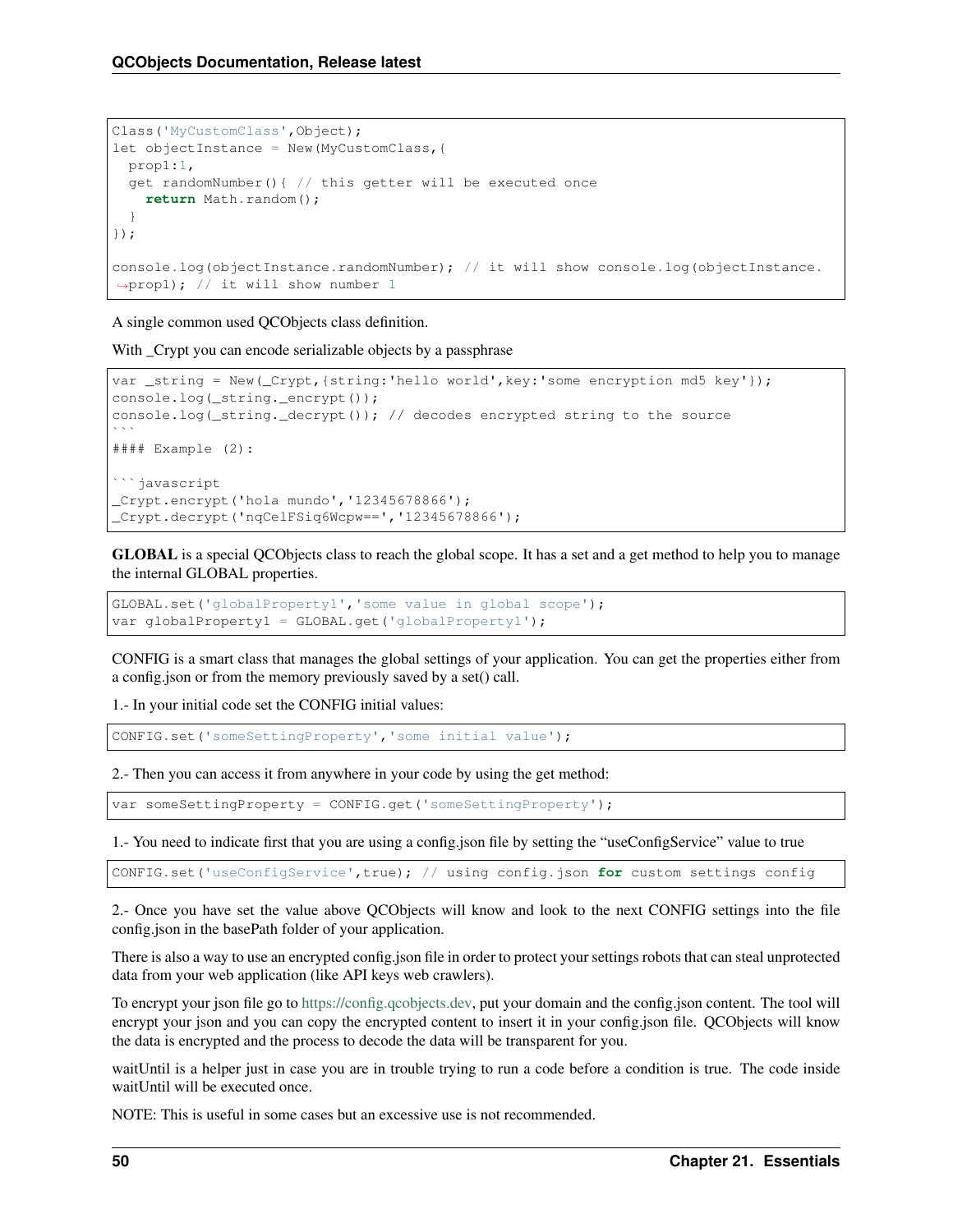```
Class('MyCustomClass',Object);
let objectInstance = New(MyCustomClass,{
 prop1:1,
  get randomNumber(){ // this getter will be executed once
   return Math.random();
  }
});
console.log(objectInstance.randomNumber); // it will show console.log(objectInstance.
˓→prop1); // it will show number 1
```
A single common used QCObjects class definition.

With \_Crypt you can encode serializable objects by a passphrase

```
var _string = New(_Crypt,{string:'hello world',key:'some encryption md5 key'});
console.log(_string._encrypt());
console.log( string. decrypt()); // decodes encrypted string to the source
\mathbf{v} \mathbf{v}#### Example (2):
```javascript
_Crypt.encrypt('hola mundo','12345678866');
Crypt.decrypt('nqCelFSiq6Wcpw==', '12345678866');
```
GLOBAL is a special QCObjects class to reach the global scope. It has a set and a get method to help you to manage the internal GLOBAL properties.

```
GLOBAL.set('globalProperty1','some value in global scope');
var globalProperty1 = GLOBAL.get('globalProperty1');
```
CONFIG is a smart class that manages the global settings of your application. You can get the properties either from a config.json or from the memory previously saved by a set() call.

1.- In your initial code set the CONFIG initial values:

```
CONFIG.set('someSettingProperty','some initial value');
```
2.- Then you can access it from anywhere in your code by using the get method:

var someSettingProperty = CONFIG.get('someSettingProperty');

1.- You need to indicate first that you are using a config.json file by setting the "useConfigService" value to true

CONFIG.set('useConfigService',true); // using config.json **for** custom settings config

2.- Once you have set the value above QCObjects will know and look to the next CONFIG settings into the file config.json in the basePath folder of your application.

There is also a way to use an encrypted config.json file in order to protect your settings robots that can steal unprotected data from your web application (like API keys web crawlers).

To encrypt your json file go to [https://config.qcobjects.dev,](https://config.qcobjects.dev) put your domain and the config.json content. The tool will encrypt your json and you can copy the encrypted content to insert it in your config.json file. OCObjects will know the data is encrypted and the process to decode the data will be transparent for you.

waitUntil is a helper just in case you are in trouble trying to run a code before a condition is true. The code inside waitUntil will be executed once.

NOTE: This is useful in some cases but an excessive use is not recommended.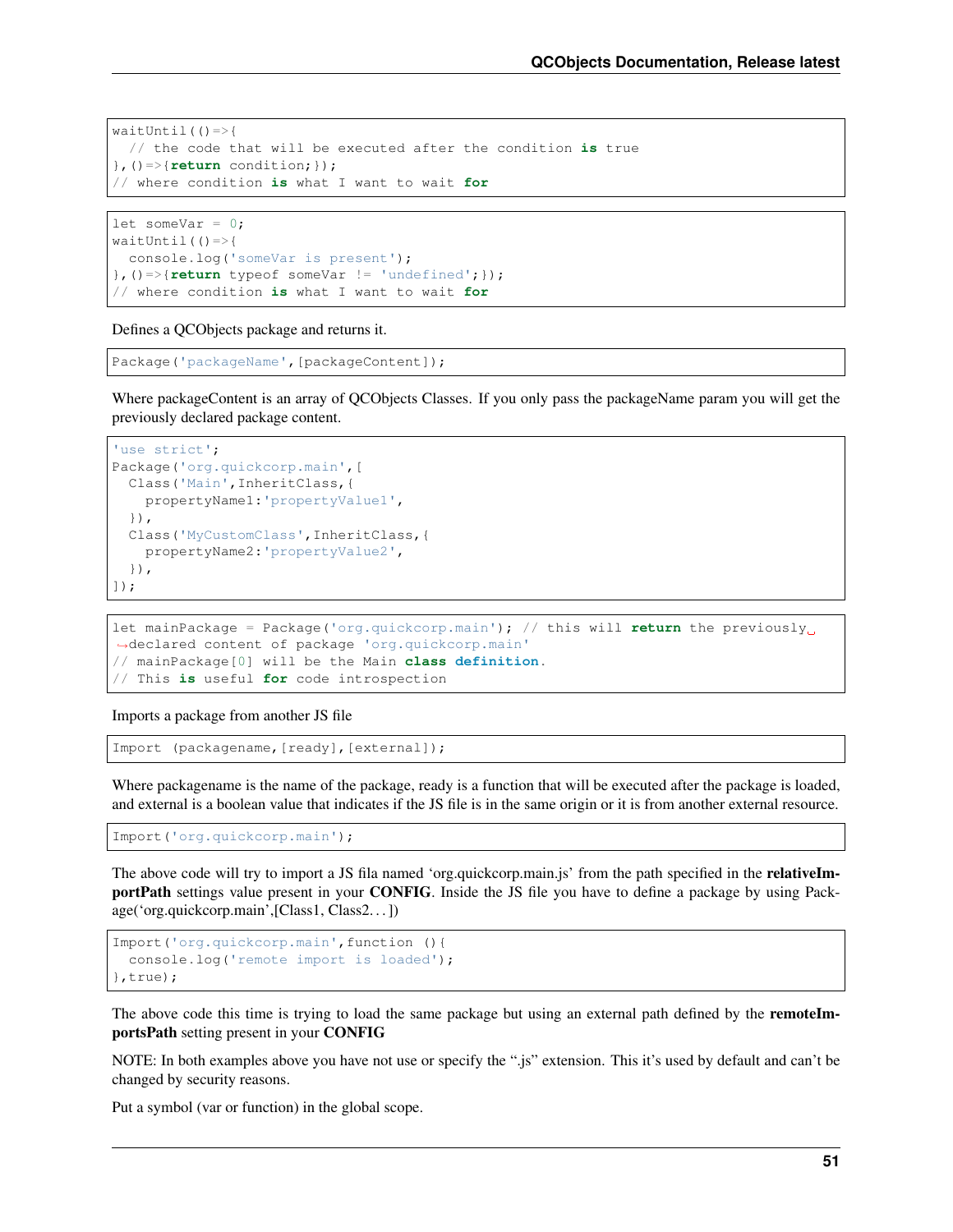```
waitUntil( ) =>{
  // the code that will be executed after the condition is true
},()=>{return condition;});
// where condition is what I want to wait for
```

```
let someVar = 0;
waitUntil( ) =>{
 console.log('someVar is present');
\}, () => {return typeof someVar != 'undefined'; });
// where condition is what I want to wait for
```
Defines a QCObjects package and returns it.

```
Package('packageName',[packageContent]);
```
Where packageContent is an array of QCObjects Classes. If you only pass the packageName param you will get the previously declared package content.

```
'use strict';
Package('org.quickcorp.main',[
  Class('Main',InheritClass,{
    propertyName1:'propertyValue1',
  }),
  Class('MyCustomClass', InheritClass, {
    propertyName2:'propertyValue2',
  }),
]);
```
let mainPackage = Package('org.quickcorp.main'); // this will **return** the previously ˓<sup>→</sup>declared content of package 'org.quickcorp.main' // mainPackage[0] will be the Main **class definition**. // This **is** useful **for** code introspection

Imports a package from another JS file

Import (packagename,[ready],[external]);

Where packagename is the name of the package, ready is a function that will be executed after the package is loaded, and external is a boolean value that indicates if the JS file is in the same origin or it is from another external resource.

Import('org.quickcorp.main');

The above code will try to import a JS fila named 'org.quickcorp.main.js' from the path specified in the **relativeIm**portPath settings value present in your CONFIG. Inside the JS file you have to define a package by using Package('org.quickcorp.main',[Class1, Class2. . . ])

```
Import('org.quickcorp.main',function (){
 console.log('remote import is loaded');
},true);
```
The above code this time is trying to load the same package but using an external path defined by the remoteImportsPath setting present in your CONFIG

NOTE: In both examples above you have not use or specify the ".js" extension. This it's used by default and can't be changed by security reasons.

Put a symbol (var or function) in the global scope.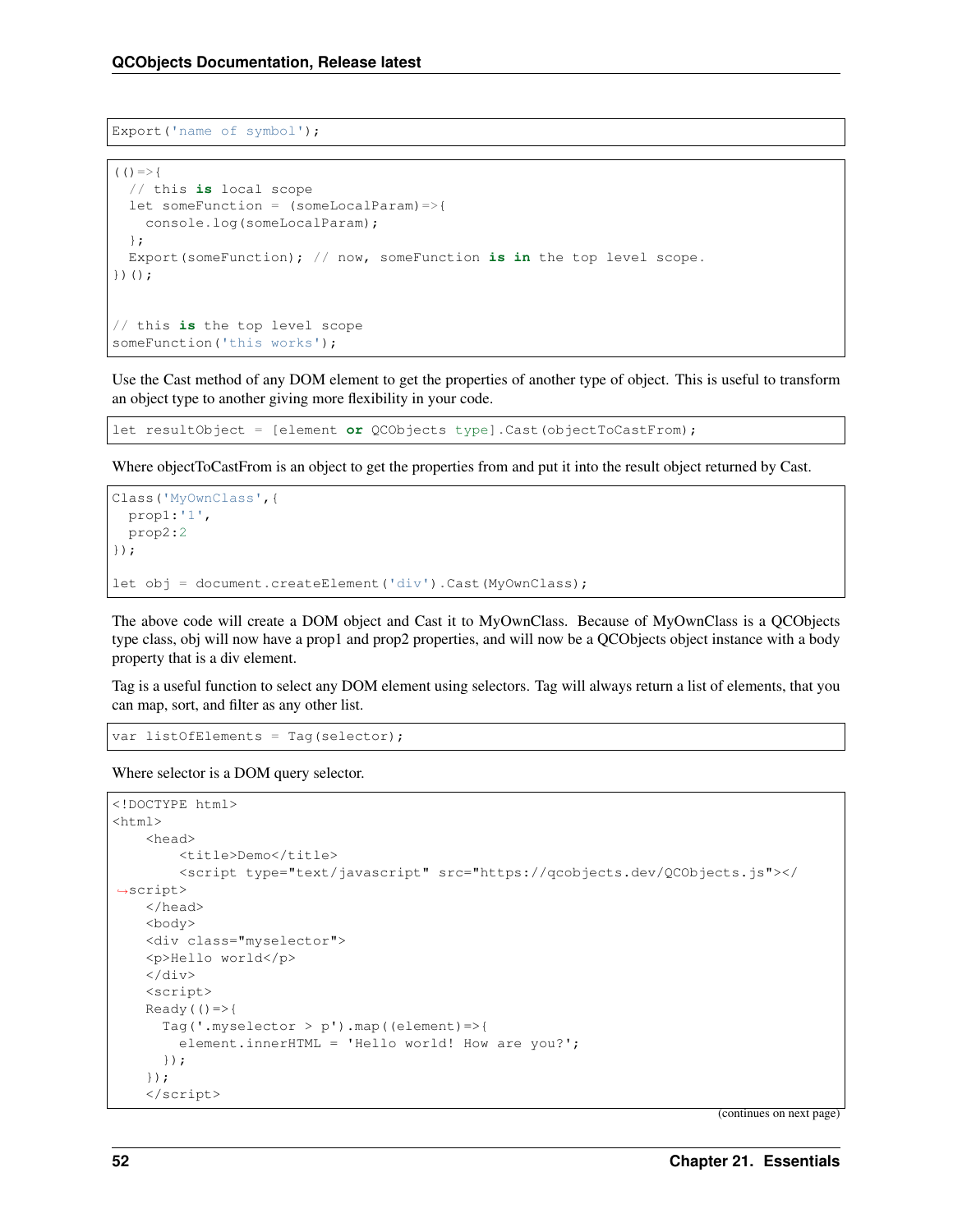```
Export('name of symbol');
```

```
(() =>{
  // this is local scope
  let someFunction = (someLocalParam)=>{
   console.log(someLocalParam);
  };
 Export(someFunction); // now, someFunction is in the top level scope.
})();
// this is the top level scope
someFunction('this works');
```
Use the Cast method of any DOM element to get the properties of another type of object. This is useful to transform an object type to another giving more flexibility in your code.

let resultObject = [element **or** QCObjects type].Cast(objectToCastFrom);

Where object ToCastFrom is an object to get the properties from and put it into the result object returned by Cast.

```
Class('MyOwnClass',{
 prop1:'1',
 prop2:2
});
let obj = document.createElement('div').Cast(MyOwnClass);
```
The above code will create a DOM object and Cast it to MyOwnClass. Because of MyOwnClass is a QCObjects type class, obj will now have a prop1 and prop2 properties, and will now be a QCObjects object instance with a body property that is a div element.

Tag is a useful function to select any DOM element using selectors. Tag will always return a list of elements, that you can map, sort, and filter as any other list.

var listOfElements = Tag(selector);

Where selector is a DOM query selector.

```
<!DOCTYPE html>
<html><head>
        <title>Demo</title>
        <script type="text/javascript" src="https://qcobjects.dev/QCObjects.js"></
˓→script>
   </head>
   <body>
   <div class="myselector">
   <p>Hello world</p>
   \langlediv>
   <script>
   Ready(() =>Tag('.myselector > p').map((element)=>{
        element.innerHTML = 'Hello world! How are you?';
      });
    });
    </script>
```
(continues on next page)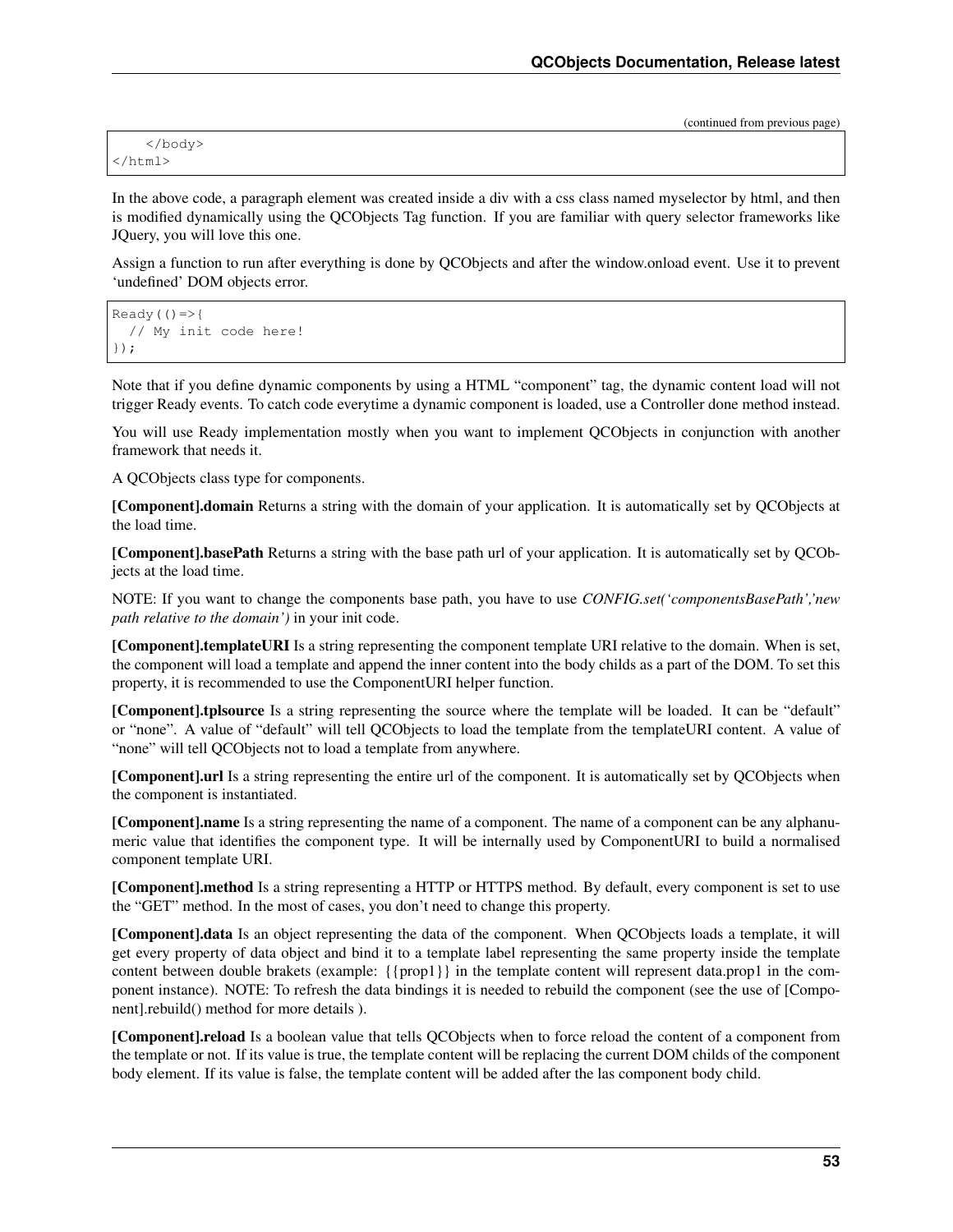(continued from previous page)

In the above code, a paragraph element was created inside a div with a css class named myselector by html, and then is modified dynamically using the QCObjects Tag function. If you are familiar with query selector frameworks like JQuery, you will love this one.

Assign a function to run after everything is done by QCObjects and after the window.onload event. Use it to prevent 'undefined' DOM objects error.

```
Ready(() \Rightarrow{
   // My init code here!
});
```
Note that if you define dynamic components by using a HTML "component" tag, the dynamic content load will not trigger Ready events. To catch code everytime a dynamic component is loaded, use a Controller done method instead.

You will use Ready implementation mostly when you want to implement QCObjects in conjunction with another framework that needs it.

A QCObjects class type for components.

[Component].domain Returns a string with the domain of your application. It is automatically set by QCObjects at the load time.

[Component].basePath Returns a string with the base path url of your application. It is automatically set by QCObjects at the load time.

NOTE: If you want to change the components base path, you have to use *CONFIG.set('componentsBasePath','new path relative to the domain')* in your init code.

[Component].templateURI Is a string representing the component template URI relative to the domain. When is set, the component will load a template and append the inner content into the body childs as a part of the DOM. To set this property, it is recommended to use the ComponentURI helper function.

[Component].tplsource Is a string representing the source where the template will be loaded. It can be "default" or "none". A value of "default" will tell QCObjects to load the template from the templateURI content. A value of "none" will tell QCObjects not to load a template from anywhere.

[Component].url Is a string representing the entire url of the component. It is automatically set by QCObjects when the component is instantiated.

[Component].name Is a string representing the name of a component. The name of a component can be any alphanumeric value that identifies the component type. It will be internally used by ComponentURI to build a normalised component template URI.

[Component].method Is a string representing a HTTP or HTTPS method. By default, every component is set to use the "GET" method. In the most of cases, you don't need to change this property.

[Component].data Is an object representing the data of the component. When QCObjects loads a template, it will get every property of data object and bind it to a template label representing the same property inside the template content between double brakets (example: {{prop1}} in the template content will represent data.prop1 in the component instance). NOTE: To refresh the data bindings it is needed to rebuild the component (see the use of [Component].rebuild() method for more details ).

[Component].reload Is a boolean value that tells QCObjects when to force reload the content of a component from the template or not. If its value is true, the template content will be replacing the current DOM childs of the component body element. If its value is false, the template content will be added after the las component body child.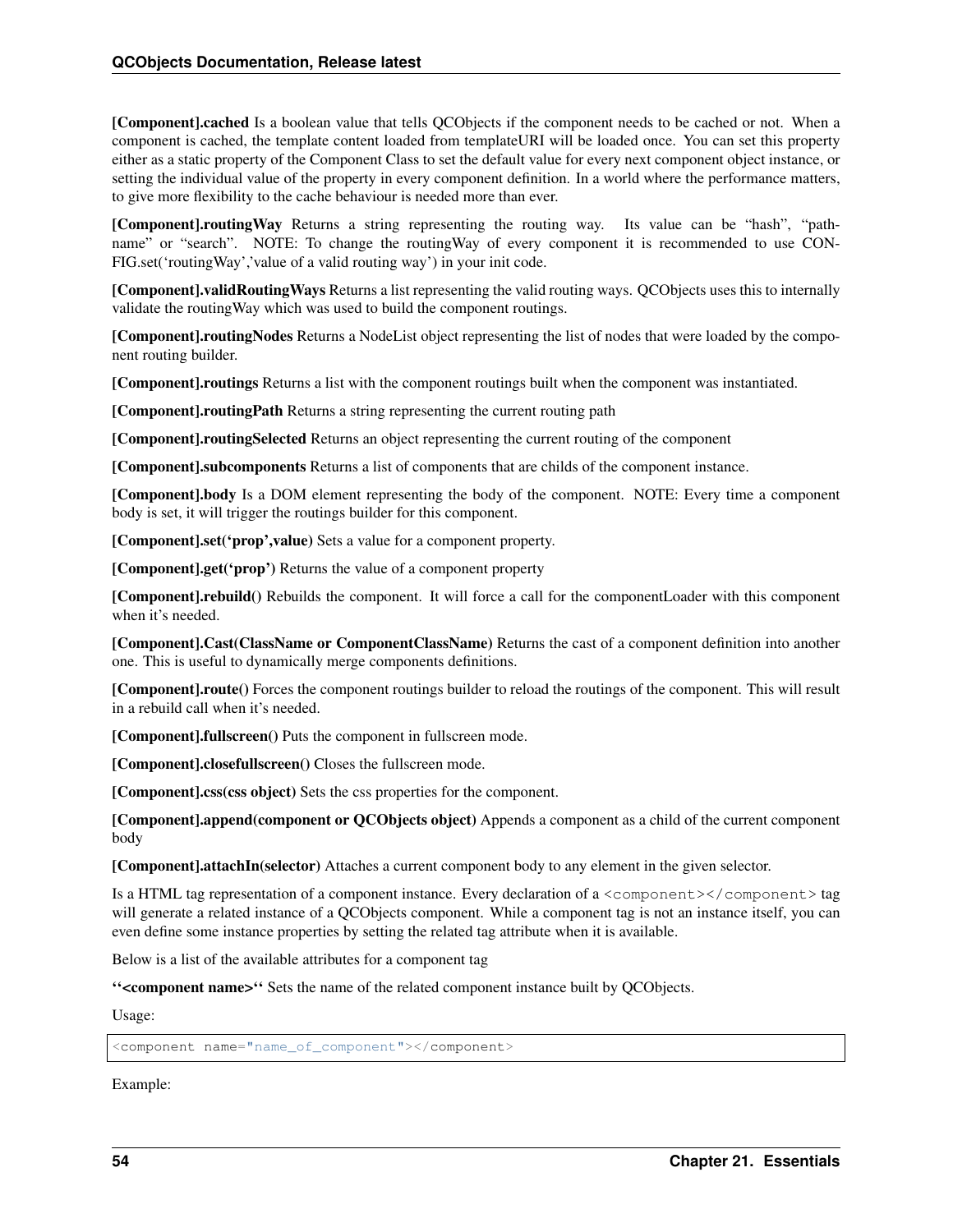[Component].cached Is a boolean value that tells QCObjects if the component needs to be cached or not. When a component is cached, the template content loaded from templateURI will be loaded once. You can set this property either as a static property of the Component Class to set the default value for every next component object instance, or setting the individual value of the property in every component definition. In a world where the performance matters, to give more flexibility to the cache behaviour is needed more than ever.

[Component].routingWay Returns a string representing the routing way. Its value can be "hash", "pathname" or "search". NOTE: To change the routingWay of every component it is recommended to use CON-FIG.set('routingWay','value of a valid routing way') in your init code.

[Component].validRoutingWays Returns a list representing the valid routing ways. QCObjects uses this to internally validate the routingWay which was used to build the component routings.

[Component].routingNodes Returns a NodeList object representing the list of nodes that were loaded by the component routing builder.

[Component].routings Returns a list with the component routings built when the component was instantiated.

[Component].routingPath Returns a string representing the current routing path

[Component].routingSelected Returns an object representing the current routing of the component

[Component].subcomponents Returns a list of components that are childs of the component instance.

[Component].body Is a DOM element representing the body of the component. NOTE: Every time a component body is set, it will trigger the routings builder for this component.

[Component].set('prop',value) Sets a value for a component property.

[Component].get('prop') Returns the value of a component property

[Component].rebuild() Rebuilds the component. It will force a call for the componentLoader with this component when it's needed.

[Component].Cast(ClassName or ComponentClassName) Returns the cast of a component definition into another one. This is useful to dynamically merge components definitions.

[Component].route() Forces the component routings builder to reload the routings of the component. This will result in a rebuild call when it's needed.

[Component].fullscreen() Puts the component in fullscreen mode.

[Component].closefullscreen() Closes the fullscreen mode.

[Component].css(css object) Sets the css properties for the component.

[Component].append(component or QCObjects object) Appends a component as a child of the current component body

[Component].attachIn(selector) Attaches a current component body to any element in the given selector.

Is a HTML tag representation of a component instance. Every declaration of a  $\leq$ component $\geq$ lcomponent $\geq$  tag will generate a related instance of a QCObjects component. While a component tag is not an instance itself, you can even define some instance properties by setting the related tag attribute when it is available.

Below is a list of the available attributes for a component tag

''<component name>'' Sets the name of the related component instance built by QCObjects.

Usage:

<component name="name\_of\_component"></component>

Example: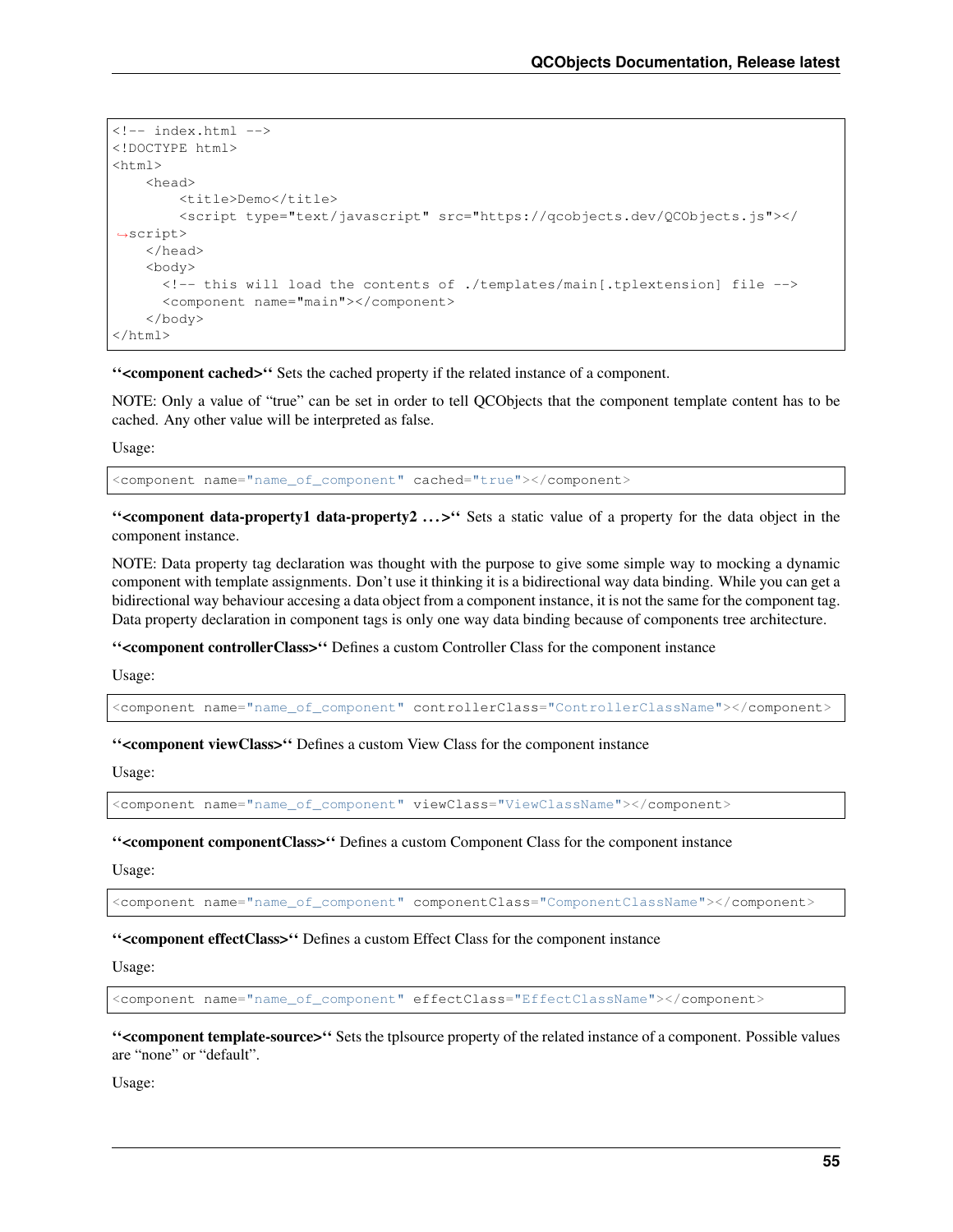```
<!-- index.html -->
<!DOCTYPE html>
<html>
    <head>
        <title>Demo</title>
        <script type="text/javascript" src="https://qcobjects.dev/QCObjects.js"></
˓→script>
    </head>
    <body>
      <!-- this will load the contents of ./templates/main[.tplextension] file -->
      <component name="main"></component>
    </body>
</html>
```
''<component cached>'' Sets the cached property if the related instance of a component.

NOTE: Only a value of "true" can be set in order to tell QCObjects that the component template content has to be cached. Any other value will be interpreted as false.

Usage:

<component name="name\_of\_component" cached="true"></component>

">>>" Sets a static value of a property for the data object in the  $\sim$ component instance.

NOTE: Data property tag declaration was thought with the purpose to give some simple way to mocking a dynamic component with template assignments. Don't use it thinking it is a bidirectional way data binding. While you can get a bidirectional way behaviour accesing a data object from a component instance, it is not the same for the component tag. Data property declaration in component tags is only one way data binding because of components tree architecture.

''<component controllerClass>'' Defines a custom Controller Class for the component instance

Usage:

<component name="name\_of\_component" controllerClass="ControllerClassName"></component>

''<component viewClass>'' Defines a custom View Class for the component instance

Usage:

<component name="name\_of\_component" viewClass="ViewClassName"></component>

''<component componentClass>'' Defines a custom Component Class for the component instance

Usage:

<component name="name\_of\_component" componentClass="ComponentClassName"></component>

''<component effectClass>'' Defines a custom Effect Class for the component instance

Usage:

<component name="name\_of\_component" effectClass="EffectClassName"></component>

''<component template-source>'' Sets the tplsource property of the related instance of a component. Possible values are "none" or "default".

Usage: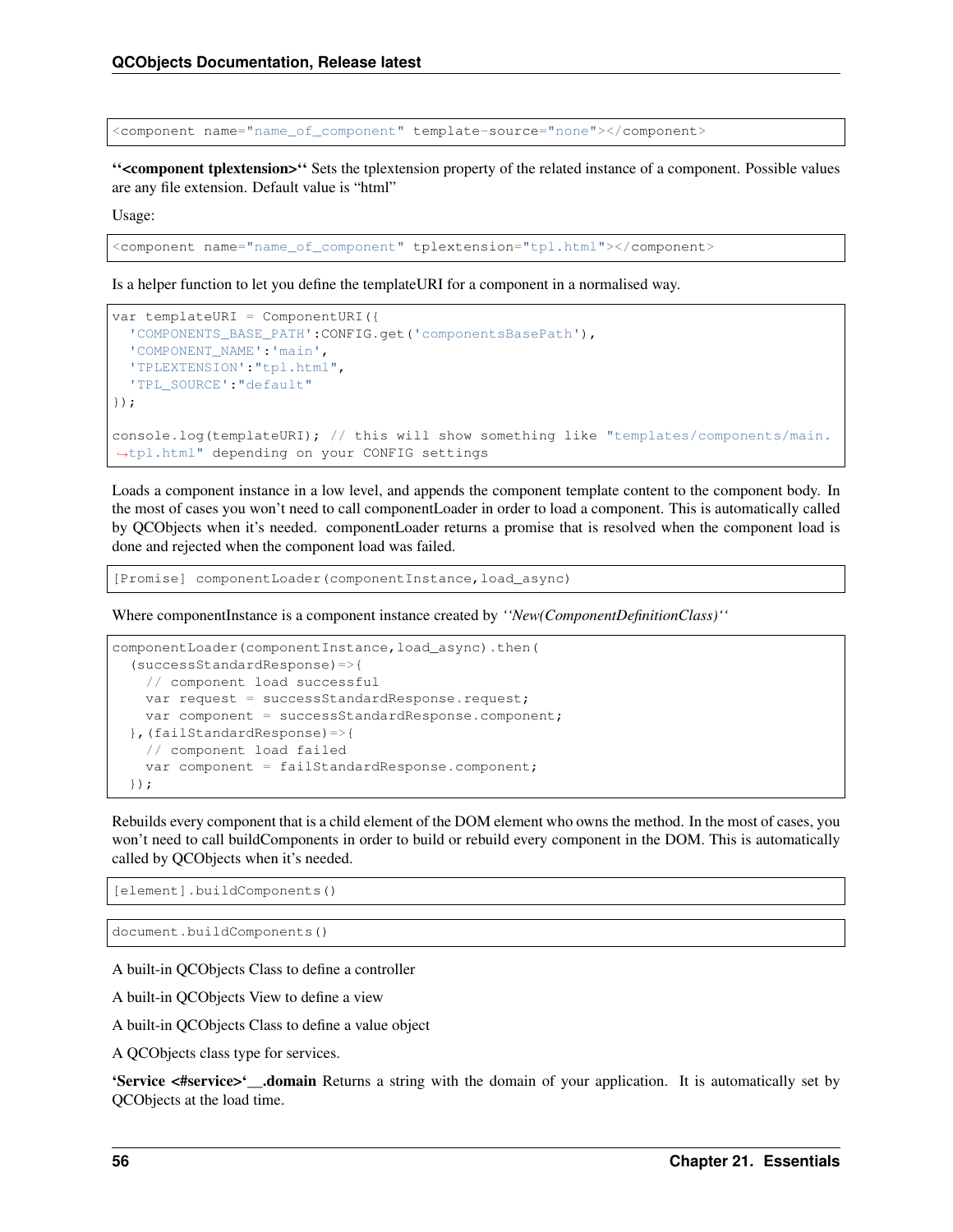<component name="name\_of\_component" template-source="none"></component>

''<component tplextension>'' Sets the tplextension property of the related instance of a component. Possible values are any file extension. Default value is "html"

Usage:

<component name="name\_of\_component" tplextension="tpl.html"></component>

Is a helper function to let you define the templateURI for a component in a normalised way.

```
var templateURI = ComponentURI({
  'COMPONENTS_BASE_PATH':CONFIG.get('componentsBasePath'),
  'COMPONENT_NAME':'main',
  'TPLEXTENSION':"tpl.html",
  'TPL_SOURCE':"default"
});
console.log(templateURI); // this will show something like "templates/components/main.
˓→tpl.html" depending on your CONFIG settings
```
Loads a component instance in a low level, and appends the component template content to the component body. In the most of cases you won't need to call componentLoader in order to load a component. This is automatically called by QCObjects when it's needed. componentLoader returns a promise that is resolved when the component load is done and rejected when the component load was failed.

[Promise] componentLoader(componentInstance,load\_async)

Where componentInstance is a component instance created by *''New(ComponentDefinitionClass)''*

```
componentLoader(componentInstance,load_async).then(
  (successStandardResponse)=>{
   // component load successful
   var request = successStandardResponse.request;
   var component = successStandardResponse.component;
 },(failStandardResponse)=>{
   // component load failed
   var component = failStandardResponse.component;
 });
```
Rebuilds every component that is a child element of the DOM element who owns the method. In the most of cases, you won't need to call buildComponents in order to build or rebuild every component in the DOM. This is automatically called by QCObjects when it's needed.

[element].buildComponents()

document.buildComponents()

A built-in QCObjects Class to define a controller

A built-in QCObjects View to define a view

A built-in QCObjects Class to define a value object

A QCObjects class type for services.

'Service <#service>'. domain Returns a string with the domain of your application. It is automatically set by QCObjects at the load time.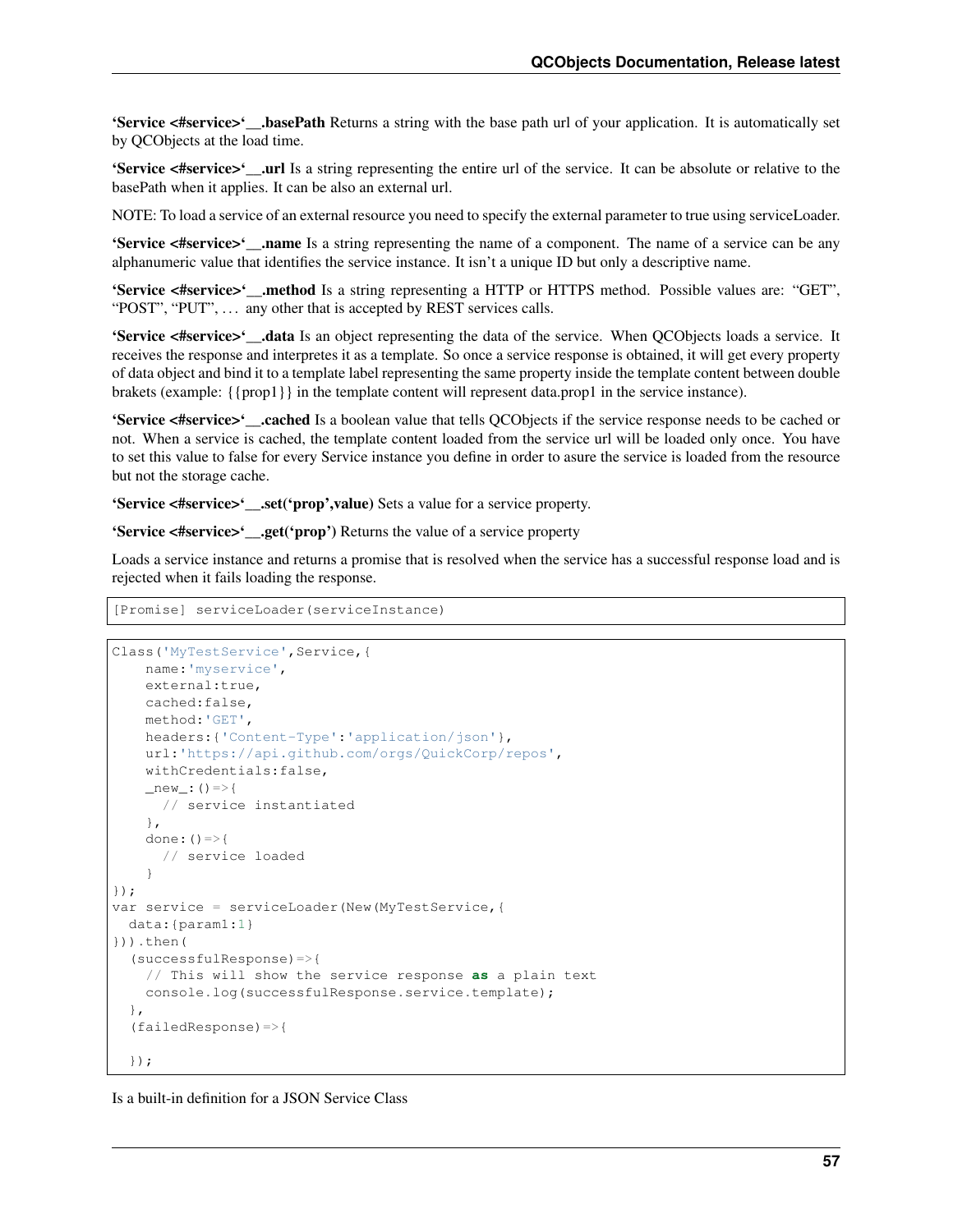'Service <#service>'. basePath Returns a string with the base path url of your application. It is automatically set by QCObjects at the load time.

'Service <#service>'\_\_.url Is a string representing the entire url of the service. It can be absolute or relative to the basePath when it applies. It can be also an external url.

NOTE: To load a service of an external resource you need to specify the external parameter to true using serviceLoader.

'Service <#service>'\_\_.name Is a string representing the name of a component. The name of a service can be any alphanumeric value that identifies the service instance. It isn't a unique ID but only a descriptive name.

'Service <#service>'\_\_.method Is a string representing a HTTP or HTTPS method. Possible values are: "GET", "POST", "PUT", ... any other that is accepted by REST services calls.

'Service <#service>'\_\_.data Is an object representing the data of the service. When QCObjects loads a service. It receives the response and interpretes it as a template. So once a service response is obtained, it will get every property of data object and bind it to a template label representing the same property inside the template content between double brakets (example: {{prop1}} in the template content will represent data.prop1 in the service instance).

'Service <#service>'\_\_.cached Is a boolean value that tells QCObjects if the service response needs to be cached or not. When a service is cached, the template content loaded from the service url will be loaded only once. You have to set this value to false for every Service instance you define in order to asure the service is loaded from the resource but not the storage cache.

'Service <#service>'\_\_.set('prop',value) Sets a value for a service property.

'Service <#service>'\_\_.get('prop') Returns the value of a service property

Loads a service instance and returns a promise that is resolved when the service has a successful response load and is rejected when it fails loading the response.

[Promise] serviceLoader(serviceInstance)

```
Class('MyTestService', Service, {
   name:'myservice',
   external:true,
   cached:false,
   method:'GET',
   headers:{'Content-Type':'application/json'},
    url:'https://api.github.com/orgs/QuickCorp/repos',
    withCredentials:false,
    _new: () =>{
     // service instantiated
    },
    done: () =>{
      // service loaded
    }
});
var service = serviceLoader(New(MyTestService,{
 data:{param1:1}
})).then(
  (successfulResponse)=>{
    // This will show the service response as a plain text
    console.log(successfulResponse.service.template);
  },
  (failedResponse)=>{
  });
```
Is a built-in definition for a JSON Service Class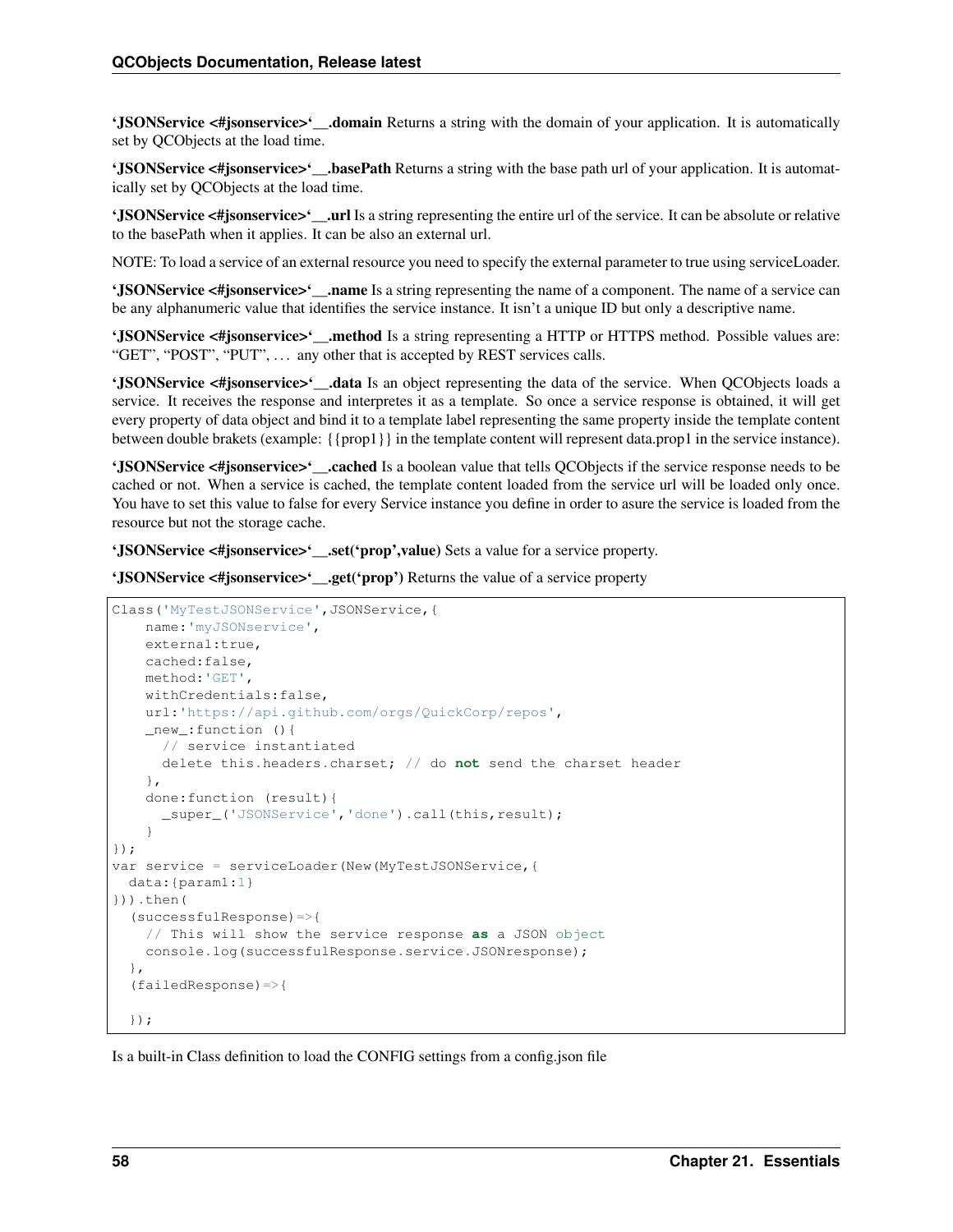'JSONService <#jsonservice>'...domain Returns a string with the domain of your application. It is automatically set by QCObjects at the load time.

'JSONService <#jsonservice>'\_\_.basePath Returns a string with the base path url of your application. It is automatically set by QCObjects at the load time.

'JSONService <#jsonservice>'..url Is a string representing the entire url of the service. It can be absolute or relative to the basePath when it applies. It can be also an external url.

NOTE: To load a service of an external resource you need to specify the external parameter to true using serviceLoader.

'JSONService <#jsonservice>'\_\_.name Is a string representing the name of a component. The name of a service can be any alphanumeric value that identifies the service instance. It isn't a unique ID but only a descriptive name.

'JSONService <#jsonservice>'\_\_.method Is a string representing a HTTP or HTTPS method. Possible values are: "GET", "POST", "PUT", ... any other that is accepted by REST services calls.

'JSONService <#jsonservice>'...data Is an object representing the data of the service. When OCObjects loads a service. It receives the response and interpretes it as a template. So once a service response is obtained, it will get every property of data object and bind it to a template label representing the same property inside the template content between double brakets (example: {{prop1}} in the template content will represent data.prop1 in the service instance).

'JSONService <#jsonservice>'\_\_.cached Is a boolean value that tells QCObjects if the service response needs to be cached or not. When a service is cached, the template content loaded from the service url will be loaded only once. You have to set this value to false for every Service instance you define in order to asure the service is loaded from the resource but not the storage cache.

'JSONService <#jsonservice>'\_\_.set('prop',value) Sets a value for a service property.

'JSONService <#jsonservice>'..get('prop') Returns the value of a service property

```
Class('MyTestJSONService',JSONService,{
   name:'myJSONservice',
   external:true,
   cached:false,
   method:'GET',
   withCredentials:false,
   url:'https://api.github.com/orgs/QuickCorp/repos',
    _new_:function (){
      // service instantiated
      delete this.headers.charset; // do not send the charset header
    },
    done:function (result){
      _super_('JSONService','done').call(this,result);
    }
});
var service = serviceLoader(New(MyTestJSONService,{
 data:{param1:1}
})).then(
  (successfulResponse)=>{
    // This will show the service response as a JSON object
    console.log(successfulResponse.service.JSONresponse);
  },
  (failedResponse)=>{
  });
```
Is a built-in Class definition to load the CONFIG settings from a config.json file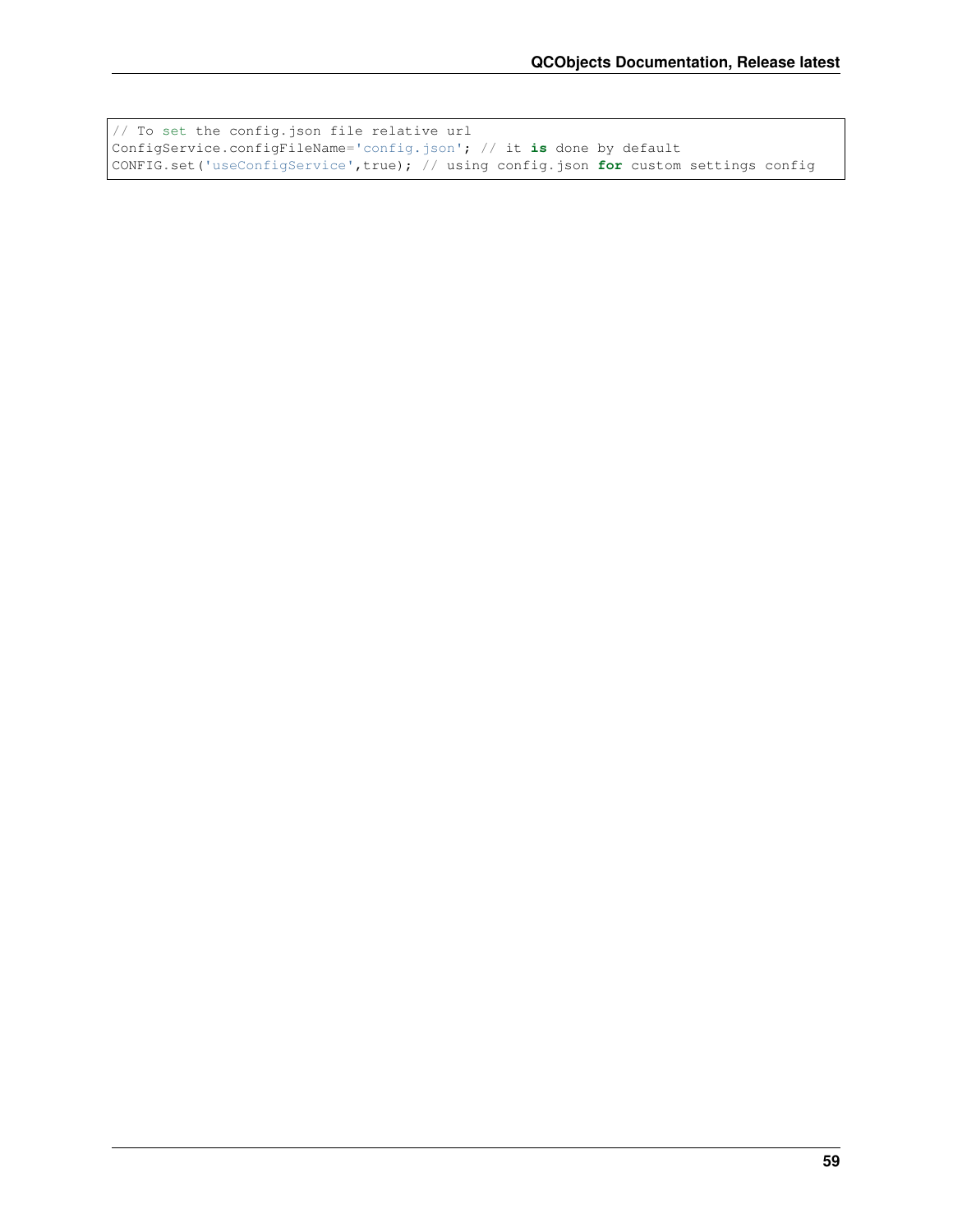```
// To set the config.json file relative url
ConfigService.configFileName='config.json'; // it is done by default
CONFIG.set('useConfigService',true); // using config.json for custom settings config
```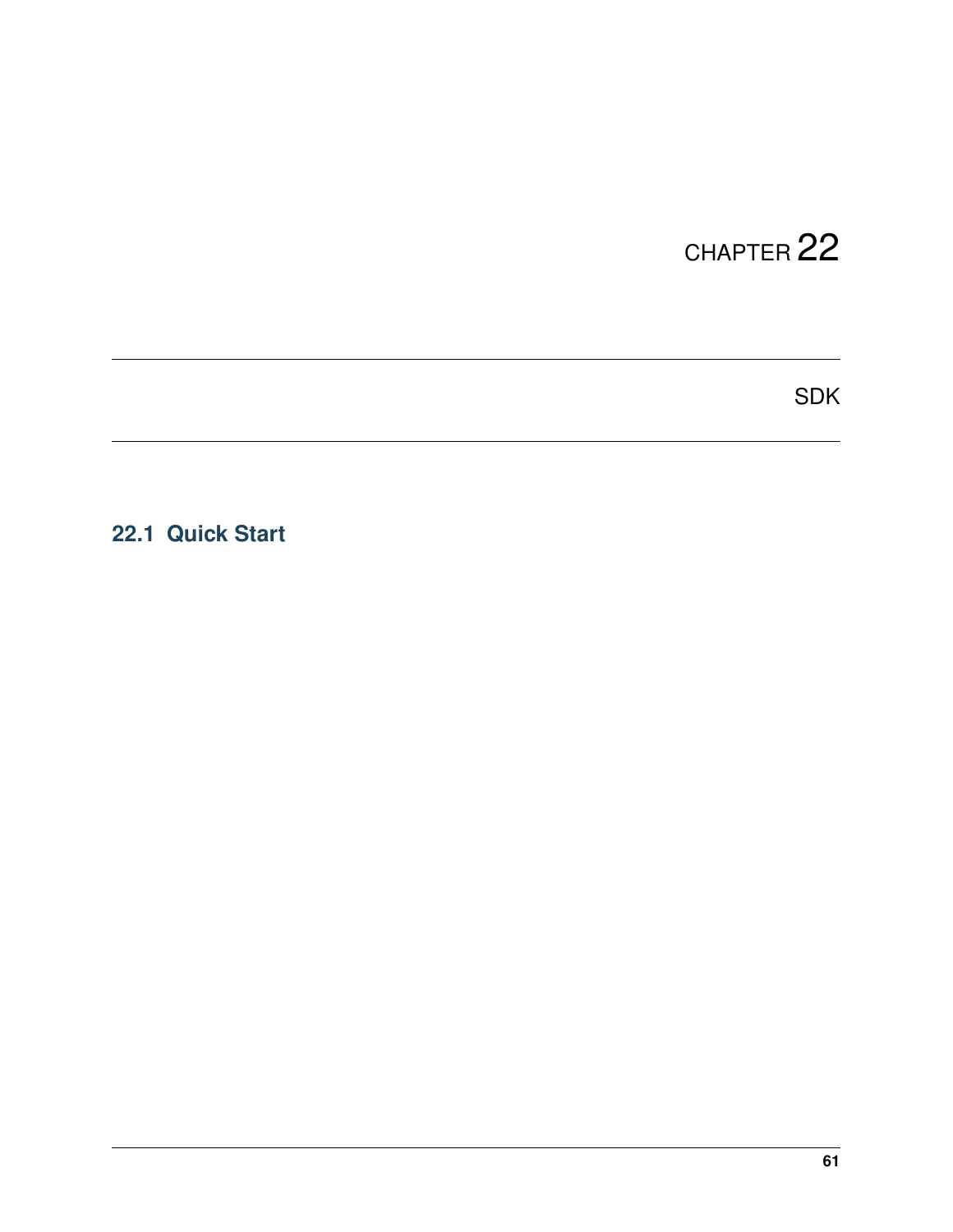SDK

### **22.1 Quick Start**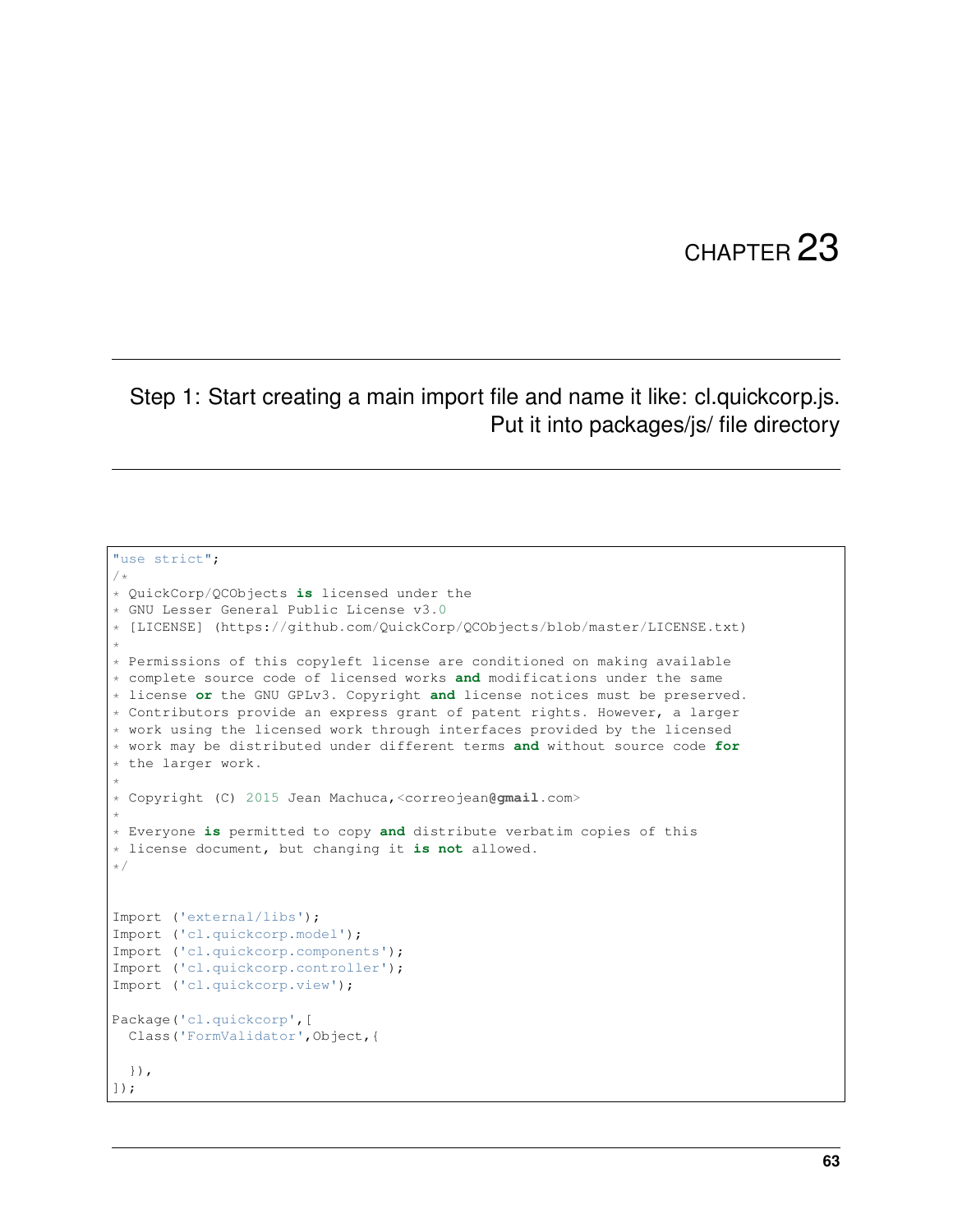#### Step 1: Start creating a main import file and name it like: cl.quickcorp.js. Put it into packages/js/ file directory

```
"use strict";
/*
* QuickCorp/QCObjects is licensed under the
* GNU Lesser General Public License v3.0
* [LICENSE] (https://github.com/QuickCorp/QCObjects/blob/master/LICENSE.txt)
*
* Permissions of this copyleft license are conditioned on making available
* complete source code of licensed works and modifications under the same
* license or the GNU GPLv3. Copyright and license notices must be preserved.
* Contributors provide an express grant of patent rights. However, a larger
* work using the licensed work through interfaces provided by the licensed
* work may be distributed under different terms and without source code for
* the larger work.
*
* Copyright (C) 2015 Jean Machuca,<correojean@gmail.com>
*
* Everyone is permitted to copy and distribute verbatim copies of this
* license document, but changing it is not allowed.
*/
Import ('external/libs');
Import ('cl.quickcorp.model');
Import ('cl.quickcorp.components');
Import ('cl.quickcorp.controller');
Import ('cl.quickcorp.view');
Package('cl.quickcorp',[
 Class('FormValidator',Object,{
  }),
]);
```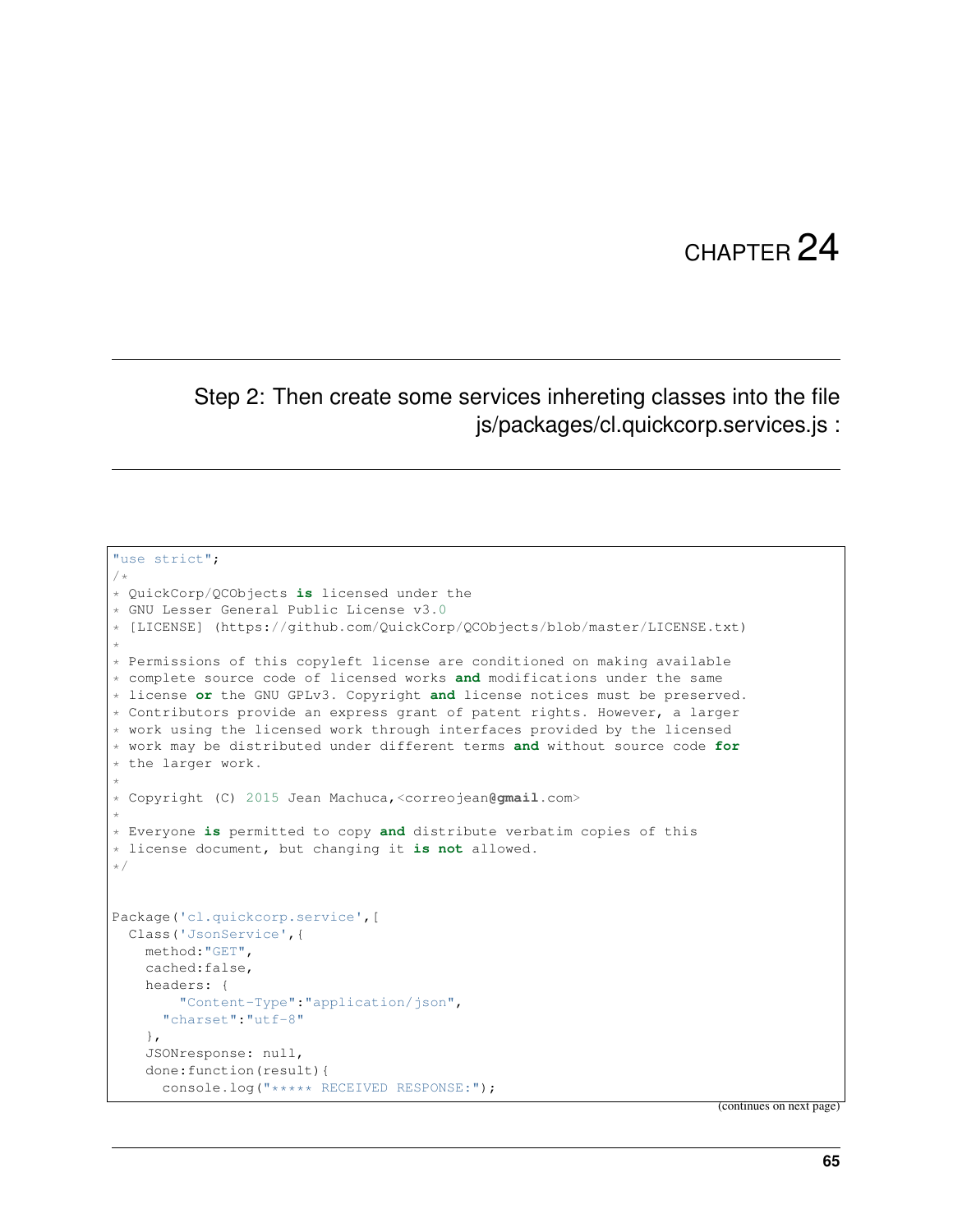#### Step 2: Then create some services inhereting classes into the file js/packages/cl.quickcorp.services.js :

```
"use strict";
/*
* QuickCorp/QCObjects is licensed under the
* GNU Lesser General Public License v3.0
* [LICENSE] (https://github.com/QuickCorp/QCObjects/blob/master/LICENSE.txt)
*
* Permissions of this copyleft license are conditioned on making available
* complete source code of licensed works and modifications under the same
* license or the GNU GPLv3. Copyright and license notices must be preserved.
* Contributors provide an express grant of patent rights. However, a larger
* work using the licensed work through interfaces provided by the licensed
* work may be distributed under different terms and without source code for
* the larger work.
*
* Copyright (C) 2015 Jean Machuca,<correojean@gmail.com>
*
* Everyone is permitted to copy and distribute verbatim copies of this
* license document, but changing it is not allowed.
\star/Package('cl.quickcorp.service',[
  Class('JsonService',{
    method:"GET",
    cached:false,
    headers: {
        "Content-Type":"application/json",
      "charset":"utf-8"
    },
    JSONresponse: null,
    done:function(result){
      console.log("***** RECEIVED RESPONSE:");
```
(continues on next page)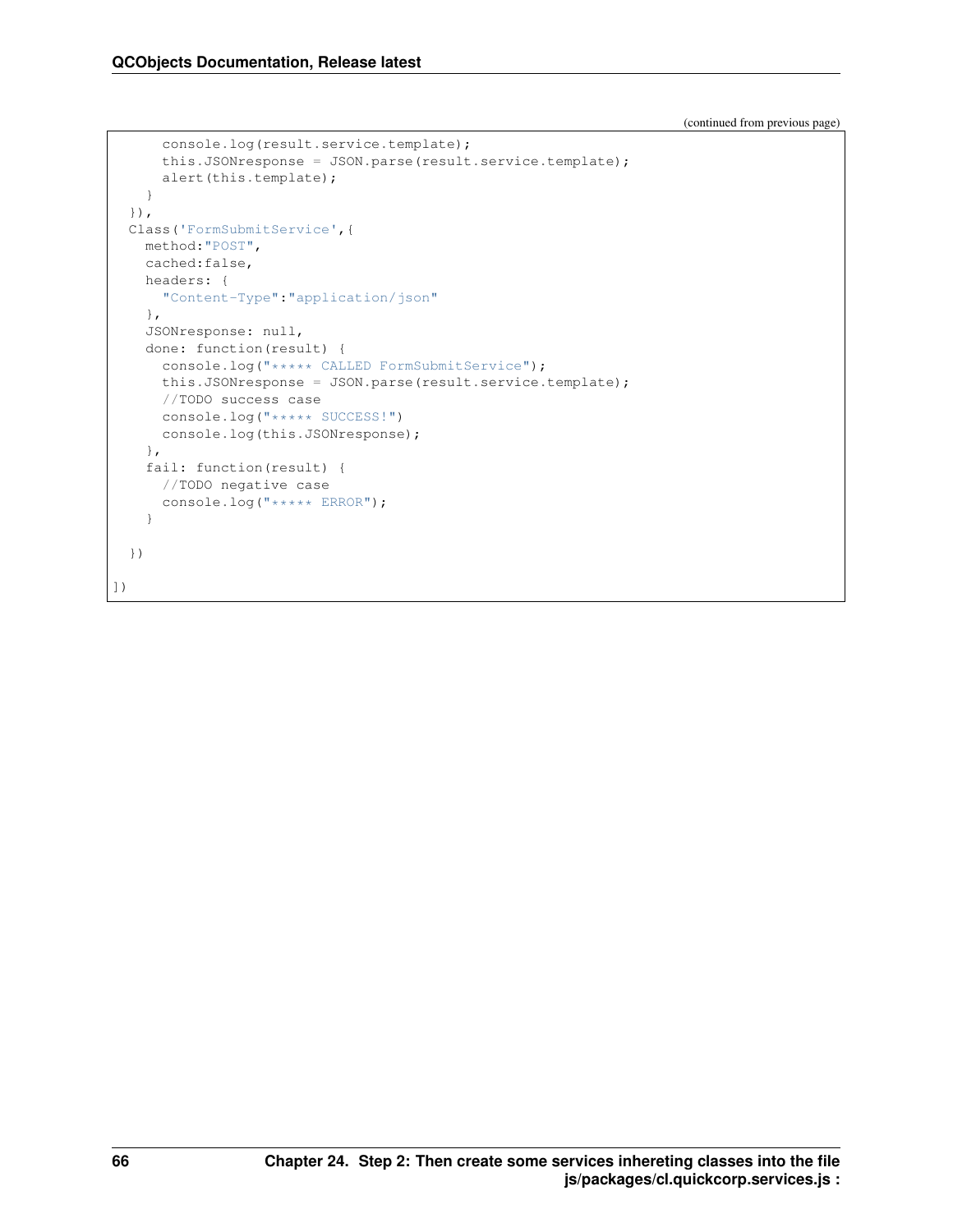(continued from previous page)

```
console.log(result.service.template);
      this.JSONresponse = JSON.parse(result.service.template);
      alert(this.template);
    }
  }),
  Class('FormSubmitService',{
   method:"POST",
   cached:false,
   headers: {
      "Content-Type":"application/json"
   },
   JSONresponse: null,
   done: function(result) {
     console.log("***** CALLED FormSubmitService");
     this.JSONresponse = JSON.parse(result.service.template);
     //TODO success case
     console.log("***** SUCCESS!")
     console.log(this.JSONresponse);
    },
    fail: function(result) {
      //TODO negative case
      console.log("***** ERROR");
    }
  })
])
```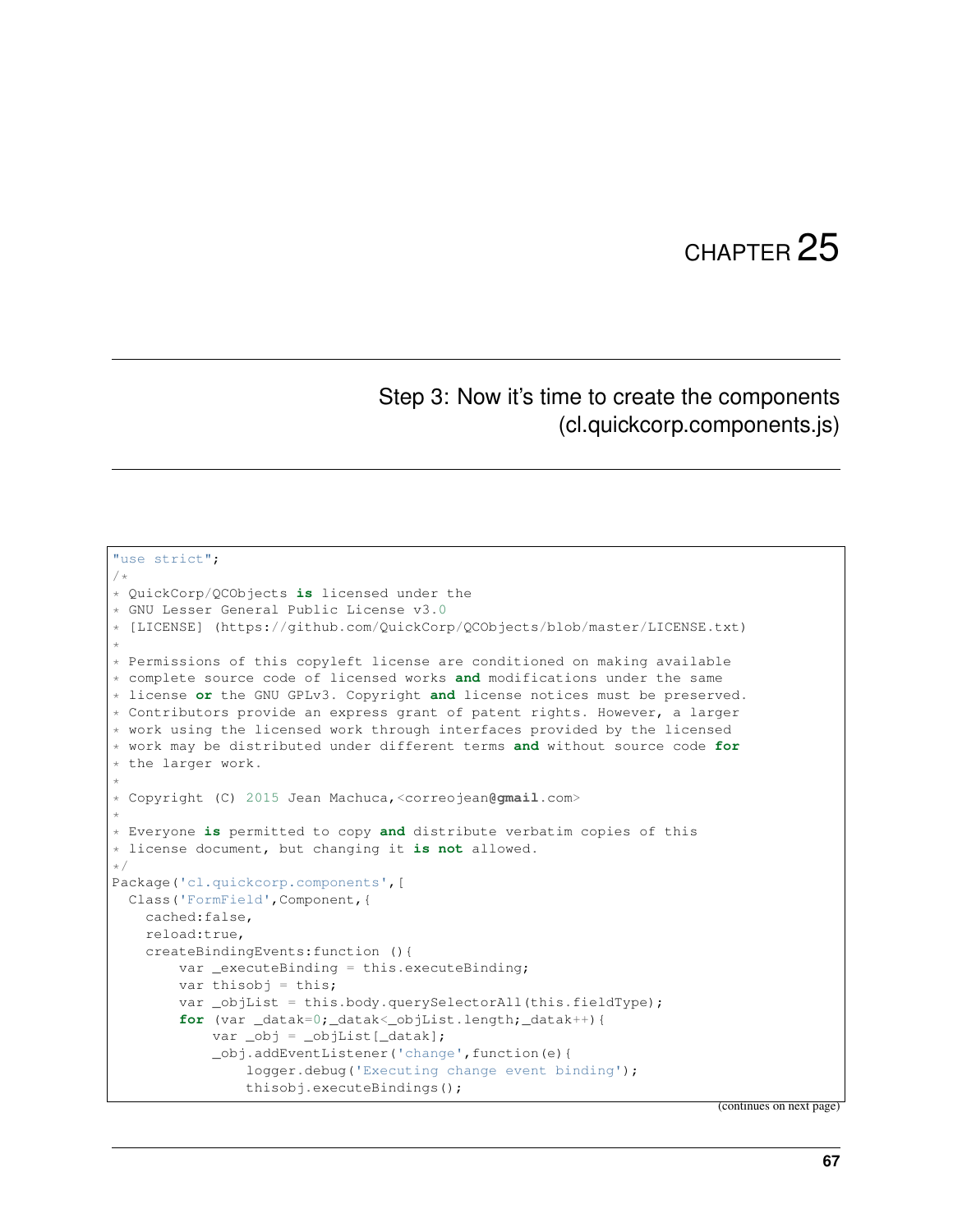#### Step 3: Now it's time to create the components (cl.quickcorp.components.js)

```
"use strict";
/*
* QuickCorp/QCObjects is licensed under the
* GNU Lesser General Public License v3.0
* [LICENSE] (https://github.com/QuickCorp/QCObjects/blob/master/LICENSE.txt)
*
* Permissions of this copyleft license are conditioned on making available
* complete source code of licensed works and modifications under the same
* license or the GNU GPLv3. Copyright and license notices must be preserved.
* Contributors provide an express grant of patent rights. However, a larger
* work using the licensed work through interfaces provided by the licensed
* work may be distributed under different terms and without source code for
* the larger work.
*
* Copyright (C) 2015 Jean Machuca,<correojean@gmail.com>
*
* Everyone is permitted to copy and distribute verbatim copies of this
* license document, but changing it is not allowed.
*/
Package('cl.quickcorp.components',[
 Class('FormField',Component,{
   cached:false,
   reload:true,
    createBindingEvents:function (){
        var _executeBinding = this.executeBinding;
        var thisobj = this;
        var _objList = this.body.querySelectorAll(this.fieldType);
        for (var _datak=0; _datak<_objList.length; _datak++) {
            var _obj = _objList[_datak];
            _obj.addEventListener('change',function(e){
                logger.debug('Executing change event binding');
                thisobj.executeBindings();
```
(continues on next page)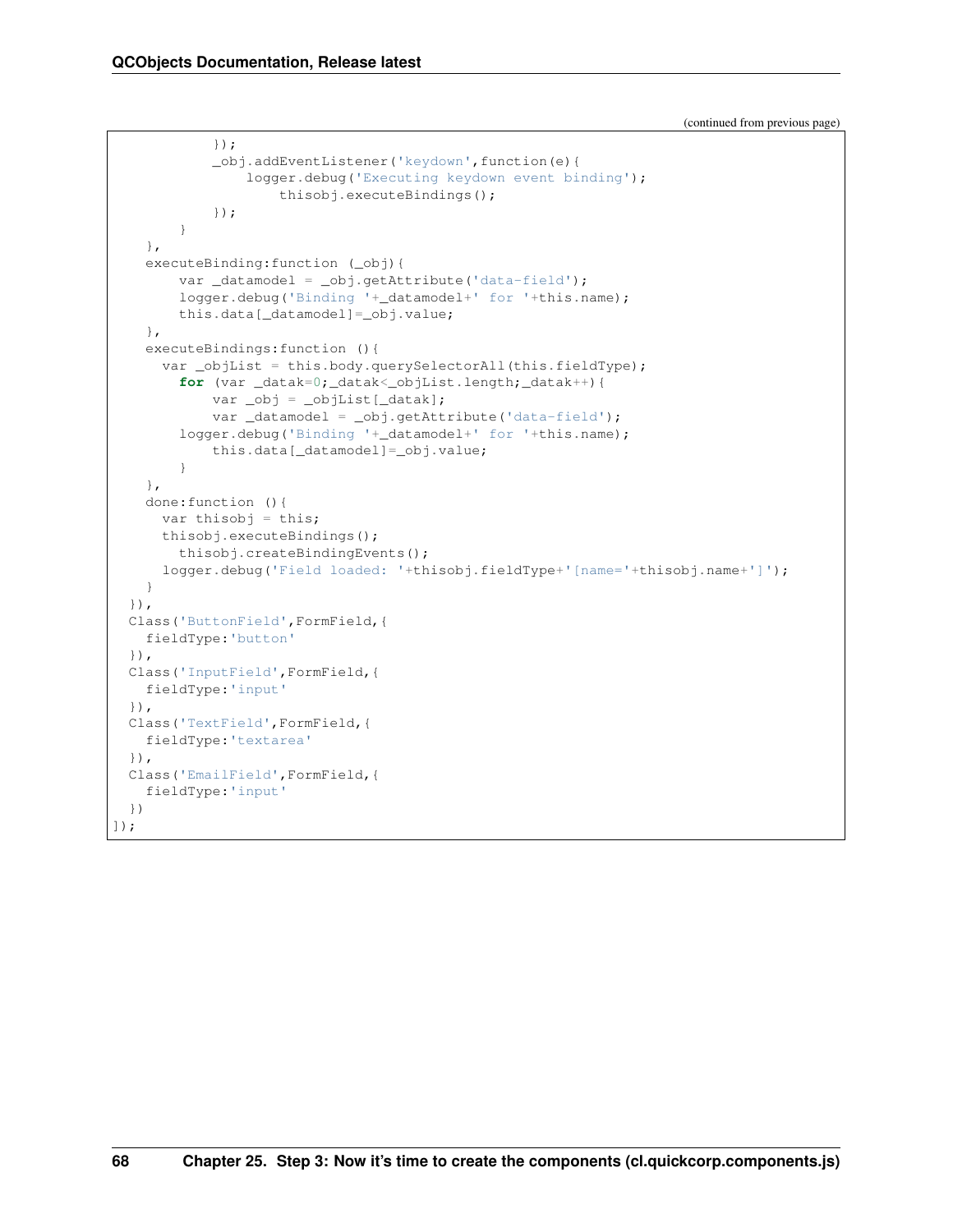(continued from previous page)

```
});
            _obj.addEventListener('keydown',function(e){
                logger.debug('Executing keydown event binding');
                    thisobj.executeBindings();
            });
        }
    },
    executeBinding:function (_obj){
        var _datamodel = _obj.getAttribute('data-field');
        logger.debug('Binding '+_datamodel+' for '+this.name);
        this.data[_datamodel]=_obj.value;
    },
    executeBindings:function (){
      var _objList = this.body.querySelectorAll(this.fieldType);
        for (var _datak=0; _datak<_objList.length; _datak++) {
            var _obj = _objList[_datak];
            var _datamodel = _obj.getAttribute('data-field');
        logger.debug('Binding '+_datamodel+' for '+this.name);
            this.data[_datamodel]=_obj.value;
        }
    },
    done:function (){
     var thisobj = this;
      thisobj.executeBindings();
       thisobj.createBindingEvents();
      logger.debug('Field loaded: '+thisobj.fieldType+'[name='+thisobj.name+']');
    }
  }),
  Class('ButtonField',FormField,{
   fieldType:'button'
  }),
  Class('InputField',FormField,{
   fieldType:'input'
  }),
  Class('TextField',FormField,{
   fieldType:'textarea'
  }),
  Class('EmailField',FormField,{
    fieldType:'input'
  })
]);
```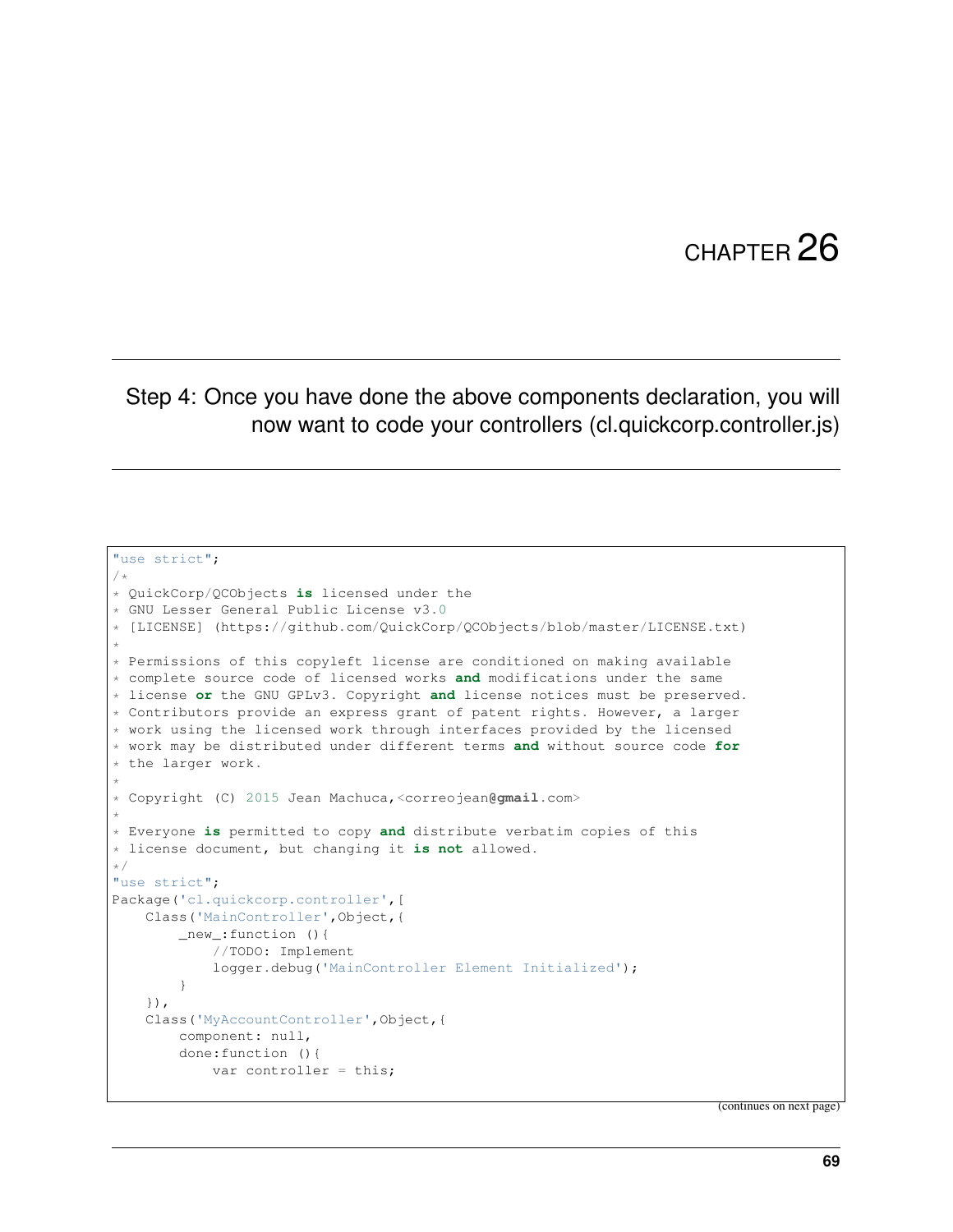## CHAPTER 26

## Step 4: Once you have done the above components declaration, you will now want to code your controllers (cl.quickcorp.controller.js)

```
"use strict";
/*
* QuickCorp/QCObjects is licensed under the
* GNU Lesser General Public License v3.0
* [LICENSE] (https://github.com/QuickCorp/QCObjects/blob/master/LICENSE.txt)
*
* Permissions of this copyleft license are conditioned on making available
* complete source code of licensed works and modifications under the same
* license or the GNU GPLv3. Copyright and license notices must be preserved.
* Contributors provide an express grant of patent rights. However, a larger
* work using the licensed work through interfaces provided by the licensed
* work may be distributed under different terms and without source code for
* the larger work.
*
* Copyright (C) 2015 Jean Machuca,<correojean@gmail.com>
*
* Everyone is permitted to copy and distribute verbatim copies of this
* license document, but changing it is not allowed.
*/
"use strict";
Package('cl.quickcorp.controller',[
   Class('MainController',Object,{
        _new_:function (){
            //TODO: Implement
            logger.debug('MainController Element Initialized');
        }
    }),
    Class('MyAccountController',Object,{
        component: null,
        done:function (){
           var controller = this;
```
(continues on next page)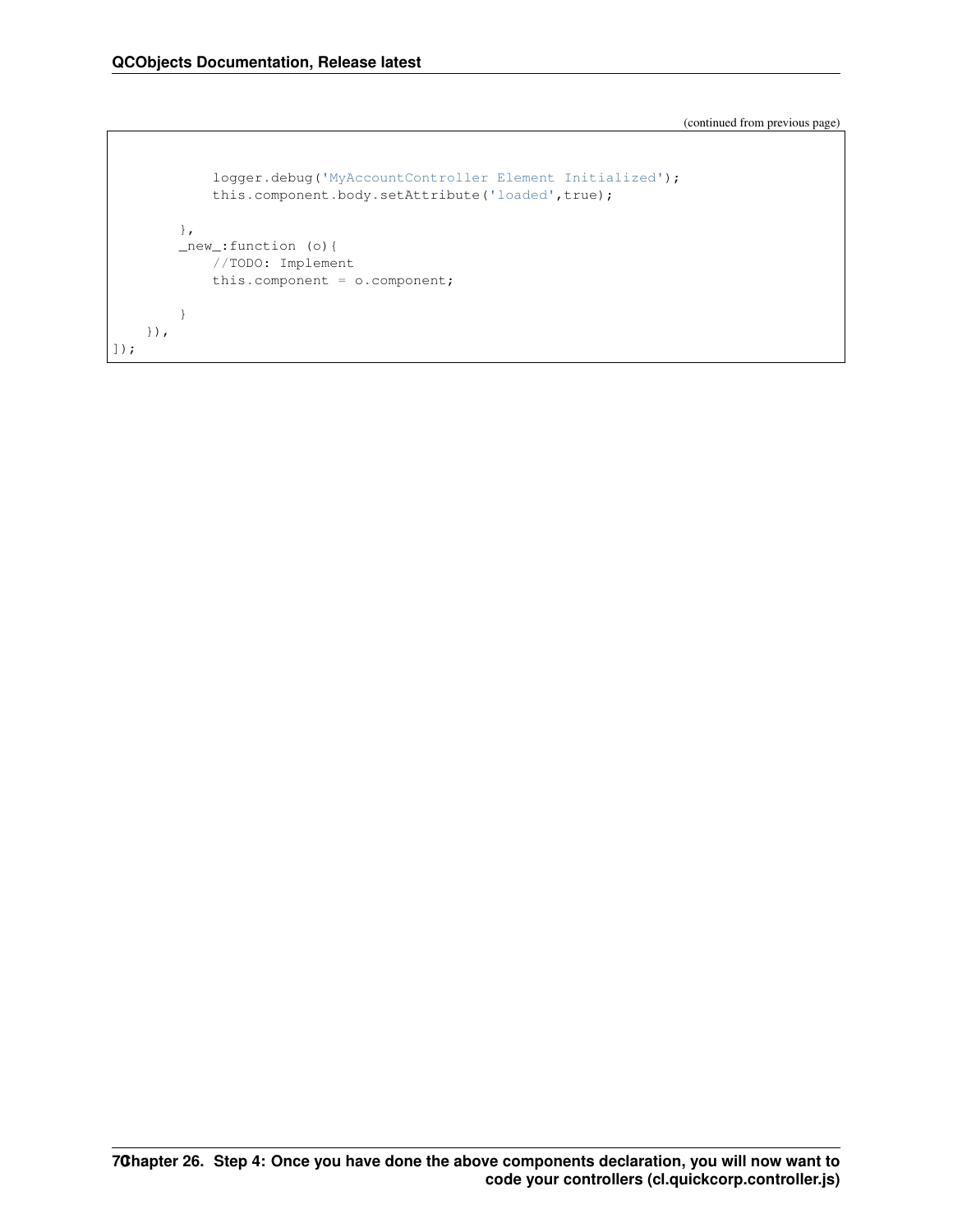(continued from previous page)

```
logger.debug('MyAccountController Element Initialized');
            this.component.body.setAttribute('loaded',true);
        },
        _new_:function (o){
           //TODO: Implement
           this.component = o.component;
       }
    }),
]);
```